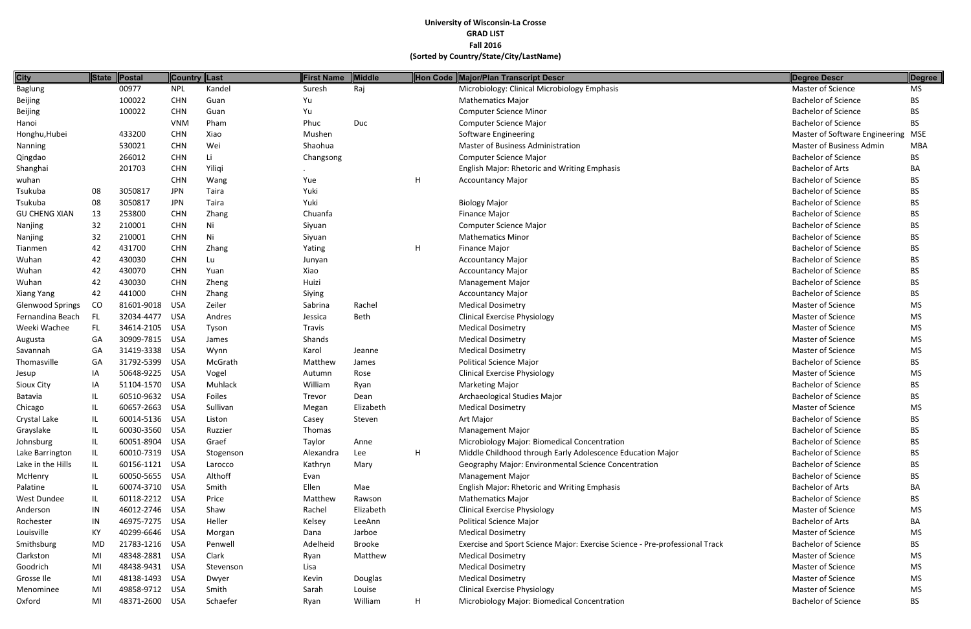| <b>City</b>             |           | State Postal   | Country Last |           | <b>First Name</b> | Middle    |   | Hon Code Major/Plan Transcript Descr                                        | Degree Descr                    | Degree    |
|-------------------------|-----------|----------------|--------------|-----------|-------------------|-----------|---|-----------------------------------------------------------------------------|---------------------------------|-----------|
| Baglung                 |           | 00977          | <b>NPL</b>   | Kandel    | Suresh            | Raj       |   | Microbiology: Clinical Microbiology Emphasis                                | Master of Science               | <b>MS</b> |
| Beijing                 |           | 100022         | <b>CHN</b>   | Guan      | Yu                |           |   | <b>Mathematics Major</b>                                                    | <b>Bachelor of Science</b>      | BS.       |
| Beijing                 |           | 100022         | <b>CHN</b>   | Guan      | Yu                |           |   | <b>Computer Science Minor</b>                                               | <b>Bachelor of Science</b>      | BS.       |
| Hanoi                   |           |                | <b>VNM</b>   | Pham      | Phuc              | Duc       |   | <b>Computer Science Major</b>                                               | <b>Bachelor of Science</b>      | BS.       |
| Honghu, Hubei           |           | 433200         | <b>CHN</b>   | Xiao      | Mushen            |           |   | Software Engineering                                                        | Master of Software Engineering  | MSE       |
| Nanning                 |           | 530021         | <b>CHN</b>   | Wei       | Shaohua           |           |   | <b>Master of Business Administration</b>                                    | <b>Master of Business Admin</b> | MBA       |
| Qingdao                 |           | 266012         | <b>CHN</b>   | Li        | Changsong         |           |   | <b>Computer Science Major</b>                                               | <b>Bachelor of Science</b>      | BS.       |
| Shanghai                |           | 201703         | <b>CHN</b>   | Yiliqi    |                   |           |   | English Major: Rhetoric and Writing Emphasis                                | <b>Bachelor of Arts</b>         | BA        |
| wuhan                   |           |                | <b>CHN</b>   | Wang      | Yue               |           | H | <b>Accountancy Major</b>                                                    | <b>Bachelor of Science</b>      | BS.       |
| Tsukuba                 | 08        | 3050817        | JPN          | Taira     | Yuki              |           |   |                                                                             | <b>Bachelor of Science</b>      | BS.       |
| Tsukuba                 | 08        | 3050817        | <b>JPN</b>   | Taira     | Yuki              |           |   | <b>Biology Major</b>                                                        | <b>Bachelor of Science</b>      | BS.       |
| <b>GU CHENG XIAN</b>    | 13        | 253800         | <b>CHN</b>   | Zhang     | Chuanfa           |           |   | Finance Major                                                               | <b>Bachelor of Science</b>      | BS.       |
| Nanjing                 | 32        | 210001         | <b>CHN</b>   | Ni        | Siyuan            |           |   | Computer Science Major                                                      | <b>Bachelor of Science</b>      | BS.       |
| Nanjing                 | 32        | 210001         | <b>CHN</b>   | Ni        | Siyuan            |           |   | <b>Mathematics Minor</b>                                                    | <b>Bachelor of Science</b>      | BS.       |
| Tianmen                 | 42        | 431700         | <b>CHN</b>   | Zhang     | Yating            |           | H | Finance Major                                                               | <b>Bachelor of Science</b>      | BS.       |
| Wuhan                   | 42        | 430030         | <b>CHN</b>   | Lu        | Junyan            |           |   | <b>Accountancy Major</b>                                                    | <b>Bachelor of Science</b>      | BS.       |
| Wuhan                   | 42        | 430070         | <b>CHN</b>   | Yuan      | Xiao              |           |   | <b>Accountancy Major</b>                                                    | <b>Bachelor of Science</b>      | BS.       |
| Wuhan                   | 42        | 430030         | <b>CHN</b>   | Zheng     | Huizi             |           |   | <b>Management Major</b>                                                     | <b>Bachelor of Science</b>      | BS.       |
| Xiang Yang              | 42        | 441000         | <b>CHN</b>   | Zhang     | Siying            |           |   | <b>Accountancy Major</b>                                                    | <b>Bachelor of Science</b>      | BS.       |
| <b>Glenwood Springs</b> | CO        | 81601-9018     | <b>USA</b>   | Zeiler    | Sabrina           | Rachel    |   | <b>Medical Dosimetry</b>                                                    | Master of Science               | MS.       |
| Fernandina Beach        | <b>FL</b> | 32034-4477     | <b>USA</b>   | Andres    | Jessica           | Beth      |   | <b>Clinical Exercise Physiology</b>                                         | <b>Master of Science</b>        | MS        |
| Weeki Wachee            | FL.       | 34614-2105     | <b>USA</b>   | Tyson     | Travis            |           |   | <b>Medical Dosimetry</b>                                                    | Master of Science               | <b>MS</b> |
| Augusta                 | GA        | 30909-7815     | USA          | James     | Shands            |           |   | <b>Medical Dosimetry</b>                                                    | Master of Science               | MS        |
| Savannah                | GA        | 31419-3338     | <b>USA</b>   | Wynn      | Karol             | Jeanne    |   | <b>Medical Dosimetry</b>                                                    | Master of Science               | MS        |
| Thomasville             | GA        | 31792-5399     | USA          | McGrath   | Matthew           | James     |   | <b>Political Science Major</b>                                              | <b>Bachelor of Science</b>      | BS.       |
| Jesup                   | ΙA        | 50648-9225     | <b>USA</b>   | Vogel     | Autumn            | Rose      |   | <b>Clinical Exercise Physiology</b>                                         | Master of Science               | MS        |
| Sioux City              | IA        | 51104-1570     | USA          | Muhlack   | William           | Ryan      |   | <b>Marketing Major</b>                                                      | <b>Bachelor of Science</b>      | BS.       |
| Batavia                 | IL        | 60510-9632     | USA          | Foiles    | Trevor            | Dean      |   | Archaeological Studies Major                                                | <b>Bachelor of Science</b>      | BS.       |
| Chicago                 |           | 60657-2663     | <b>USA</b>   | Sullivan  | Megan             | Elizabeth |   | <b>Medical Dosimetry</b>                                                    | <b>Master of Science</b>        | MS        |
| Crystal Lake            | IL.       | 60014-5136 USA |              | Liston    | Casey             | Steven    |   | Art Major                                                                   | <b>Bachelor of Science</b>      | BS.       |
| Grayslake               | IL        | 60030-3560 USA |              | Ruzzier   | Thomas            |           |   | <b>Management Major</b>                                                     | <b>Bachelor of Science</b>      | BS.       |
| Johnsburg               | IL        | 60051-8904 USA |              | Graef     | Taylor            | Anne      |   | Microbiology Major: Biomedical Concentration                                | <b>Bachelor of Science</b>      | BS.       |
| Lake Barrington         | IL        | 60010-7319 USA |              | Stogenson | Alexandra         | Lee       | Н | Middle Childhood through Early Adolescence Education Major                  | <b>Bachelor of Science</b>      | BS.       |
| Lake in the Hills       | IL        | 60156-1121 USA |              | Larocco   | Kathryn           | Mary      |   | Geography Major: Environmental Science Concentration                        | <b>Bachelor of Science</b>      | BS.       |
| McHenry                 | IL        | 60050-5655 USA |              | Althoff   | Evan              |           |   | <b>Management Major</b>                                                     | <b>Bachelor of Science</b>      | BS.       |
| Palatine                | IL        | 60074-3710 USA |              | Smith     | Ellen             | Mae       |   | English Major: Rhetoric and Writing Emphasis                                | <b>Bachelor of Arts</b>         | ВA        |
| West Dundee             | IL        | 60118-2212 USA |              | Price     | Matthew           | Rawson    |   | <b>Mathematics Major</b>                                                    | <b>Bachelor of Science</b>      | BS.       |
| Anderson                | IN        | 46012-2746 USA |              | Shaw      | Rachel            | Elizabeth |   | <b>Clinical Exercise Physiology</b>                                         | Master of Science               | MS.       |
| Rochester               | IN        | 46975-7275 USA |              | Heller    | Kelsey            | LeeAnn    |   | <b>Political Science Major</b>                                              | <b>Bachelor of Arts</b>         | BA        |
| Louisville              | KY        | 40299-6646 USA |              | Morgan    | Dana              | Jarboe    |   | <b>Medical Dosimetry</b>                                                    | Master of Science               | <b>MS</b> |
| Smithsburg              | MD        | 21783-1216 USA |              | Penwell   | Adelheid          | Brooke    |   | Exercise and Sport Science Major: Exercise Science - Pre-professional Track | <b>Bachelor of Science</b>      | BS.       |
| Clarkston               | MI        | 48348-2881 USA |              | Clark     | Ryan              | Matthew   |   | <b>Medical Dosimetry</b>                                                    | Master of Science               | MS.       |
| Goodrich                | MI        | 48438-9431 USA |              | Stevenson | Lisa              |           |   | <b>Medical Dosimetry</b>                                                    | Master of Science               | MS        |
| Grosse Ile              | MI        | 48138-1493 USA |              | Dwyer     | Kevin             | Douglas   |   | <b>Medical Dosimetry</b>                                                    | Master of Science               | MS        |
| Menominee               | MI        | 49858-9712 USA |              | Smith     | Sarah             | Louise    |   | <b>Clinical Exercise Physiology</b>                                         | Master of Science               | MS        |
| Oxford                  | MI        | 48371-2600 USA |              | Schaefer  | Ryan              | William   | H | Microbiology Major: Biomedical Concentration                                | <b>Bachelor of Science</b>      | BS        |

|    | <b>Degree Descr</b>             | <b>Degree</b> |
|----|---------------------------------|---------------|
|    | Master of Science               | <b>MS</b>     |
|    | <b>Bachelor of Science</b>      | ВS            |
|    | <b>Bachelor of Science</b>      | <b>BS</b>     |
|    | <b>Bachelor of Science</b>      | <b>BS</b>     |
|    | Master of Software Engineering  | MSE           |
|    | <b>Master of Business Admin</b> | <b>MBA</b>    |
|    | <b>Bachelor of Science</b>      | <b>BS</b>     |
|    | <b>Bachelor of Arts</b>         | BA            |
|    | <b>Bachelor of Science</b>      | <b>BS</b>     |
|    | <b>Bachelor of Science</b>      | <b>BS</b>     |
|    | <b>Bachelor of Science</b>      | <b>BS</b>     |
|    | <b>Bachelor of Science</b>      | <b>BS</b>     |
|    | <b>Bachelor of Science</b>      | <b>BS</b>     |
|    | <b>Bachelor of Science</b>      | <b>BS</b>     |
|    | <b>Bachelor of Science</b>      | <b>BS</b>     |
|    | <b>Bachelor of Science</b>      | <b>BS</b>     |
|    | <b>Bachelor of Science</b>      | <b>BS</b>     |
|    | <b>Bachelor of Science</b>      | <b>BS</b>     |
|    | <b>Bachelor of Science</b>      | <b>BS</b>     |
|    | <b>Master of Science</b>        | <b>MS</b>     |
|    | <b>Master of Science</b>        | <b>MS</b>     |
|    | Master of Science               | <b>MS</b>     |
|    | <b>Master of Science</b>        | <b>MS</b>     |
|    | <b>Master of Science</b>        | <b>MS</b>     |
|    | <b>Bachelor of Science</b>      | BS.           |
|    | <b>Master of Science</b>        | MS            |
|    | <b>Bachelor of Science</b>      | <b>BS</b>     |
|    | <b>Bachelor of Science</b>      | <b>BS</b>     |
|    | Master of Science               | MS            |
|    | <b>Bachelor of Science</b>      | BS            |
|    | <b>Bachelor of Science</b>      | ВS            |
|    | <b>Bachelor of Science</b>      | <b>BS</b>     |
|    | <b>Bachelor of Science</b>      | <b>BS</b>     |
|    | <b>Bachelor of Science</b>      | <b>BS</b>     |
|    | <b>Bachelor of Science</b>      | <b>BS</b>     |
|    | <b>Bachelor of Arts</b>         | BА            |
|    | <b>Bachelor of Science</b>      | <b>BS</b>     |
|    | <b>Master of Science</b>        | MS            |
|    | <b>Bachelor of Arts</b>         | BA            |
|    | Master of Science               | <b>MS</b>     |
| ۱k | <b>Bachelor of Science</b>      | <b>BS</b>     |
|    | <b>Master of Science</b>        | <b>MS</b>     |
|    | <b>Master of Science</b>        | <b>MS</b>     |
|    | <b>Master of Science</b>        | MS            |
|    | Master of Science               | <b>MS</b>     |
|    | <b>Bachelor of Science</b>      | <b>BS</b>     |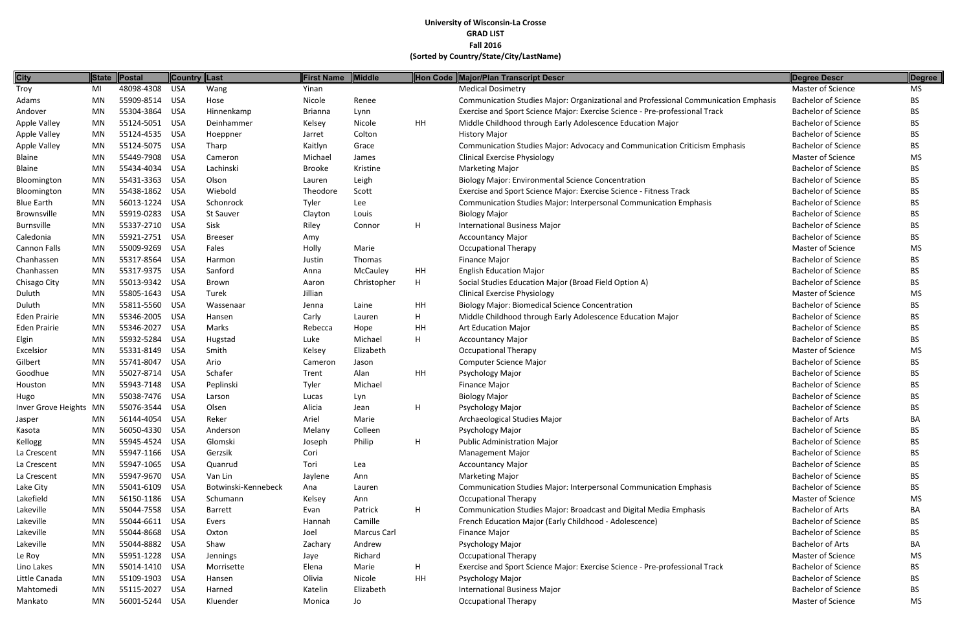| <b>City</b>            |           | State Postal   | <b>Country Last</b> |                     | <b>First Name</b> | Middle             |           | Hon Code Major/Plan Transcript Descr                                                | <b>Degree Descr</b>        | ∥Degree   |
|------------------------|-----------|----------------|---------------------|---------------------|-------------------|--------------------|-----------|-------------------------------------------------------------------------------------|----------------------------|-----------|
| Troy                   | MI        | 48098-4308     | <b>USA</b>          | Wang                | Yinan             |                    |           | <b>Medical Dosimetry</b>                                                            | Master of Science          | <b>MS</b> |
| Adams                  | <b>MN</b> | 55909-8514 USA |                     | Hose                | Nicole            | Renee              |           | Communication Studies Major: Organizational and Professional Communication Emphasis | <b>Bachelor of Science</b> | <b>BS</b> |
| Andover                | MN        | 55304-3864     | <b>USA</b>          | Hinnenkamp          | <b>Brianna</b>    | Lynn               |           | Exercise and Sport Science Major: Exercise Science - Pre-professional Track         | <b>Bachelor of Science</b> | <b>BS</b> |
| Apple Valley           | MN        | 55124-5051     | <b>USA</b>          | Deinhammer          | Kelsey            | Nicole             | <b>HH</b> | Middle Childhood through Early Adolescence Education Major                          | <b>Bachelor of Science</b> | <b>BS</b> |
| Apple Valley           | MN        | 55124-4535     | USA                 | Hoeppner            | Jarret            | Colton             |           | <b>History Major</b>                                                                | <b>Bachelor of Science</b> | <b>BS</b> |
| Apple Valley           | MN        | 55124-5075 USA |                     | Tharp               | Kaitlyn           | Grace              |           | Communication Studies Major: Advocacy and Communication Criticism Emphasis          | <b>Bachelor of Science</b> | <b>BS</b> |
| Blaine                 | <b>MN</b> | 55449-7908 USA |                     | Cameron             | Michael           | James              |           | <b>Clinical Exercise Physiology</b>                                                 | <b>Master of Science</b>   | MS        |
| Blaine                 | MN        | 55434-4034 USA |                     | Lachinski           | <b>Brooke</b>     | Kristine           |           | <b>Marketing Major</b>                                                              | <b>Bachelor of Science</b> | <b>BS</b> |
| Bloomington            | MN        | 55431-3363     | <b>USA</b>          | Olson               | Lauren            | Leigh              |           | <b>Biology Major: Environmental Science Concentration</b>                           | <b>Bachelor of Science</b> | <b>BS</b> |
| Bloomington            | MN        | 55438-1862 USA |                     | Wiebold             | Theodore          | Scott              |           | Exercise and Sport Science Major: Exercise Science - Fitness Track                  | <b>Bachelor of Science</b> | BS        |
| <b>Blue Earth</b>      | MN        | 56013-1224     | USA                 | Schonrock           | Tyler             | Lee                |           | Communication Studies Major: Interpersonal Communication Emphasis                   | <b>Bachelor of Science</b> | <b>BS</b> |
| Brownsville            | MN        | 55919-0283     | <b>USA</b>          | <b>St Sauver</b>    | Clayton           | Louis              |           | <b>Biology Major</b>                                                                | <b>Bachelor of Science</b> | <b>BS</b> |
| Burnsville             | <b>MN</b> | 55337-2710 USA |                     | Sisk                | Riley             | Connor             | H         | <b>International Business Major</b>                                                 | <b>Bachelor of Science</b> | <b>BS</b> |
| Caledonia              | MN        | 55921-2751 USA |                     | <b>Breeser</b>      | Amy               |                    |           | <b>Accountancy Major</b>                                                            | <b>Bachelor of Science</b> | <b>BS</b> |
| <b>Cannon Falls</b>    | <b>MN</b> | 55009-9269     | USA                 | Fales               | Holly             | Marie              |           | <b>Occupational Therapy</b>                                                         | Master of Science          | MS        |
| Chanhassen             | MN        | 55317-8564 USA |                     | Harmon              | Justin            | Thomas             |           | Finance Major                                                                       | <b>Bachelor of Science</b> | <b>BS</b> |
| Chanhassen             | MN        | 55317-9375 USA |                     | Sanford             | Anna              | McCauley           | HH        | <b>English Education Major</b>                                                      | <b>Bachelor of Science</b> | BS        |
| Chisago City           | MN        | 55013-9342 USA |                     | Brown               | Aaron             | Christopher        | H         | Social Studies Education Major (Broad Field Option A)                               | <b>Bachelor of Science</b> | BS.       |
| Duluth                 | MN        | 55805-1643     | <b>USA</b>          | Turek               | Jillian           |                    |           | <b>Clinical Exercise Physiology</b>                                                 | Master of Science          | MS        |
| Duluth                 | <b>MN</b> | 55811-5560     | USA                 | Wassenaar           | Jenna             | Laine              | HH        | <b>Biology Major: Biomedical Science Concentration</b>                              | <b>Bachelor of Science</b> | BS        |
| <b>Eden Prairie</b>    | MN        | 55346-2005     | USA                 | Hansen              | Carly             | Lauren             | H         | Middle Childhood through Early Adolescence Education Major                          | <b>Bachelor of Science</b> | <b>BS</b> |
| <b>Eden Prairie</b>    | MN        | 55346-2027     | <b>USA</b>          | Marks               | Rebecca           | Hope               | HH        | <b>Art Education Major</b>                                                          | <b>Bachelor of Science</b> | <b>BS</b> |
| Elgin                  | <b>MN</b> | 55932-5284     | <b>USA</b>          | Hugstad             | Luke              | Michael            | H         | <b>Accountancy Major</b>                                                            | <b>Bachelor of Science</b> | <b>BS</b> |
| Excelsior              | MN        | 55331-8149 USA |                     | Smith               | Kelsey            | Elizabeth          |           | <b>Occupational Therapy</b>                                                         | Master of Science          | MS        |
| Gilbert                | <b>MN</b> | 55741-8047     | USA                 | Ario                | Cameron           | Jason              |           | <b>Computer Science Major</b>                                                       | <b>Bachelor of Science</b> | <b>BS</b> |
| Goodhue                | <b>MN</b> | 55027-8714 USA |                     | Schafer             | Trent             | Alan               | HH        | Psychology Major                                                                    | <b>Bachelor of Science</b> | BS        |
| Houston                | MN        | 55943-7148 USA |                     | Peplinski           | Tyler             | Michael            |           | <b>Finance Major</b>                                                                | <b>Bachelor of Science</b> | <b>BS</b> |
| Hugo                   | <b>MN</b> | 55038-7476     | <b>USA</b>          | Larson              | Lucas             | Lyn                |           | <b>Biology Major</b>                                                                | <b>Bachelor of Science</b> | <b>BS</b> |
| Inver Grove Heights MN |           | 55076-3544     | <b>USA</b>          | Olsen               | Alicia            | Jean               | Н         | Psychology Major                                                                    | <b>Bachelor of Science</b> | <b>BS</b> |
| Jasper                 | <b>MN</b> | 56144-4054     | USA                 | Reker               | Ariel             | Marie              |           | Archaeological Studies Major                                                        | <b>Bachelor of Arts</b>    | <b>BA</b> |
| Kasota                 | <b>MN</b> | 56050-4330 USA |                     | Anderson            | Melany            | Colleen            |           | Psychology Major                                                                    | <b>Bachelor of Science</b> | <b>BS</b> |
| Kellogg                | MN        | 55945-4524 USA |                     | Glomski             | Joseph            | Philip             | H         | <b>Public Administration Major</b>                                                  | <b>Bachelor of Science</b> | <b>BS</b> |
| La Crescent            | MN        | 55947-1166 USA |                     | Gerzsik             | Cori              |                    |           | <b>Management Major</b>                                                             | <b>Bachelor of Science</b> | <b>BS</b> |
| La Crescent            | MN        | 55947-1065 USA |                     | Quanrud             | Tori              | Lea                |           | <b>Accountancy Major</b>                                                            | <b>Bachelor of Science</b> | <b>BS</b> |
| La Crescent            | MN        | 55947-9670 USA |                     | Van Lin             | Jaylene           | Ann                |           | <b>Marketing Major</b>                                                              | <b>Bachelor of Science</b> | BS        |
| Lake City              | MN        | 55041-6109 USA |                     | Botwinski-Kennebeck | Ana               | Lauren             |           | <b>Communication Studies Major: Interpersonal Communication Emphasis</b>            | <b>Bachelor of Science</b> | <b>BS</b> |
| Lakefield              | MN        | 56150-1186 USA |                     | Schumann            | Kelsey            | Ann                |           | <b>Occupational Therapy</b>                                                         | Master of Science          | MS        |
| Lakeville              | MN        | 55044-7558 USA |                     | Barrett             | Evan              | Patrick            | H         | Communication Studies Major: Broadcast and Digital Media Emphasis                   | <b>Bachelor of Arts</b>    | BA        |
| Lakeville              | MN        | 55044-6611 USA |                     | Evers               | Hannah            | Camille            |           | French Education Major (Early Childhood - Adolescence)                              | <b>Bachelor of Science</b> | <b>BS</b> |
| Lakeville              | MN        | 55044-8668 USA |                     | Oxton               | Joel              | <b>Marcus Carl</b> |           | Finance Major                                                                       | <b>Bachelor of Science</b> | <b>BS</b> |
| Lakeville              | MN        | 55044-8882 USA |                     | Shaw                | Zachary           | Andrew             |           | Psychology Major                                                                    | <b>Bachelor of Arts</b>    | BA        |
| Le Roy                 | MN        | 55951-1228 USA |                     | Jennings            | Jaye              | Richard            |           | <b>Occupational Therapy</b>                                                         | Master of Science          | MS        |
| Lino Lakes             | MN        | 55014-1410 USA |                     | Morrisette          | Elena             | Marie              | H         | Exercise and Sport Science Major: Exercise Science - Pre-professional Track         | <b>Bachelor of Science</b> | <b>BS</b> |
| Little Canada          | MN        | 55109-1903 USA |                     | Hansen              | Olivia            | Nicole             | HH        | Psychology Major                                                                    | <b>Bachelor of Science</b> | <b>BS</b> |
| Mahtomedi              | MN        | 55115-2027 USA |                     | Harned              | Katelin           | Elizabeth          |           | <b>International Business Major</b>                                                 | <b>Bachelor of Science</b> | <b>BS</b> |
| Mankato                | MN        | 56001-5244 USA |                     | Kluender            | Monica            | Jo                 |           | <b>Occupational Therapy</b>                                                         | Master of Science          | MS        |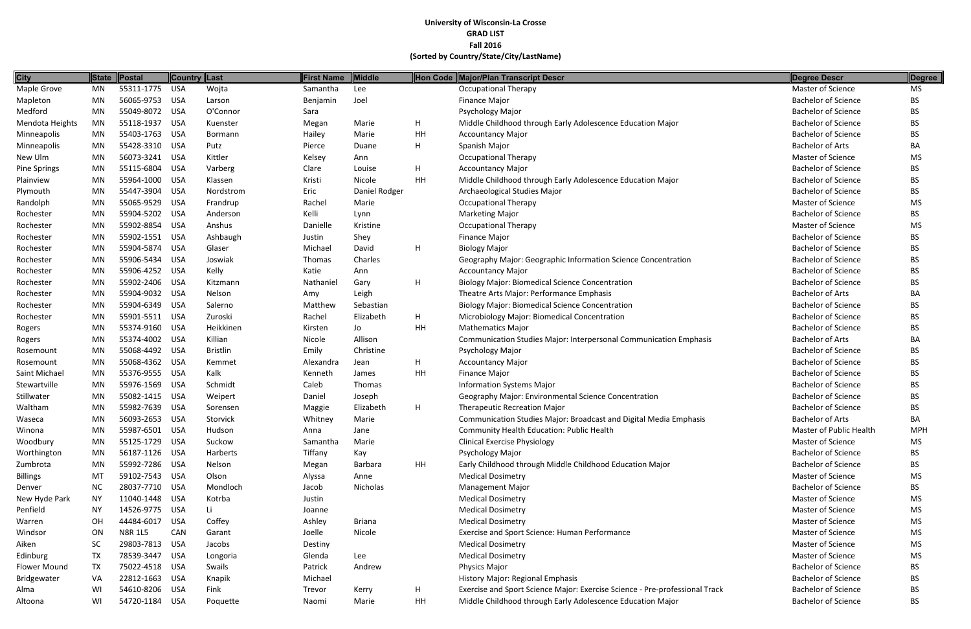| <b>City</b>         | State     | $\ $ Postal    | Country  Last |                 | <b>First Name</b> | <b>Middle</b> |           | Hon Code Major/Plan Transcript Descr                                        | Degree Descr               | Degree          |
|---------------------|-----------|----------------|---------------|-----------------|-------------------|---------------|-----------|-----------------------------------------------------------------------------|----------------------------|-----------------|
| Maple Grove         | MN        | 55311-1775     | <b>USA</b>    | Wojta           | Samantha          | Lee           |           | <b>Occupational Therapy</b>                                                 | Master of Science          | MS.             |
| Mapleton            | MN        | 56065-9753     | <b>USA</b>    | Larson          | Benjamin          | Joel          |           | Finance Major                                                               | <b>Bachelor of Science</b> | BS.             |
| Medford             | MN        | 55049-8072     | <b>USA</b>    | O'Connor        | Sara              |               |           | Psychology Major                                                            | <b>Bachelor of Science</b> | <b>BS</b>       |
| Mendota Heights     | MN        | 55118-1937     | <b>USA</b>    | Kuenster        | Megan             | Marie         | H         | Middle Childhood through Early Adolescence Education Major                  | <b>Bachelor of Science</b> | <b>BS</b>       |
| Minneapolis         | MN        | 55403-1763     | USA           | Bormann         | Hailey            | Marie         | HH        | <b>Accountancy Major</b>                                                    | <b>Bachelor of Science</b> | <b>BS</b>       |
| Minneapolis         | MN        | 55428-3310     | <b>USA</b>    | Putz            | Pierce            | Duane         | H         | Spanish Major                                                               | <b>Bachelor of Arts</b>    | BA              |
| New Ulm             | MN        | 56073-3241     | USA           | Kittler         | Kelsey            | Ann           |           | <b>Occupational Therapy</b>                                                 | Master of Science          | MS.             |
| <b>Pine Springs</b> | MN        | 55115-6804     | <b>USA</b>    | Varberg         | Clare             | Louise        | H         | <b>Accountancy Major</b>                                                    | <b>Bachelor of Science</b> | <b>BS</b>       |
| Plainview           | MN        | 55964-1000     | USA           | Klassen         | Kristi            | Nicole        | <b>HH</b> | Middle Childhood through Early Adolescence Education Major                  | <b>Bachelor of Science</b> | <b>BS</b>       |
| Plymouth            | MN        | 55447-3904     | USA           | Nordstrom       | Eric              | Daniel Rodger |           | Archaeological Studies Major                                                | <b>Bachelor of Science</b> | <b>BS</b>       |
| Randolph            | MN        | 55065-9529     | USA           | Frandrup        | Rachel            | Marie         |           | <b>Occupational Therapy</b>                                                 | <b>Master of Science</b>   | <b>MS</b>       |
| Rochester           | MN        | 55904-5202     | <b>USA</b>    | Anderson        | Kelli             | Lynn          |           | <b>Marketing Major</b>                                                      | <b>Bachelor of Science</b> | BS.             |
| Rochester           | MN        | 55902-8854     | <b>USA</b>    | Anshus          | Danielle          | Kristine      |           | <b>Occupational Therapy</b>                                                 | Master of Science          | <b>MS</b>       |
| Rochester           | <b>MN</b> | 55902-1551     | USA           | Ashbaugh        | Justin            | Shey          |           | <b>Finance Major</b>                                                        | <b>Bachelor of Science</b> | BS.             |
| Rochester           | MN        | 55904-5874     | USA           | Glaser          | Michael           | David         | H         | <b>Biology Major</b>                                                        | <b>Bachelor of Science</b> | BS.             |
| Rochester           | MN        | 55906-5434     | <b>USA</b>    | Joswiak         | Thomas            | Charles       |           | Geography Major: Geographic Information Science Concentration               | <b>Bachelor of Science</b> | <b>BS</b>       |
| Rochester           | MN        | 55906-4252     | <b>USA</b>    | Kelly           | Katie             | Ann           |           | <b>Accountancy Major</b>                                                    | <b>Bachelor of Science</b> | <b>BS</b>       |
| Rochester           | <b>MN</b> | 55902-2406     | USA           | Kitzmann        | Nathaniel         | Gary          | H         | <b>Biology Major: Biomedical Science Concentration</b>                      | <b>Bachelor of Science</b> | BS.             |
| Rochester           | <b>MN</b> | 55904-9032     | USA           | Nelson          | Amy               | Leigh         |           | Theatre Arts Major: Performance Emphasis                                    | <b>Bachelor of Arts</b>    | BA              |
| Rochester           | MN        | 55904-6349     | USA           | Salerno         | Matthew           | Sebastian     |           | <b>Biology Major: Biomedical Science Concentration</b>                      | <b>Bachelor of Science</b> | BS.             |
| Rochester           | MN        | 55901-5511     | USA           | Zuroski         | Rachel            | Elizabeth     | H         | Microbiology Major: Biomedical Concentration                                | <b>Bachelor of Science</b> | <b>BS</b>       |
|                     | MN        | 55374-9160     | USA           | Heikkinen       |                   |               | HH        | <b>Mathematics Major</b>                                                    | <b>Bachelor of Science</b> |                 |
| Rogers              | MN        | 55374-4002     | USA           | Killian         | Kirsten<br>Nicole | Jo<br>Allison |           |                                                                             | <b>Bachelor of Arts</b>    | <b>BS</b><br>BA |
| Rogers              |           |                |               |                 |                   |               |           | <b>Communication Studies Major: Interpersonal Communication Emphasis</b>    |                            |                 |
| Rosemount           | <b>MN</b> | 55068-4492     | USA           | <b>Bristlin</b> | Emily             | Christine     |           | Psychology Major                                                            | <b>Bachelor of Science</b> | BS.             |
| Rosemount           | MN        | 55068-4362     | USA           | Kemmet          | Alexandra         | Jean          | Н         | <b>Accountancy Major</b>                                                    | <b>Bachelor of Science</b> | BS.             |
| Saint Michael       | MN        | 55376-9555     | USA           | Kalk            | Kenneth           | James         | HH        | <b>Finance Major</b>                                                        | <b>Bachelor of Science</b> | <b>BS</b>       |
| Stewartville        | MN        | 55976-1569     | USA           | Schmidt         | Caleb             | Thomas        |           | <b>Information Systems Major</b>                                            | <b>Bachelor of Science</b> | BS.             |
| Stillwater          | <b>MN</b> | 55082-1415     | USA           | Weipert         | Daniel            | Joseph        |           | Geography Major: Environmental Science Concentration                        | <b>Bachelor of Science</b> | BS.             |
| Waltham             | MN        | 55982-7639     | USA           | Sorensen        | Maggie            | Elizabeth     | H         | <b>Therapeutic Recreation Major</b>                                         | <b>Bachelor of Science</b> | BS.             |
| Waseca              | <b>MN</b> | 56093-2653     | USA           | Storvick        | Whitney           | Marie         |           | <b>Communication Studies Major: Broadcast and Digital Media Emphasis</b>    | <b>Bachelor of Arts</b>    | ΒA              |
| Winona              | MN        | 55987-6501 USA |               | Hudson          | Anna              | Jane          |           | Community Health Education: Public Health                                   | Master of Public Health    | <b>MPH</b>      |
| Woodbury            | MN        | 55125-1729     | USA           | Suckow          | Samantha          | Marie         |           | <b>Clinical Exercise Physiology</b>                                         | Master of Science          | <b>MS</b>       |
| Worthington         | MN        | 56187-1126 USA |               | Harberts        | Tiffany           | Kay           |           | Psychology Major                                                            | <b>Bachelor of Science</b> | BS.             |
| Zumbrota            | MN        | 55992-7286 USA |               | Nelson          | Megan             | Barbara       | HH        | Early Childhood through Middle Childhood Education Major                    | <b>Bachelor of Science</b> | BS.             |
| <b>Billings</b>     | MT        | 59102-7543 USA |               | Olson           | Alyssa            | Anne          |           | <b>Medical Dosimetry</b>                                                    | Master of Science          | MS              |
| Denver              | <b>NC</b> | 28037-7710 USA |               | Mondloch        | Jacob             | Nicholas      |           | <b>Management Major</b>                                                     | <b>Bachelor of Science</b> | BS.             |
| New Hyde Park       | <b>NY</b> | 11040-1448 USA |               | Kotrba          | Justin            |               |           | <b>Medical Dosimetry</b>                                                    | Master of Science          | <b>MS</b>       |
| Penfield            | <b>NY</b> | 14526-9775     | USA           | Li              | Joanne            |               |           | <b>Medical Dosimetry</b>                                                    | Master of Science          | MS.             |
| Warren              | OH        | 44484-6017     | <b>USA</b>    | Coffey          | Ashley            | <b>Briana</b> |           | <b>Medical Dosimetry</b>                                                    | Master of Science          | MS.             |
| Windsor             | ON        | <b>N8R 1L5</b> | CAN           | Garant          | Joelle            | Nicole        |           | Exercise and Sport Science: Human Performance                               | Master of Science          | MS.             |
| Aiken               | SC        | 29803-7813     | <b>USA</b>    | Jacobs          | Destiny           |               |           | <b>Medical Dosimetry</b>                                                    | Master of Science          | <b>MS</b>       |
| Edinburg            | <b>TX</b> | 78539-3447     | USA           | Longoria        | Glenda            | Lee           |           | <b>Medical Dosimetry</b>                                                    | Master of Science          | MS              |
| <b>Flower Mound</b> | TX        | 75022-4518 USA |               | Swails          | Patrick           | Andrew        |           | Physics Major                                                               | <b>Bachelor of Science</b> | BS.             |
| Bridgewater         | VA        | 22812-1663     | USA           | Knapik          | Michael           |               |           | History Major: Regional Emphasis                                            | <b>Bachelor of Science</b> | BS.             |
| Alma                | WI        | 54610-8206 USA |               | Fink            | Trevor            | Kerry         | H         | Exercise and Sport Science Major: Exercise Science - Pre-professional Track | <b>Bachelor of Science</b> | BS.             |
| Altoona             | WI        | 54720-1184 USA |               | Poquette        | Naomi             | Marie         | HH        | Middle Childhood through Early Adolescence Education Major                  | <b>Bachelor of Science</b> | <b>BS</b>       |

|   | Degree Descr               | <b>Degree</b> |
|---|----------------------------|---------------|
|   | Master of Science          | MS            |
|   | <b>Bachelor of Science</b> | BS            |
|   | <b>Bachelor of Science</b> | BS            |
|   | <b>Bachelor of Science</b> | BS            |
|   | <b>Bachelor of Science</b> | BS.           |
|   | <b>Bachelor of Arts</b>    | BA            |
|   | <b>Master of Science</b>   | MS            |
|   | <b>Bachelor of Science</b> | <b>BS</b>     |
|   | <b>Bachelor of Science</b> | BS            |
|   | <b>Bachelor of Science</b> | BS.           |
|   | <b>Master of Science</b>   | MS            |
|   | <b>Bachelor of Science</b> | <b>BS</b>     |
|   | Master of Science          | MS            |
|   | <b>Bachelor of Science</b> | BS.           |
|   | <b>Bachelor of Science</b> | <b>BS</b>     |
|   | <b>Bachelor of Science</b> | <b>BS</b>     |
|   | <b>Bachelor of Science</b> | BS            |
|   | <b>Bachelor of Science</b> | BS            |
|   | <b>Bachelor of Arts</b>    | BА            |
|   | <b>Bachelor of Science</b> | <b>BS</b>     |
|   | <b>Bachelor of Science</b> | <b>BS</b>     |
|   | <b>Bachelor of Science</b> | <b>BS</b>     |
|   | <b>Bachelor of Arts</b>    | BА            |
|   | <b>Bachelor of Science</b> | BS            |
|   | <b>Bachelor of Science</b> | <b>BS</b>     |
|   | <b>Bachelor of Science</b> | BS            |
|   | <b>Bachelor of Science</b> | <b>BS</b>     |
|   | <b>Bachelor of Science</b> | <b>BS</b>     |
|   | <b>Bachelor of Science</b> | BS            |
|   | <b>Bachelor of Arts</b>    | ΒA            |
|   | Master of Public Health    | MPH           |
|   | Master of Science          | MS            |
|   | <b>Bachelor of Science</b> | BS.           |
|   | <b>Bachelor of Science</b> | BS.           |
|   | <b>Master of Science</b>   | MS            |
|   | <b>Bachelor of Science</b> | BS.           |
|   | Master of Science          | MS            |
|   | Master of Science          | MS            |
|   | <b>Master of Science</b>   | MS            |
|   | <b>Master of Science</b>   | MS            |
|   | Master of Science          | MS            |
|   | Master of Science          | MS            |
|   | <b>Bachelor of Science</b> | BS            |
|   | <b>Bachelor of Science</b> | <b>BS</b>     |
| K | <b>Bachelor of Science</b> | BS            |
|   | Bachelor of Science        | R۲            |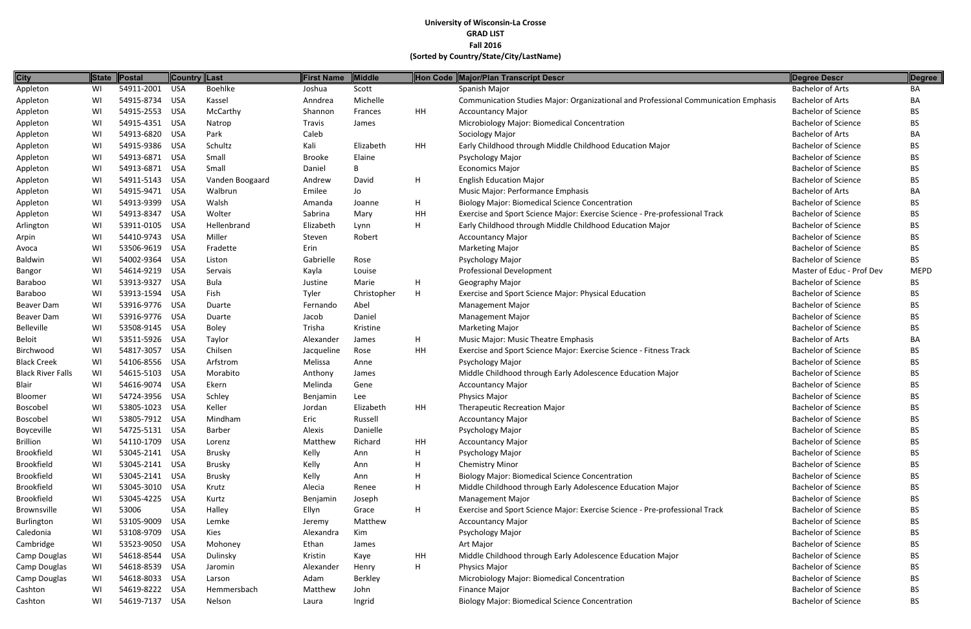| <b>City</b>              |    | State Postal   | ∥Country ∥Last |                 | <b>First Name</b> | Middle      |           | Hon Code Major/Plan Transcript Descr                                                | Degree Descr               | Degree      |
|--------------------------|----|----------------|----------------|-----------------|-------------------|-------------|-----------|-------------------------------------------------------------------------------------|----------------------------|-------------|
| Appleton                 | WI | 54911-2001     | <b>USA</b>     | Boehlke         | Joshua            | Scott       |           | Spanish Major                                                                       | <b>Bachelor of Arts</b>    | BA          |
| Appleton                 | WI | 54915-8734 USA |                | Kassel          | Anndrea           | Michelle    |           | Communication Studies Major: Organizational and Professional Communication Emphasis | <b>Bachelor of Arts</b>    | BA          |
| Appleton                 | WI | 54915-2553 USA |                | McCarthy        | Shannon           | Frances     | <b>HH</b> | <b>Accountancy Major</b>                                                            | <b>Bachelor of Science</b> | <b>BS</b>   |
| Appleton                 | WI | 54915-4351 USA |                | Natrop          | Travis            | James       |           | Microbiology Major: Biomedical Concentration                                        | <b>Bachelor of Science</b> | <b>BS</b>   |
| Appleton                 | WI | 54913-6820     | USA            | Park            | Caleb             |             |           | Sociology Major                                                                     | <b>Bachelor of Arts</b>    | BA          |
| Appleton                 | WI | 54915-9386 USA |                | Schultz         | Kali              | Elizabeth   | <b>HH</b> | Early Childhood through Middle Childhood Education Major                            | <b>Bachelor of Science</b> | BS.         |
| Appleton                 | WI | 54913-6871 USA |                | Small           | <b>Brooke</b>     | Elaine      |           | Psychology Major                                                                    | <b>Bachelor of Science</b> | <b>BS</b>   |
| Appleton                 | WI | 54913-6871 USA |                | Small           | Daniel            | B           |           | <b>Economics Major</b>                                                              | <b>Bachelor of Science</b> | <b>BS</b>   |
| Appleton                 | WI | 54911-5143     | USA            | Vanden Boogaard | Andrew            | David       | H         | <b>English Education Major</b>                                                      | <b>Bachelor of Science</b> | <b>BS</b>   |
| Appleton                 | WI | 54915-9471 USA |                | Walbrun         | Emilee            | Jo          |           | Music Major: Performance Emphasis                                                   | <b>Bachelor of Arts</b>    | BA          |
| Appleton                 | WI | 54913-9399     | USA            | Walsh           | Amanda            | Joanne      | H         | <b>Biology Major: Biomedical Science Concentration</b>                              | <b>Bachelor of Science</b> | BS.         |
| Appleton                 | WI | 54913-8347     | USA            | Wolter          | Sabrina           | Mary        | HH        | Exercise and Sport Science Major: Exercise Science - Pre-professional Track         | <b>Bachelor of Science</b> | <b>BS</b>   |
| Arlington                | WI | 53911-0105 USA |                | Hellenbrand     | Elizabeth         | Lynn        | H         | Early Childhood through Middle Childhood Education Major                            | <b>Bachelor of Science</b> | <b>BS</b>   |
| Arpin                    | WI | 54410-9743     | <b>USA</b>     | Miller          | Steven            | Robert      |           | <b>Accountancy Major</b>                                                            | <b>Bachelor of Science</b> | <b>BS</b>   |
| Avoca                    | WI | 53506-9619     | <b>USA</b>     | Fradette        | Erin              |             |           | <b>Marketing Major</b>                                                              | <b>Bachelor of Science</b> | <b>BS</b>   |
| Baldwin                  | WI | 54002-9364 USA |                | Liston          | Gabrielle         | Rose        |           | Psychology Major                                                                    | <b>Bachelor of Science</b> | <b>BS</b>   |
| Bangor                   | WI | 54614-9219     | <b>USA</b>     | Servais         | Kayla             | Louise      |           | <b>Professional Development</b>                                                     | Master of Educ - Prof Dev  | <b>MEPD</b> |
| Baraboo                  | WI | 53913-9327     | USA            | <b>Bula</b>     | Justine           | Marie       | H         | Geography Major                                                                     | <b>Bachelor of Science</b> | <b>BS</b>   |
| Baraboo                  | WI | 53913-1594 USA |                | Fish            | Tyler             | Christopher | H         | Exercise and Sport Science Major: Physical Education                                | <b>Bachelor of Science</b> | BS.         |
| Beaver Dam               | WI | 53916-9776 USA |                | Duarte          | Fernando          | Abel        |           | <b>Management Major</b>                                                             | <b>Bachelor of Science</b> | <b>BS</b>   |
| Beaver Dam               | WI | 53916-9776 USA |                | Duarte          | Jacob             | Daniel      |           | <b>Management Major</b>                                                             | <b>Bachelor of Science</b> | <b>BS</b>   |
| Belleville               | WI | 53508-9145 USA |                | <b>Boley</b>    | Trisha            | Kristine    |           | <b>Marketing Major</b>                                                              | <b>Bachelor of Science</b> | <b>BS</b>   |
| <b>Beloit</b>            | WI | 53511-5926 USA |                | Taylor          | Alexander         | James       | H         | Music Major: Music Theatre Emphasis                                                 | <b>Bachelor of Arts</b>    | BA          |
| Birchwood                | WI | 54817-3057     | <b>USA</b>     | Chilsen         | Jacqueline        | Rose        | HH        | Exercise and Sport Science Major: Exercise Science - Fitness Track                  | <b>Bachelor of Science</b> | <b>BS</b>   |
| <b>Black Creek</b>       | WI | 54106-8556 USA |                | Arfstrom        | Melissa           | Anne        |           | Psychology Major                                                                    | <b>Bachelor of Science</b> | <b>BS</b>   |
| <b>Black River Falls</b> | WI | 54615-5103     | USA            | Morabito        | Anthony           | James       |           | Middle Childhood through Early Adolescence Education Major                          | <b>Bachelor of Science</b> | <b>BS</b>   |
| <b>Blair</b>             | WI | 54616-9074 USA |                | Ekern           | Melinda           | Gene        |           | <b>Accountancy Major</b>                                                            | <b>Bachelor of Science</b> | <b>BS</b>   |
| Bloomer                  | WI | 54724-3956     | <b>USA</b>     | Schley          | Benjamin          | Lee         |           | Physics Major                                                                       | <b>Bachelor of Science</b> | <b>BS</b>   |
| Boscobel                 | WI | 53805-1023     | <b>USA</b>     | Keller          | Jordan            | Elizabeth   | HH        | <b>Therapeutic Recreation Major</b>                                                 | <b>Bachelor of Science</b> | <b>BS</b>   |
| <b>Boscobel</b>          | WI | 53805-7912 USA |                | Mindham         | Eric              | Russell     |           | <b>Accountancy Major</b>                                                            | <b>Bachelor of Science</b> | <b>BS</b>   |
| Boyceville               | WI | 54725-5131 USA |                | <b>Barber</b>   | Alexis            | Danielle    |           | Psychology Major                                                                    | <b>Bachelor of Science</b> | <b>BS</b>   |
| <b>Brillion</b>          | WI | 54110-1709     | USA            | Lorenz          | Matthew           | Richard     | HH        | <b>Accountancy Major</b>                                                            | <b>Bachelor of Science</b> | <b>BS</b>   |
| Brookfield               | WI | 53045-2141 USA |                | Brusky          | Kelly             | Ann         | H         | Psychology Major                                                                    | <b>Bachelor of Science</b> | <b>BS</b>   |
| <b>Brookfield</b>        | WI | 53045-2141 USA |                | Brusky          | Kelly             | Ann         | H         | <b>Chemistry Minor</b>                                                              | <b>Bachelor of Science</b> | <b>BS</b>   |
| Brookfield               | WI | 53045-2141 USA |                | Brusky          | Kelly             | Ann         | H         | <b>Biology Major: Biomedical Science Concentration</b>                              | <b>Bachelor of Science</b> | <b>BS</b>   |
| Brookfield               | WI | 53045-3010 USA |                | Krutz           | Alecia            | Renee       | H         | Middle Childhood through Early Adolescence Education Major                          | <b>Bachelor of Science</b> | <b>BS</b>   |
| Brookfield               | WI | 53045-4225 USA |                | Kurtz           | Benjamin          | Joseph      |           | <b>Management Major</b>                                                             | <b>Bachelor of Science</b> | <b>BS</b>   |
| Brownsville              | WI | 53006          | <b>USA</b>     | Halley          | Ellyn             | Grace       | H         | Exercise and Sport Science Major: Exercise Science - Pre-professional Track         | <b>Bachelor of Science</b> | <b>BS</b>   |
| Burlington               | WI | 53105-9009 USA |                | Lemke           | Jeremy            | Matthew     |           | <b>Accountancy Major</b>                                                            | <b>Bachelor of Science</b> | <b>BS</b>   |
| Caledonia                | WI | 53108-9709 USA |                | Kies            | Alexandra         | Kim         |           | Psychology Major                                                                    | <b>Bachelor of Science</b> | <b>BS</b>   |
| Cambridge                | WI | 53523-9050 USA |                | Mohoney         | Ethan             | James       |           | Art Major                                                                           | <b>Bachelor of Science</b> | <b>BS</b>   |
| Camp Douglas             | WI | 54618-8544 USA |                | Dulinsky        | Kristin           | Kaye        | <b>HH</b> | Middle Childhood through Early Adolescence Education Major                          | <b>Bachelor of Science</b> | <b>BS</b>   |
| Camp Douglas             | WI | 54618-8539 USA |                | Jaromin         | Alexander         | Henry       | H         | <b>Physics Major</b>                                                                | <b>Bachelor of Science</b> | <b>BS</b>   |
| Camp Douglas             | WI | 54618-8033 USA |                | Larson          | Adam              | Berkley     |           | Microbiology Major: Biomedical Concentration                                        | <b>Bachelor of Science</b> | <b>BS</b>   |
| Cashton                  | WI | 54619-8222 USA |                | Hemmersbach     | Matthew           | John        |           | Finance Major                                                                       | <b>Bachelor of Science</b> | <b>BS</b>   |
| Cashton                  | WI | 54619-7137 USA |                | Nelson          | Laura             | Ingrid      |           | <b>Biology Major: Biomedical Science Concentration</b>                              | <b>Bachelor of Science</b> | <b>BS</b>   |
|                          |    |                |                |                 |                   |             |           |                                                                                     |                            |             |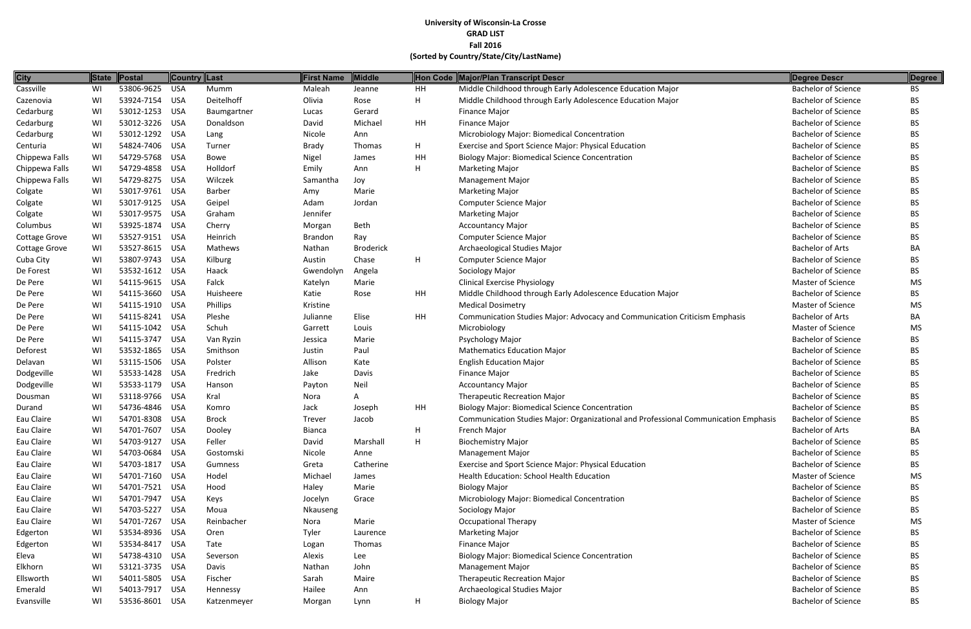| <b>City</b>          |    | State Postal   | Country Last |              | <b>First Name</b> | <b>Middle</b>    |    | Hon Code Major/Plan Transcript Descr                                                | <b>Degree Descr</b>        | Degree    |
|----------------------|----|----------------|--------------|--------------|-------------------|------------------|----|-------------------------------------------------------------------------------------|----------------------------|-----------|
| Cassville            | WI | 53806-9625     | <b>USA</b>   | Mumm         | Maleah            | Jeanne           | HH | Middle Childhood through Early Adolescence Education Major                          | <b>Bachelor of Science</b> | <b>BS</b> |
| Cazenovia            | WI | 53924-7154 USA |              | Deitelhoff   | Olivia            | Rose             | H  | Middle Childhood through Early Adolescence Education Major                          | <b>Bachelor of Science</b> | BS.       |
| Cedarburg            | WI | 53012-1253 USA |              | Baumgartner  | Lucas             | Gerard           |    | <b>Finance Major</b>                                                                | <b>Bachelor of Science</b> | <b>BS</b> |
| Cedarburg            | WI | 53012-3226     | USA          | Donaldson    | David             | Michael          | HH | <b>Finance Major</b>                                                                | <b>Bachelor of Science</b> | BS        |
| Cedarburg            | WI | 53012-1292 USA |              | Lang         | Nicole            | Ann              |    | Microbiology Major: Biomedical Concentration                                        | <b>Bachelor of Science</b> | <b>BS</b> |
| Centuria             | WI | 54824-7406 USA |              | Turner       | Brady             | <b>Thomas</b>    | H. | Exercise and Sport Science Major: Physical Education                                | <b>Bachelor of Science</b> | <b>BS</b> |
| Chippewa Falls       | WI | 54729-5768     | <b>USA</b>   | Bowe         | Nigel             | James            | HH | <b>Biology Major: Biomedical Science Concentration</b>                              | <b>Bachelor of Science</b> | <b>BS</b> |
| Chippewa Falls       | WI | 54729-4858 USA |              | Holldorf     | Emily             | Ann              | H  | <b>Marketing Major</b>                                                              | <b>Bachelor of Science</b> | <b>BS</b> |
| Chippewa Falls       | WI | 54729-8275     | USA          | Wilczek      | Samantha          | Joy              |    | <b>Management Major</b>                                                             | <b>Bachelor of Science</b> | BS        |
| Colgate              | WI | 53017-9761 USA |              | Barber       | Amy               | Marie            |    | <b>Marketing Major</b>                                                              | <b>Bachelor of Science</b> | BS        |
| Colgate              | WI | 53017-9125 USA |              | Geipel       | Adam              | Jordan           |    | Computer Science Major                                                              | <b>Bachelor of Science</b> | BS        |
| Colgate              | WI | 53017-9575 USA |              | Graham       | Jennifer          |                  |    | <b>Marketing Major</b>                                                              | <b>Bachelor of Science</b> | <b>BS</b> |
| Columbus             | WI | 53925-1874 USA |              | Cherry       | Morgan            | Beth             |    | <b>Accountancy Major</b>                                                            | <b>Bachelor of Science</b> | <b>BS</b> |
| Cottage Grove        | WI | 53527-9151 USA |              | Heinrich     | <b>Brandon</b>    | Ray              |    | <b>Computer Science Major</b>                                                       | <b>Bachelor of Science</b> | BS        |
| <b>Cottage Grove</b> | WI | 53527-8615 USA |              | Mathews      | Nathan            | <b>Broderick</b> |    | Archaeological Studies Major                                                        | <b>Bachelor of Arts</b>    | BA        |
| Cuba City            | WI | 53807-9743 USA |              | Kilburg      | Austin            | Chase            | H  | <b>Computer Science Major</b>                                                       | <b>Bachelor of Science</b> | <b>BS</b> |
| De Forest            | WI | 53532-1612 USA |              | Haack        | Gwendolyn         | Angela           |    | Sociology Major                                                                     | <b>Bachelor of Science</b> | <b>BS</b> |
| De Pere              | WI | 54115-9615 USA |              | Falck        | Katelyn           | Marie            |    | <b>Clinical Exercise Physiology</b>                                                 | Master of Science          | <b>MS</b> |
| De Pere              | WI | 54115-3660     | <b>USA</b>   | Huisheere    | Katie             | Rose             | HH | Middle Childhood through Early Adolescence Education Major                          | <b>Bachelor of Science</b> | <b>BS</b> |
| De Pere              | WI | 54115-1910     | <b>USA</b>   | Phillips     | Kristine          |                  |    | <b>Medical Dosimetry</b>                                                            | Master of Science          | <b>MS</b> |
| De Pere              | WI | 54115-8241 USA |              | Pleshe       | Julianne          | Elise            | HH | Communication Studies Major: Advocacy and Communication Criticism Emphasis          | <b>Bachelor of Arts</b>    | BA        |
| De Pere              | WI | 54115-1042 USA |              | Schuh        | Garrett           | Louis            |    | Microbiology                                                                        | <b>Master of Science</b>   | <b>MS</b> |
| De Pere              | WI | 54115-3747     | <b>USA</b>   | Van Ryzin    | Jessica           | Marie            |    | Psychology Major                                                                    | <b>Bachelor of Science</b> | <b>BS</b> |
| Deforest             | WI | 53532-1865     | <b>USA</b>   | Smithson     | Justin            | Paul             |    | <b>Mathematics Education Major</b>                                                  | <b>Bachelor of Science</b> | BS        |
| Delavan              | WI | 53115-1506     | <b>USA</b>   | Polster      | Allison           | Kate             |    | <b>English Education Major</b>                                                      | <b>Bachelor of Science</b> | <b>BS</b> |
| Dodgeville           | WI | 53533-1428 USA |              | Fredrich     | Jake              | Davis            |    | <b>Finance Major</b>                                                                | <b>Bachelor of Science</b> | <b>BS</b> |
| Dodgeville           | WI | 53533-1179     | <b>USA</b>   | Hanson       | Payton            | Neil             |    | <b>Accountancy Major</b>                                                            | <b>Bachelor of Science</b> | BS        |
| Dousman              | WI | 53118-9766     | USA          | Kral         | Nora              | A                |    | <b>Therapeutic Recreation Major</b>                                                 | <b>Bachelor of Science</b> | <b>BS</b> |
| Durand               | WI | 54736-4846     | <b>USA</b>   | Komro        | Jack              | Joseph           | HH | <b>Biology Major: Biomedical Science Concentration</b>                              | <b>Bachelor of Science</b> | <b>BS</b> |
| Eau Claire           | WI | 54701-8308     | <b>USA</b>   | <b>Brock</b> | Trever            | Jacob            |    | Communication Studies Major: Organizational and Professional Communication Emphasis | <b>Bachelor of Science</b> | <b>BS</b> |
| Eau Claire           | WI | 54701-7607 USA |              | Dooley       | <b>Bianca</b>     |                  | H  | French Major                                                                        | <b>Bachelor of Arts</b>    | BA        |
| Eau Claire           | WI | 54703-9127     | USA          | Feller       | David             | Marshall         | H  | <b>Biochemistry Major</b>                                                           | <b>Bachelor of Science</b> | <b>BS</b> |
| Eau Claire           | WI | 54703-0684 USA |              | Gostomski    | Nicole            | Anne             |    | <b>Management Major</b>                                                             | <b>Bachelor of Science</b> | <b>BS</b> |
| Eau Claire           | WI | 54703-1817 USA |              | Gumness      | Greta             | Catherine        |    | Exercise and Sport Science Major: Physical Education                                | <b>Bachelor of Science</b> | <b>BS</b> |
| Eau Claire           | WI | 54701-7160 USA |              | Hodel        | Michael           | James            |    | Health Education: School Health Education                                           | Master of Science          | <b>MS</b> |
| Eau Claire           | WI | 54701-7521 USA |              | Hood         | Haley             | Marie            |    | <b>Biology Major</b>                                                                | <b>Bachelor of Science</b> | <b>BS</b> |
| Eau Claire           | WI | 54701-7947     | <b>USA</b>   | Keys         | Jocelyn           | Grace            |    | Microbiology Major: Biomedical Concentration                                        | <b>Bachelor of Science</b> | <b>BS</b> |
| Eau Claire           | WI | 54703-5227 USA |              | Moua         | Nkauseng          |                  |    | Sociology Major                                                                     | <b>Bachelor of Science</b> | <b>BS</b> |
| Eau Claire           | WI | 54701-7267 USA |              | Reinbacher   | Nora              | Marie            |    | <b>Occupational Therapy</b>                                                         | Master of Science          | <b>MS</b> |
| Edgerton             | WI | 53534-8936 USA |              | Oren         | Tyler             | Laurence         |    | <b>Marketing Major</b>                                                              | <b>Bachelor of Science</b> | <b>BS</b> |
| Edgerton             | WI | 53534-8417 USA |              | Tate         | Logan             | Thomas           |    | <b>Finance Major</b>                                                                | <b>Bachelor of Science</b> | <b>BS</b> |
| Eleva                | WI | 54738-4310 USA |              | Severson     | Alexis            | Lee              |    | <b>Biology Major: Biomedical Science Concentration</b>                              | <b>Bachelor of Science</b> | <b>BS</b> |
| Elkhorn              | WI | 53121-3735 USA |              | Davis        | Nathan            | John             |    | <b>Management Major</b>                                                             | <b>Bachelor of Science</b> | <b>BS</b> |
| Ellsworth            | WI | 54011-5805 USA |              | Fischer      | Sarah             | Maire            |    | <b>Therapeutic Recreation Major</b>                                                 | <b>Bachelor of Science</b> | <b>BS</b> |
| Emerald              | WI | 54013-7917 USA |              | Hennessy     | Hailee            | Ann              |    | Archaeological Studies Major                                                        | <b>Bachelor of Science</b> | <b>BS</b> |
| Evansville           | WI | 53536-8601 USA |              | Katzenmeyer  | Morgan            | Lynn             | H. | <b>Biology Major</b>                                                                | <b>Bachelor of Science</b> | <b>BS</b> |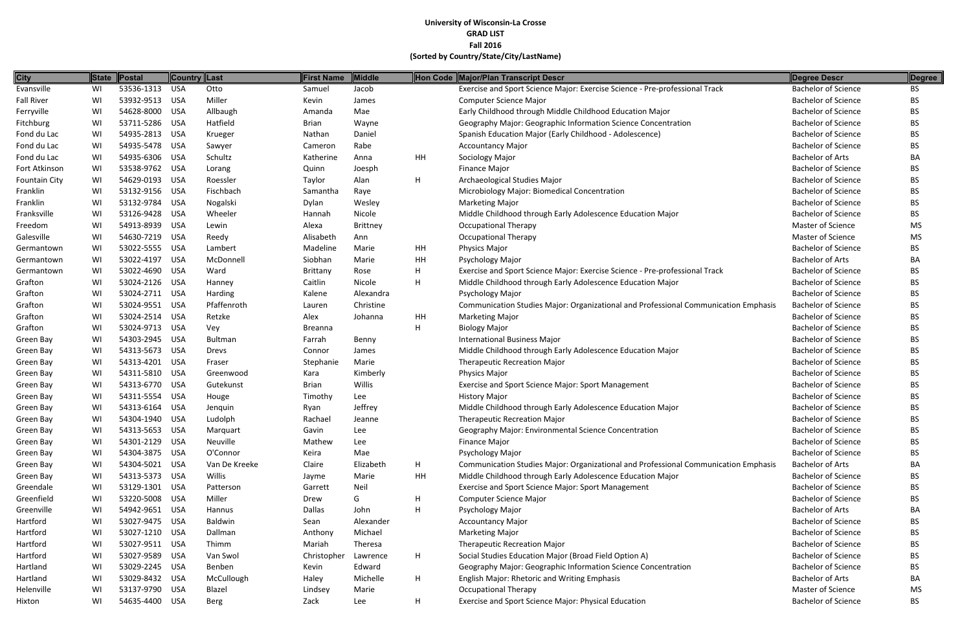| 53536-1313 USA<br>Evansville<br>Otto<br>Jacob<br>Exercise and Sport Science Major: Exercise Science - Pre-professional Track<br><b>Bachelor of Science</b><br><b>BS</b><br>WI<br>Samuel<br>Miller<br>53932-9513 USA<br><b>Bachelor of Science</b><br><b>BS</b><br>WI<br>Kevin<br>Computer Science Major<br>James<br>WI<br>54628-8000<br>USA<br>Allbaugh<br>Mae<br>Early Childhood through Middle Childhood Education Major<br><b>Bachelor of Science</b><br><b>BS</b><br>Amanda<br>53711-5286<br><b>USA</b><br>Hatfield<br>Geography Major: Geographic Information Science Concentration<br><b>Bachelor of Science</b><br>WI<br>Wayne<br><b>BS</b><br><b>Brian</b><br>54935-2813<br>Daniel<br>WI<br><b>USA</b><br>Spanish Education Major (Early Childhood - Adolescence)<br><b>Bachelor of Science</b><br><b>BS</b><br>Krueger<br>Nathan<br><b>Bachelor of Science</b><br>WI<br>54935-5478 USA<br>Rabe<br><b>Accountancy Major</b><br><b>BS</b><br>Cameron<br>Sawyer<br>54935-6306 USA<br>HH<br><b>Bachelor of Arts</b><br>BA<br>WI<br>Schultz<br>Katherine<br>Anna<br>Sociology Major<br>WI<br>53538-9762 USA<br><b>Bachelor of Science</b><br>Lorang<br>Joesph<br>Finance Major<br><b>BS</b><br>Quinn<br>H<br>54629-0193<br><b>USA</b><br>Archaeological Studies Major<br><b>Bachelor of Science</b><br>WI<br>Roessler<br><b>BS</b><br>Taylor<br>Alan<br><b>BS</b><br>WI<br>53132-9156 USA<br>Fischbach<br>Microbiology Major: Biomedical Concentration<br><b>Bachelor of Science</b><br>Samantha<br>Raye<br>53132-9784 USA<br><b>Bachelor of Science</b><br>WI<br>Nogalski<br>Wesley<br><b>Marketing Major</b><br><b>BS</b><br>Dylan<br>WI<br>53126-9428 USA<br>Nicole<br>Middle Childhood through Early Adolescence Education Major<br><b>Bachelor of Science</b><br><b>BS</b><br>Wheeler<br>Hannah<br>54913-8939 USA<br>Master of Science<br>WI<br>Lewin<br>Brittney<br><b>Occupational Therapy</b><br><b>MS</b><br>Alexa<br>54630-7219 USA<br>Alisabeth<br><b>Occupational Therapy</b><br><b>Master of Science</b><br>WI<br><b>MS</b><br>Reedy<br>Ann<br>53022-5555 USA<br>WI<br>Madeline<br>Marie<br>HH<br><b>Physics Major</b><br><b>Bachelor of Science</b><br><b>BS</b><br>Lambert<br>WI<br>53022-4197 USA<br>Siobhan<br>HH<br><b>Bachelor of Arts</b><br>McDonnell<br>Marie<br>Psychology Major<br>BA<br>WI<br>53022-4690 USA<br>H<br>Exercise and Sport Science Major: Exercise Science - Pre-professional Track<br><b>Bachelor of Science</b><br>Ward<br>Rose<br><b>BS</b><br><b>Brittany</b><br>H<br>WI<br>53024-2126 USA<br>Middle Childhood through Early Adolescence Education Major<br>Caitlin<br>Nicole<br><b>Bachelor of Science</b><br><b>BS</b><br>Hanney<br>53024-2711 USA<br><b>Bachelor of Science</b><br>WI<br>Kalene<br>Alexandra<br>Psychology Major<br><b>BS</b><br>Harding<br>Pfaffenroth<br>Communication Studies Major: Organizational and Professional Communication Emphasis<br>BS<br>WI<br>53024-9551 USA<br>Christine<br><b>Bachelor of Science</b><br>Lauren<br>WI<br>53024-2514 USA<br><b>Bachelor of Science</b><br><b>BS</b><br>Retzke<br>Alex<br>Johanna<br>HH<br><b>Marketing Major</b><br>WI<br>53024-9713 USA<br>H<br><b>Bachelor of Science</b><br>Vey<br><b>Biology Major</b><br>BS<br>Breanna<br>54303-2945 USA<br>WI<br>Bultman<br><b>International Business Major</b><br><b>Bachelor of Science</b><br><b>BS</b><br>Farrah<br>Benny<br>54313-5673 USA<br>Middle Childhood through Early Adolescence Education Major<br><b>Bachelor of Science</b><br>WI<br><b>BS</b><br><b>Drevs</b><br>Connor<br>James<br>WI<br>54313-4201 USA<br><b>Bachelor of Science</b><br>BS<br>Stephanie<br>Marie<br><b>Therapeutic Recreation Major</b><br>Fraser<br>WI<br>54311-5810 USA<br>Kimberly<br><b>Physics Major</b><br><b>Bachelor of Science</b><br><b>BS</b><br>Greenwood<br>Kara<br>54313-6770<br><b>USA</b><br>Willis<br><b>Bachelor of Science</b><br>WI<br><b>Brian</b><br>Exercise and Sport Science Major: Sport Management<br><b>BS</b><br>Gutekunst<br>WI<br>54311-5554 USA<br>Lee<br><b>History Major</b><br><b>Bachelor of Science</b><br><b>BS</b><br>Houge<br>Timothy<br>Jeffrey<br>Middle Childhood through Early Adolescence Education Major<br><b>Bachelor of Science</b><br>WI<br>54313-6164 USA<br><b>BS</b><br>Jenquin<br>Ryan<br><b>BS</b><br>WI<br>54304-1940 USA<br>Rachael<br>Ludolph<br><b>Therapeutic Recreation Major</b><br><b>Bachelor of Science</b><br>Jeanne<br>Geography Major: Environmental Science Concentration<br><b>Bachelor of Science</b><br>WI<br>54313-5653 USA<br>Gavin<br><b>BS</b><br>Marquart<br>Lee<br><b>Bachelor of Science</b><br>54301-2129<br>Neuville<br>Mathew<br>WI<br>USA<br>Lee<br><b>Finance Major</b><br><b>BS</b><br><b>Bachelor of Science</b><br><b>BS</b><br>WI<br>54304-3875 USA<br>O'Connor<br>Keira<br>Mae<br>Psychology Major<br>WI<br>54304-5021 USA<br>Communication Studies Major: Organizational and Professional Communication Emphasis<br><b>Bachelor of Arts</b><br>Van De Kreeke<br>Claire<br>Elizabeth<br>H<br>BA<br>WI<br>54313-5373 USA<br>Willis<br>HH<br>Middle Childhood through Early Adolescence Education Major<br><b>Bachelor of Science</b><br>BS<br>Marie<br>Jayme<br>53129-1301 USA<br><b>Bachelor of Science</b><br>WI<br>Neil<br>Exercise and Sport Science Major: Sport Management<br><b>BS</b><br>Patterson<br>Garrett<br>53220-5008 USA<br>Miller<br>G<br>H<br><b>Bachelor of Science</b><br>WI<br><b>Computer Science Major</b><br><b>BS</b><br>Drew<br>H<br><b>Bachelor of Arts</b><br>BA<br>WI<br>54942-9651 USA<br>Dallas<br>John<br>Psychology Major<br>Hannus<br>WI<br>53027-9475 USA<br><b>Bachelor of Science</b><br>Baldwin<br>Alexander<br><b>Accountancy Major</b><br><b>BS</b><br>Sean<br>WI<br>53027-1210 USA<br>Michael<br><b>Marketing Major</b><br><b>Bachelor of Science</b><br>Dallman<br><b>BS</b><br>Anthony<br>Thimm<br>Mariah<br>Theresa<br><b>Therapeutic Recreation Major</b><br>WI<br>53027-9511 USA<br><b>Bachelor of Science</b><br><b>BS</b><br>53027-9589 USA<br>H<br>Social Studies Education Major (Broad Field Option A)<br><b>Bachelor of Science</b><br>WI<br>Van Swol<br>Christopher<br><b>BS</b><br>Lawrence<br>53029-2245 USA<br>Geography Major: Geographic Information Science Concentration<br><b>Bachelor of Science</b><br><b>BS</b><br>WI<br>Benben<br>Kevin<br>Edward<br>WI<br>53029-8432 USA<br>Michelle<br>H<br>BA<br>McCullough<br>Haley<br>English Major: Rhetoric and Writing Emphasis<br><b>Bachelor of Arts</b> | <b>City</b> | <b>State</b> | Postal | Country Last | <b>First Name</b> | Middle | Hon Code Major/Plan Transcript Descr | Degree Descr      | Degree |
|-------------------------------------------------------------------------------------------------------------------------------------------------------------------------------------------------------------------------------------------------------------------------------------------------------------------------------------------------------------------------------------------------------------------------------------------------------------------------------------------------------------------------------------------------------------------------------------------------------------------------------------------------------------------------------------------------------------------------------------------------------------------------------------------------------------------------------------------------------------------------------------------------------------------------------------------------------------------------------------------------------------------------------------------------------------------------------------------------------------------------------------------------------------------------------------------------------------------------------------------------------------------------------------------------------------------------------------------------------------------------------------------------------------------------------------------------------------------------------------------------------------------------------------------------------------------------------------------------------------------------------------------------------------------------------------------------------------------------------------------------------------------------------------------------------------------------------------------------------------------------------------------------------------------------------------------------------------------------------------------------------------------------------------------------------------------------------------------------------------------------------------------------------------------------------------------------------------------------------------------------------------------------------------------------------------------------------------------------------------------------------------------------------------------------------------------------------------------------------------------------------------------------------------------------------------------------------------------------------------------------------------------------------------------------------------------------------------------------------------------------------------------------------------------------------------------------------------------------------------------------------------------------------------------------------------------------------------------------------------------------------------------------------------------------------------------------------------------------------------------------------------------------------------------------------------------------------------------------------------------------------------------------------------------------------------------------------------------------------------------------------------------------------------------------------------------------------------------------------------------------------------------------------------------------------------------------------------------------------------------------------------------------------------------------------------------------------------------------------------------------------------------------------------------------------------------------------------------------------------------------------------------------------------------------------------------------------------------------------------------------------------------------------------------------------------------------------------------------------------------------------------------------------------------------------------------------------------------------------------------------------------------------------------------------------------------------------------------------------------------------------------------------------------------------------------------------------------------------------------------------------------------------------------------------------------------------------------------------------------------------------------------------------------------------------------------------------------------------------------------------------------------------------------------------------------------------------------------------------------------------------------------------------------------------------------------------------------------------------------------------------------------------------------------------------------------------------------------------------------------------------------------------------------------------------------------------------------------------------------------------------------------------------------------------------------------------------------------------------------------------------------------------------------------------------------------------------------------------------------------------------------------------------------------------------------------------------------------------------------------------------------------------------------------------------------------------------------------------------------------------------------------------------------------------------------------------------------------------------------------------------------------------------------------------------------------------------------------------------------------------------------------------------------------------------------------------------------------------------------------------------------------------------------------------------------------------------------------------------------------------------------------------------------------------------------------------------------------------------------------------------------------------------------------------------------------------------------------------------------------------------|-------------|--------------|--------|--------------|-------------------|--------|--------------------------------------|-------------------|--------|
| <b>Fall River</b><br>Ferryville<br>Fitchburg<br>Fond du Lac<br>Fond du Lac<br>Fond du Lac<br>Fort Atkinson<br><b>Fountain City</b><br>Franklin<br>Franklin<br>Franksville<br>Freedom<br>Galesville<br>Germantown<br>Germantown<br>Germantown<br>Grafton<br>Grafton<br>Grafton<br>Grafton<br>Grafton<br>Green Bay<br>Green Bay<br>Green Bay<br>Green Bay<br>Green Bay<br>Green Bay<br>Green Bay<br>Green Bay<br>Green Bay<br>Green Bay<br>Green Bay<br>Green Bay<br>Green Bay<br>Greendale<br>Greenfield<br>Greenville<br>Hartford<br>Hartford<br>Hartford<br>Hartford<br>Hartland<br>Hartland                                                                                                                                                                                                                                                                                                                                                                                                                                                                                                                                                                                                                                                                                                                                                                                                                                                                                                                                                                                                                                                                                                                                                                                                                                                                                                                                                                                                                                                                                                                                                                                                                                                                                                                                                                                                                                                                                                                                                                                                                                                                                                                                                                                                                                                                                                                                                                                                                                                                                                                                                                                                                                                                                                                                                                                                                                                                                                                                                                                                                                                                                                                                                                                                                                                                                                                                                                                                                                                                                                                                                                                                                                                                                                                                                                                                                                                                                                                                                                                                                                                                                                                                                                                                                                                                                                                                                                                                                                                                                                                                                                                                                                                                                                                                                                                                                                                                                                                                                                                                                                                                                                                                                                                                                                                                                                                                                                                                                                                                                                                                                                                                                                                                                                                                                                                                                                                                                                         |             |              |        |              |                   |        |                                      |                   |        |
|                                                                                                                                                                                                                                                                                                                                                                                                                                                                                                                                                                                                                                                                                                                                                                                                                                                                                                                                                                                                                                                                                                                                                                                                                                                                                                                                                                                                                                                                                                                                                                                                                                                                                                                                                                                                                                                                                                                                                                                                                                                                                                                                                                                                                                                                                                                                                                                                                                                                                                                                                                                                                                                                                                                                                                                                                                                                                                                                                                                                                                                                                                                                                                                                                                                                                                                                                                                                                                                                                                                                                                                                                                                                                                                                                                                                                                                                                                                                                                                                                                                                                                                                                                                                                                                                                                                                                                                                                                                                                                                                                                                                                                                                                                                                                                                                                                                                                                                                                                                                                                                                                                                                                                                                                                                                                                                                                                                                                                                                                                                                                                                                                                                                                                                                                                                                                                                                                                                                                                                                                                                                                                                                                                                                                                                                                                                                                                                                                                                                                                       |             |              |        |              |                   |        |                                      |                   |        |
|                                                                                                                                                                                                                                                                                                                                                                                                                                                                                                                                                                                                                                                                                                                                                                                                                                                                                                                                                                                                                                                                                                                                                                                                                                                                                                                                                                                                                                                                                                                                                                                                                                                                                                                                                                                                                                                                                                                                                                                                                                                                                                                                                                                                                                                                                                                                                                                                                                                                                                                                                                                                                                                                                                                                                                                                                                                                                                                                                                                                                                                                                                                                                                                                                                                                                                                                                                                                                                                                                                                                                                                                                                                                                                                                                                                                                                                                                                                                                                                                                                                                                                                                                                                                                                                                                                                                                                                                                                                                                                                                                                                                                                                                                                                                                                                                                                                                                                                                                                                                                                                                                                                                                                                                                                                                                                                                                                                                                                                                                                                                                                                                                                                                                                                                                                                                                                                                                                                                                                                                                                                                                                                                                                                                                                                                                                                                                                                                                                                                                                       |             |              |        |              |                   |        |                                      |                   |        |
|                                                                                                                                                                                                                                                                                                                                                                                                                                                                                                                                                                                                                                                                                                                                                                                                                                                                                                                                                                                                                                                                                                                                                                                                                                                                                                                                                                                                                                                                                                                                                                                                                                                                                                                                                                                                                                                                                                                                                                                                                                                                                                                                                                                                                                                                                                                                                                                                                                                                                                                                                                                                                                                                                                                                                                                                                                                                                                                                                                                                                                                                                                                                                                                                                                                                                                                                                                                                                                                                                                                                                                                                                                                                                                                                                                                                                                                                                                                                                                                                                                                                                                                                                                                                                                                                                                                                                                                                                                                                                                                                                                                                                                                                                                                                                                                                                                                                                                                                                                                                                                                                                                                                                                                                                                                                                                                                                                                                                                                                                                                                                                                                                                                                                                                                                                                                                                                                                                                                                                                                                                                                                                                                                                                                                                                                                                                                                                                                                                                                                                       |             |              |        |              |                   |        |                                      |                   |        |
|                                                                                                                                                                                                                                                                                                                                                                                                                                                                                                                                                                                                                                                                                                                                                                                                                                                                                                                                                                                                                                                                                                                                                                                                                                                                                                                                                                                                                                                                                                                                                                                                                                                                                                                                                                                                                                                                                                                                                                                                                                                                                                                                                                                                                                                                                                                                                                                                                                                                                                                                                                                                                                                                                                                                                                                                                                                                                                                                                                                                                                                                                                                                                                                                                                                                                                                                                                                                                                                                                                                                                                                                                                                                                                                                                                                                                                                                                                                                                                                                                                                                                                                                                                                                                                                                                                                                                                                                                                                                                                                                                                                                                                                                                                                                                                                                                                                                                                                                                                                                                                                                                                                                                                                                                                                                                                                                                                                                                                                                                                                                                                                                                                                                                                                                                                                                                                                                                                                                                                                                                                                                                                                                                                                                                                                                                                                                                                                                                                                                                                       |             |              |        |              |                   |        |                                      |                   |        |
|                                                                                                                                                                                                                                                                                                                                                                                                                                                                                                                                                                                                                                                                                                                                                                                                                                                                                                                                                                                                                                                                                                                                                                                                                                                                                                                                                                                                                                                                                                                                                                                                                                                                                                                                                                                                                                                                                                                                                                                                                                                                                                                                                                                                                                                                                                                                                                                                                                                                                                                                                                                                                                                                                                                                                                                                                                                                                                                                                                                                                                                                                                                                                                                                                                                                                                                                                                                                                                                                                                                                                                                                                                                                                                                                                                                                                                                                                                                                                                                                                                                                                                                                                                                                                                                                                                                                                                                                                                                                                                                                                                                                                                                                                                                                                                                                                                                                                                                                                                                                                                                                                                                                                                                                                                                                                                                                                                                                                                                                                                                                                                                                                                                                                                                                                                                                                                                                                                                                                                                                                                                                                                                                                                                                                                                                                                                                                                                                                                                                                                       |             |              |        |              |                   |        |                                      |                   |        |
|                                                                                                                                                                                                                                                                                                                                                                                                                                                                                                                                                                                                                                                                                                                                                                                                                                                                                                                                                                                                                                                                                                                                                                                                                                                                                                                                                                                                                                                                                                                                                                                                                                                                                                                                                                                                                                                                                                                                                                                                                                                                                                                                                                                                                                                                                                                                                                                                                                                                                                                                                                                                                                                                                                                                                                                                                                                                                                                                                                                                                                                                                                                                                                                                                                                                                                                                                                                                                                                                                                                                                                                                                                                                                                                                                                                                                                                                                                                                                                                                                                                                                                                                                                                                                                                                                                                                                                                                                                                                                                                                                                                                                                                                                                                                                                                                                                                                                                                                                                                                                                                                                                                                                                                                                                                                                                                                                                                                                                                                                                                                                                                                                                                                                                                                                                                                                                                                                                                                                                                                                                                                                                                                                                                                                                                                                                                                                                                                                                                                                                       |             |              |        |              |                   |        |                                      |                   |        |
|                                                                                                                                                                                                                                                                                                                                                                                                                                                                                                                                                                                                                                                                                                                                                                                                                                                                                                                                                                                                                                                                                                                                                                                                                                                                                                                                                                                                                                                                                                                                                                                                                                                                                                                                                                                                                                                                                                                                                                                                                                                                                                                                                                                                                                                                                                                                                                                                                                                                                                                                                                                                                                                                                                                                                                                                                                                                                                                                                                                                                                                                                                                                                                                                                                                                                                                                                                                                                                                                                                                                                                                                                                                                                                                                                                                                                                                                                                                                                                                                                                                                                                                                                                                                                                                                                                                                                                                                                                                                                                                                                                                                                                                                                                                                                                                                                                                                                                                                                                                                                                                                                                                                                                                                                                                                                                                                                                                                                                                                                                                                                                                                                                                                                                                                                                                                                                                                                                                                                                                                                                                                                                                                                                                                                                                                                                                                                                                                                                                                                                       |             |              |        |              |                   |        |                                      |                   |        |
|                                                                                                                                                                                                                                                                                                                                                                                                                                                                                                                                                                                                                                                                                                                                                                                                                                                                                                                                                                                                                                                                                                                                                                                                                                                                                                                                                                                                                                                                                                                                                                                                                                                                                                                                                                                                                                                                                                                                                                                                                                                                                                                                                                                                                                                                                                                                                                                                                                                                                                                                                                                                                                                                                                                                                                                                                                                                                                                                                                                                                                                                                                                                                                                                                                                                                                                                                                                                                                                                                                                                                                                                                                                                                                                                                                                                                                                                                                                                                                                                                                                                                                                                                                                                                                                                                                                                                                                                                                                                                                                                                                                                                                                                                                                                                                                                                                                                                                                                                                                                                                                                                                                                                                                                                                                                                                                                                                                                                                                                                                                                                                                                                                                                                                                                                                                                                                                                                                                                                                                                                                                                                                                                                                                                                                                                                                                                                                                                                                                                                                       |             |              |        |              |                   |        |                                      |                   |        |
|                                                                                                                                                                                                                                                                                                                                                                                                                                                                                                                                                                                                                                                                                                                                                                                                                                                                                                                                                                                                                                                                                                                                                                                                                                                                                                                                                                                                                                                                                                                                                                                                                                                                                                                                                                                                                                                                                                                                                                                                                                                                                                                                                                                                                                                                                                                                                                                                                                                                                                                                                                                                                                                                                                                                                                                                                                                                                                                                                                                                                                                                                                                                                                                                                                                                                                                                                                                                                                                                                                                                                                                                                                                                                                                                                                                                                                                                                                                                                                                                                                                                                                                                                                                                                                                                                                                                                                                                                                                                                                                                                                                                                                                                                                                                                                                                                                                                                                                                                                                                                                                                                                                                                                                                                                                                                                                                                                                                                                                                                                                                                                                                                                                                                                                                                                                                                                                                                                                                                                                                                                                                                                                                                                                                                                                                                                                                                                                                                                                                                                       |             |              |        |              |                   |        |                                      |                   |        |
|                                                                                                                                                                                                                                                                                                                                                                                                                                                                                                                                                                                                                                                                                                                                                                                                                                                                                                                                                                                                                                                                                                                                                                                                                                                                                                                                                                                                                                                                                                                                                                                                                                                                                                                                                                                                                                                                                                                                                                                                                                                                                                                                                                                                                                                                                                                                                                                                                                                                                                                                                                                                                                                                                                                                                                                                                                                                                                                                                                                                                                                                                                                                                                                                                                                                                                                                                                                                                                                                                                                                                                                                                                                                                                                                                                                                                                                                                                                                                                                                                                                                                                                                                                                                                                                                                                                                                                                                                                                                                                                                                                                                                                                                                                                                                                                                                                                                                                                                                                                                                                                                                                                                                                                                                                                                                                                                                                                                                                                                                                                                                                                                                                                                                                                                                                                                                                                                                                                                                                                                                                                                                                                                                                                                                                                                                                                                                                                                                                                                                                       |             |              |        |              |                   |        |                                      |                   |        |
|                                                                                                                                                                                                                                                                                                                                                                                                                                                                                                                                                                                                                                                                                                                                                                                                                                                                                                                                                                                                                                                                                                                                                                                                                                                                                                                                                                                                                                                                                                                                                                                                                                                                                                                                                                                                                                                                                                                                                                                                                                                                                                                                                                                                                                                                                                                                                                                                                                                                                                                                                                                                                                                                                                                                                                                                                                                                                                                                                                                                                                                                                                                                                                                                                                                                                                                                                                                                                                                                                                                                                                                                                                                                                                                                                                                                                                                                                                                                                                                                                                                                                                                                                                                                                                                                                                                                                                                                                                                                                                                                                                                                                                                                                                                                                                                                                                                                                                                                                                                                                                                                                                                                                                                                                                                                                                                                                                                                                                                                                                                                                                                                                                                                                                                                                                                                                                                                                                                                                                                                                                                                                                                                                                                                                                                                                                                                                                                                                                                                                                       |             |              |        |              |                   |        |                                      |                   |        |
|                                                                                                                                                                                                                                                                                                                                                                                                                                                                                                                                                                                                                                                                                                                                                                                                                                                                                                                                                                                                                                                                                                                                                                                                                                                                                                                                                                                                                                                                                                                                                                                                                                                                                                                                                                                                                                                                                                                                                                                                                                                                                                                                                                                                                                                                                                                                                                                                                                                                                                                                                                                                                                                                                                                                                                                                                                                                                                                                                                                                                                                                                                                                                                                                                                                                                                                                                                                                                                                                                                                                                                                                                                                                                                                                                                                                                                                                                                                                                                                                                                                                                                                                                                                                                                                                                                                                                                                                                                                                                                                                                                                                                                                                                                                                                                                                                                                                                                                                                                                                                                                                                                                                                                                                                                                                                                                                                                                                                                                                                                                                                                                                                                                                                                                                                                                                                                                                                                                                                                                                                                                                                                                                                                                                                                                                                                                                                                                                                                                                                                       |             |              |        |              |                   |        |                                      |                   |        |
|                                                                                                                                                                                                                                                                                                                                                                                                                                                                                                                                                                                                                                                                                                                                                                                                                                                                                                                                                                                                                                                                                                                                                                                                                                                                                                                                                                                                                                                                                                                                                                                                                                                                                                                                                                                                                                                                                                                                                                                                                                                                                                                                                                                                                                                                                                                                                                                                                                                                                                                                                                                                                                                                                                                                                                                                                                                                                                                                                                                                                                                                                                                                                                                                                                                                                                                                                                                                                                                                                                                                                                                                                                                                                                                                                                                                                                                                                                                                                                                                                                                                                                                                                                                                                                                                                                                                                                                                                                                                                                                                                                                                                                                                                                                                                                                                                                                                                                                                                                                                                                                                                                                                                                                                                                                                                                                                                                                                                                                                                                                                                                                                                                                                                                                                                                                                                                                                                                                                                                                                                                                                                                                                                                                                                                                                                                                                                                                                                                                                                                       |             |              |        |              |                   |        |                                      |                   |        |
|                                                                                                                                                                                                                                                                                                                                                                                                                                                                                                                                                                                                                                                                                                                                                                                                                                                                                                                                                                                                                                                                                                                                                                                                                                                                                                                                                                                                                                                                                                                                                                                                                                                                                                                                                                                                                                                                                                                                                                                                                                                                                                                                                                                                                                                                                                                                                                                                                                                                                                                                                                                                                                                                                                                                                                                                                                                                                                                                                                                                                                                                                                                                                                                                                                                                                                                                                                                                                                                                                                                                                                                                                                                                                                                                                                                                                                                                                                                                                                                                                                                                                                                                                                                                                                                                                                                                                                                                                                                                                                                                                                                                                                                                                                                                                                                                                                                                                                                                                                                                                                                                                                                                                                                                                                                                                                                                                                                                                                                                                                                                                                                                                                                                                                                                                                                                                                                                                                                                                                                                                                                                                                                                                                                                                                                                                                                                                                                                                                                                                                       |             |              |        |              |                   |        |                                      |                   |        |
|                                                                                                                                                                                                                                                                                                                                                                                                                                                                                                                                                                                                                                                                                                                                                                                                                                                                                                                                                                                                                                                                                                                                                                                                                                                                                                                                                                                                                                                                                                                                                                                                                                                                                                                                                                                                                                                                                                                                                                                                                                                                                                                                                                                                                                                                                                                                                                                                                                                                                                                                                                                                                                                                                                                                                                                                                                                                                                                                                                                                                                                                                                                                                                                                                                                                                                                                                                                                                                                                                                                                                                                                                                                                                                                                                                                                                                                                                                                                                                                                                                                                                                                                                                                                                                                                                                                                                                                                                                                                                                                                                                                                                                                                                                                                                                                                                                                                                                                                                                                                                                                                                                                                                                                                                                                                                                                                                                                                                                                                                                                                                                                                                                                                                                                                                                                                                                                                                                                                                                                                                                                                                                                                                                                                                                                                                                                                                                                                                                                                                                       |             |              |        |              |                   |        |                                      |                   |        |
|                                                                                                                                                                                                                                                                                                                                                                                                                                                                                                                                                                                                                                                                                                                                                                                                                                                                                                                                                                                                                                                                                                                                                                                                                                                                                                                                                                                                                                                                                                                                                                                                                                                                                                                                                                                                                                                                                                                                                                                                                                                                                                                                                                                                                                                                                                                                                                                                                                                                                                                                                                                                                                                                                                                                                                                                                                                                                                                                                                                                                                                                                                                                                                                                                                                                                                                                                                                                                                                                                                                                                                                                                                                                                                                                                                                                                                                                                                                                                                                                                                                                                                                                                                                                                                                                                                                                                                                                                                                                                                                                                                                                                                                                                                                                                                                                                                                                                                                                                                                                                                                                                                                                                                                                                                                                                                                                                                                                                                                                                                                                                                                                                                                                                                                                                                                                                                                                                                                                                                                                                                                                                                                                                                                                                                                                                                                                                                                                                                                                                                       |             |              |        |              |                   |        |                                      |                   |        |
|                                                                                                                                                                                                                                                                                                                                                                                                                                                                                                                                                                                                                                                                                                                                                                                                                                                                                                                                                                                                                                                                                                                                                                                                                                                                                                                                                                                                                                                                                                                                                                                                                                                                                                                                                                                                                                                                                                                                                                                                                                                                                                                                                                                                                                                                                                                                                                                                                                                                                                                                                                                                                                                                                                                                                                                                                                                                                                                                                                                                                                                                                                                                                                                                                                                                                                                                                                                                                                                                                                                                                                                                                                                                                                                                                                                                                                                                                                                                                                                                                                                                                                                                                                                                                                                                                                                                                                                                                                                                                                                                                                                                                                                                                                                                                                                                                                                                                                                                                                                                                                                                                                                                                                                                                                                                                                                                                                                                                                                                                                                                                                                                                                                                                                                                                                                                                                                                                                                                                                                                                                                                                                                                                                                                                                                                                                                                                                                                                                                                                                       |             |              |        |              |                   |        |                                      |                   |        |
|                                                                                                                                                                                                                                                                                                                                                                                                                                                                                                                                                                                                                                                                                                                                                                                                                                                                                                                                                                                                                                                                                                                                                                                                                                                                                                                                                                                                                                                                                                                                                                                                                                                                                                                                                                                                                                                                                                                                                                                                                                                                                                                                                                                                                                                                                                                                                                                                                                                                                                                                                                                                                                                                                                                                                                                                                                                                                                                                                                                                                                                                                                                                                                                                                                                                                                                                                                                                                                                                                                                                                                                                                                                                                                                                                                                                                                                                                                                                                                                                                                                                                                                                                                                                                                                                                                                                                                                                                                                                                                                                                                                                                                                                                                                                                                                                                                                                                                                                                                                                                                                                                                                                                                                                                                                                                                                                                                                                                                                                                                                                                                                                                                                                                                                                                                                                                                                                                                                                                                                                                                                                                                                                                                                                                                                                                                                                                                                                                                                                                                       |             |              |        |              |                   |        |                                      |                   |        |
|                                                                                                                                                                                                                                                                                                                                                                                                                                                                                                                                                                                                                                                                                                                                                                                                                                                                                                                                                                                                                                                                                                                                                                                                                                                                                                                                                                                                                                                                                                                                                                                                                                                                                                                                                                                                                                                                                                                                                                                                                                                                                                                                                                                                                                                                                                                                                                                                                                                                                                                                                                                                                                                                                                                                                                                                                                                                                                                                                                                                                                                                                                                                                                                                                                                                                                                                                                                                                                                                                                                                                                                                                                                                                                                                                                                                                                                                                                                                                                                                                                                                                                                                                                                                                                                                                                                                                                                                                                                                                                                                                                                                                                                                                                                                                                                                                                                                                                                                                                                                                                                                                                                                                                                                                                                                                                                                                                                                                                                                                                                                                                                                                                                                                                                                                                                                                                                                                                                                                                                                                                                                                                                                                                                                                                                                                                                                                                                                                                                                                                       |             |              |        |              |                   |        |                                      |                   |        |
|                                                                                                                                                                                                                                                                                                                                                                                                                                                                                                                                                                                                                                                                                                                                                                                                                                                                                                                                                                                                                                                                                                                                                                                                                                                                                                                                                                                                                                                                                                                                                                                                                                                                                                                                                                                                                                                                                                                                                                                                                                                                                                                                                                                                                                                                                                                                                                                                                                                                                                                                                                                                                                                                                                                                                                                                                                                                                                                                                                                                                                                                                                                                                                                                                                                                                                                                                                                                                                                                                                                                                                                                                                                                                                                                                                                                                                                                                                                                                                                                                                                                                                                                                                                                                                                                                                                                                                                                                                                                                                                                                                                                                                                                                                                                                                                                                                                                                                                                                                                                                                                                                                                                                                                                                                                                                                                                                                                                                                                                                                                                                                                                                                                                                                                                                                                                                                                                                                                                                                                                                                                                                                                                                                                                                                                                                                                                                                                                                                                                                                       |             |              |        |              |                   |        |                                      |                   |        |
|                                                                                                                                                                                                                                                                                                                                                                                                                                                                                                                                                                                                                                                                                                                                                                                                                                                                                                                                                                                                                                                                                                                                                                                                                                                                                                                                                                                                                                                                                                                                                                                                                                                                                                                                                                                                                                                                                                                                                                                                                                                                                                                                                                                                                                                                                                                                                                                                                                                                                                                                                                                                                                                                                                                                                                                                                                                                                                                                                                                                                                                                                                                                                                                                                                                                                                                                                                                                                                                                                                                                                                                                                                                                                                                                                                                                                                                                                                                                                                                                                                                                                                                                                                                                                                                                                                                                                                                                                                                                                                                                                                                                                                                                                                                                                                                                                                                                                                                                                                                                                                                                                                                                                                                                                                                                                                                                                                                                                                                                                                                                                                                                                                                                                                                                                                                                                                                                                                                                                                                                                                                                                                                                                                                                                                                                                                                                                                                                                                                                                                       |             |              |        |              |                   |        |                                      |                   |        |
|                                                                                                                                                                                                                                                                                                                                                                                                                                                                                                                                                                                                                                                                                                                                                                                                                                                                                                                                                                                                                                                                                                                                                                                                                                                                                                                                                                                                                                                                                                                                                                                                                                                                                                                                                                                                                                                                                                                                                                                                                                                                                                                                                                                                                                                                                                                                                                                                                                                                                                                                                                                                                                                                                                                                                                                                                                                                                                                                                                                                                                                                                                                                                                                                                                                                                                                                                                                                                                                                                                                                                                                                                                                                                                                                                                                                                                                                                                                                                                                                                                                                                                                                                                                                                                                                                                                                                                                                                                                                                                                                                                                                                                                                                                                                                                                                                                                                                                                                                                                                                                                                                                                                                                                                                                                                                                                                                                                                                                                                                                                                                                                                                                                                                                                                                                                                                                                                                                                                                                                                                                                                                                                                                                                                                                                                                                                                                                                                                                                                                                       |             |              |        |              |                   |        |                                      |                   |        |
|                                                                                                                                                                                                                                                                                                                                                                                                                                                                                                                                                                                                                                                                                                                                                                                                                                                                                                                                                                                                                                                                                                                                                                                                                                                                                                                                                                                                                                                                                                                                                                                                                                                                                                                                                                                                                                                                                                                                                                                                                                                                                                                                                                                                                                                                                                                                                                                                                                                                                                                                                                                                                                                                                                                                                                                                                                                                                                                                                                                                                                                                                                                                                                                                                                                                                                                                                                                                                                                                                                                                                                                                                                                                                                                                                                                                                                                                                                                                                                                                                                                                                                                                                                                                                                                                                                                                                                                                                                                                                                                                                                                                                                                                                                                                                                                                                                                                                                                                                                                                                                                                                                                                                                                                                                                                                                                                                                                                                                                                                                                                                                                                                                                                                                                                                                                                                                                                                                                                                                                                                                                                                                                                                                                                                                                                                                                                                                                                                                                                                                       |             |              |        |              |                   |        |                                      |                   |        |
|                                                                                                                                                                                                                                                                                                                                                                                                                                                                                                                                                                                                                                                                                                                                                                                                                                                                                                                                                                                                                                                                                                                                                                                                                                                                                                                                                                                                                                                                                                                                                                                                                                                                                                                                                                                                                                                                                                                                                                                                                                                                                                                                                                                                                                                                                                                                                                                                                                                                                                                                                                                                                                                                                                                                                                                                                                                                                                                                                                                                                                                                                                                                                                                                                                                                                                                                                                                                                                                                                                                                                                                                                                                                                                                                                                                                                                                                                                                                                                                                                                                                                                                                                                                                                                                                                                                                                                                                                                                                                                                                                                                                                                                                                                                                                                                                                                                                                                                                                                                                                                                                                                                                                                                                                                                                                                                                                                                                                                                                                                                                                                                                                                                                                                                                                                                                                                                                                                                                                                                                                                                                                                                                                                                                                                                                                                                                                                                                                                                                                                       |             |              |        |              |                   |        |                                      |                   |        |
|                                                                                                                                                                                                                                                                                                                                                                                                                                                                                                                                                                                                                                                                                                                                                                                                                                                                                                                                                                                                                                                                                                                                                                                                                                                                                                                                                                                                                                                                                                                                                                                                                                                                                                                                                                                                                                                                                                                                                                                                                                                                                                                                                                                                                                                                                                                                                                                                                                                                                                                                                                                                                                                                                                                                                                                                                                                                                                                                                                                                                                                                                                                                                                                                                                                                                                                                                                                                                                                                                                                                                                                                                                                                                                                                                                                                                                                                                                                                                                                                                                                                                                                                                                                                                                                                                                                                                                                                                                                                                                                                                                                                                                                                                                                                                                                                                                                                                                                                                                                                                                                                                                                                                                                                                                                                                                                                                                                                                                                                                                                                                                                                                                                                                                                                                                                                                                                                                                                                                                                                                                                                                                                                                                                                                                                                                                                                                                                                                                                                                                       |             |              |        |              |                   |        |                                      |                   |        |
|                                                                                                                                                                                                                                                                                                                                                                                                                                                                                                                                                                                                                                                                                                                                                                                                                                                                                                                                                                                                                                                                                                                                                                                                                                                                                                                                                                                                                                                                                                                                                                                                                                                                                                                                                                                                                                                                                                                                                                                                                                                                                                                                                                                                                                                                                                                                                                                                                                                                                                                                                                                                                                                                                                                                                                                                                                                                                                                                                                                                                                                                                                                                                                                                                                                                                                                                                                                                                                                                                                                                                                                                                                                                                                                                                                                                                                                                                                                                                                                                                                                                                                                                                                                                                                                                                                                                                                                                                                                                                                                                                                                                                                                                                                                                                                                                                                                                                                                                                                                                                                                                                                                                                                                                                                                                                                                                                                                                                                                                                                                                                                                                                                                                                                                                                                                                                                                                                                                                                                                                                                                                                                                                                                                                                                                                                                                                                                                                                                                                                                       |             |              |        |              |                   |        |                                      |                   |        |
|                                                                                                                                                                                                                                                                                                                                                                                                                                                                                                                                                                                                                                                                                                                                                                                                                                                                                                                                                                                                                                                                                                                                                                                                                                                                                                                                                                                                                                                                                                                                                                                                                                                                                                                                                                                                                                                                                                                                                                                                                                                                                                                                                                                                                                                                                                                                                                                                                                                                                                                                                                                                                                                                                                                                                                                                                                                                                                                                                                                                                                                                                                                                                                                                                                                                                                                                                                                                                                                                                                                                                                                                                                                                                                                                                                                                                                                                                                                                                                                                                                                                                                                                                                                                                                                                                                                                                                                                                                                                                                                                                                                                                                                                                                                                                                                                                                                                                                                                                                                                                                                                                                                                                                                                                                                                                                                                                                                                                                                                                                                                                                                                                                                                                                                                                                                                                                                                                                                                                                                                                                                                                                                                                                                                                                                                                                                                                                                                                                                                                                       |             |              |        |              |                   |        |                                      |                   |        |
|                                                                                                                                                                                                                                                                                                                                                                                                                                                                                                                                                                                                                                                                                                                                                                                                                                                                                                                                                                                                                                                                                                                                                                                                                                                                                                                                                                                                                                                                                                                                                                                                                                                                                                                                                                                                                                                                                                                                                                                                                                                                                                                                                                                                                                                                                                                                                                                                                                                                                                                                                                                                                                                                                                                                                                                                                                                                                                                                                                                                                                                                                                                                                                                                                                                                                                                                                                                                                                                                                                                                                                                                                                                                                                                                                                                                                                                                                                                                                                                                                                                                                                                                                                                                                                                                                                                                                                                                                                                                                                                                                                                                                                                                                                                                                                                                                                                                                                                                                                                                                                                                                                                                                                                                                                                                                                                                                                                                                                                                                                                                                                                                                                                                                                                                                                                                                                                                                                                                                                                                                                                                                                                                                                                                                                                                                                                                                                                                                                                                                                       |             |              |        |              |                   |        |                                      |                   |        |
|                                                                                                                                                                                                                                                                                                                                                                                                                                                                                                                                                                                                                                                                                                                                                                                                                                                                                                                                                                                                                                                                                                                                                                                                                                                                                                                                                                                                                                                                                                                                                                                                                                                                                                                                                                                                                                                                                                                                                                                                                                                                                                                                                                                                                                                                                                                                                                                                                                                                                                                                                                                                                                                                                                                                                                                                                                                                                                                                                                                                                                                                                                                                                                                                                                                                                                                                                                                                                                                                                                                                                                                                                                                                                                                                                                                                                                                                                                                                                                                                                                                                                                                                                                                                                                                                                                                                                                                                                                                                                                                                                                                                                                                                                                                                                                                                                                                                                                                                                                                                                                                                                                                                                                                                                                                                                                                                                                                                                                                                                                                                                                                                                                                                                                                                                                                                                                                                                                                                                                                                                                                                                                                                                                                                                                                                                                                                                                                                                                                                                                       |             |              |        |              |                   |        |                                      |                   |        |
|                                                                                                                                                                                                                                                                                                                                                                                                                                                                                                                                                                                                                                                                                                                                                                                                                                                                                                                                                                                                                                                                                                                                                                                                                                                                                                                                                                                                                                                                                                                                                                                                                                                                                                                                                                                                                                                                                                                                                                                                                                                                                                                                                                                                                                                                                                                                                                                                                                                                                                                                                                                                                                                                                                                                                                                                                                                                                                                                                                                                                                                                                                                                                                                                                                                                                                                                                                                                                                                                                                                                                                                                                                                                                                                                                                                                                                                                                                                                                                                                                                                                                                                                                                                                                                                                                                                                                                                                                                                                                                                                                                                                                                                                                                                                                                                                                                                                                                                                                                                                                                                                                                                                                                                                                                                                                                                                                                                                                                                                                                                                                                                                                                                                                                                                                                                                                                                                                                                                                                                                                                                                                                                                                                                                                                                                                                                                                                                                                                                                                                       |             |              |        |              |                   |        |                                      |                   |        |
|                                                                                                                                                                                                                                                                                                                                                                                                                                                                                                                                                                                                                                                                                                                                                                                                                                                                                                                                                                                                                                                                                                                                                                                                                                                                                                                                                                                                                                                                                                                                                                                                                                                                                                                                                                                                                                                                                                                                                                                                                                                                                                                                                                                                                                                                                                                                                                                                                                                                                                                                                                                                                                                                                                                                                                                                                                                                                                                                                                                                                                                                                                                                                                                                                                                                                                                                                                                                                                                                                                                                                                                                                                                                                                                                                                                                                                                                                                                                                                                                                                                                                                                                                                                                                                                                                                                                                                                                                                                                                                                                                                                                                                                                                                                                                                                                                                                                                                                                                                                                                                                                                                                                                                                                                                                                                                                                                                                                                                                                                                                                                                                                                                                                                                                                                                                                                                                                                                                                                                                                                                                                                                                                                                                                                                                                                                                                                                                                                                                                                                       |             |              |        |              |                   |        |                                      |                   |        |
|                                                                                                                                                                                                                                                                                                                                                                                                                                                                                                                                                                                                                                                                                                                                                                                                                                                                                                                                                                                                                                                                                                                                                                                                                                                                                                                                                                                                                                                                                                                                                                                                                                                                                                                                                                                                                                                                                                                                                                                                                                                                                                                                                                                                                                                                                                                                                                                                                                                                                                                                                                                                                                                                                                                                                                                                                                                                                                                                                                                                                                                                                                                                                                                                                                                                                                                                                                                                                                                                                                                                                                                                                                                                                                                                                                                                                                                                                                                                                                                                                                                                                                                                                                                                                                                                                                                                                                                                                                                                                                                                                                                                                                                                                                                                                                                                                                                                                                                                                                                                                                                                                                                                                                                                                                                                                                                                                                                                                                                                                                                                                                                                                                                                                                                                                                                                                                                                                                                                                                                                                                                                                                                                                                                                                                                                                                                                                                                                                                                                                                       |             |              |        |              |                   |        |                                      |                   |        |
|                                                                                                                                                                                                                                                                                                                                                                                                                                                                                                                                                                                                                                                                                                                                                                                                                                                                                                                                                                                                                                                                                                                                                                                                                                                                                                                                                                                                                                                                                                                                                                                                                                                                                                                                                                                                                                                                                                                                                                                                                                                                                                                                                                                                                                                                                                                                                                                                                                                                                                                                                                                                                                                                                                                                                                                                                                                                                                                                                                                                                                                                                                                                                                                                                                                                                                                                                                                                                                                                                                                                                                                                                                                                                                                                                                                                                                                                                                                                                                                                                                                                                                                                                                                                                                                                                                                                                                                                                                                                                                                                                                                                                                                                                                                                                                                                                                                                                                                                                                                                                                                                                                                                                                                                                                                                                                                                                                                                                                                                                                                                                                                                                                                                                                                                                                                                                                                                                                                                                                                                                                                                                                                                                                                                                                                                                                                                                                                                                                                                                                       |             |              |        |              |                   |        |                                      |                   |        |
|                                                                                                                                                                                                                                                                                                                                                                                                                                                                                                                                                                                                                                                                                                                                                                                                                                                                                                                                                                                                                                                                                                                                                                                                                                                                                                                                                                                                                                                                                                                                                                                                                                                                                                                                                                                                                                                                                                                                                                                                                                                                                                                                                                                                                                                                                                                                                                                                                                                                                                                                                                                                                                                                                                                                                                                                                                                                                                                                                                                                                                                                                                                                                                                                                                                                                                                                                                                                                                                                                                                                                                                                                                                                                                                                                                                                                                                                                                                                                                                                                                                                                                                                                                                                                                                                                                                                                                                                                                                                                                                                                                                                                                                                                                                                                                                                                                                                                                                                                                                                                                                                                                                                                                                                                                                                                                                                                                                                                                                                                                                                                                                                                                                                                                                                                                                                                                                                                                                                                                                                                                                                                                                                                                                                                                                                                                                                                                                                                                                                                                       |             |              |        |              |                   |        |                                      |                   |        |
|                                                                                                                                                                                                                                                                                                                                                                                                                                                                                                                                                                                                                                                                                                                                                                                                                                                                                                                                                                                                                                                                                                                                                                                                                                                                                                                                                                                                                                                                                                                                                                                                                                                                                                                                                                                                                                                                                                                                                                                                                                                                                                                                                                                                                                                                                                                                                                                                                                                                                                                                                                                                                                                                                                                                                                                                                                                                                                                                                                                                                                                                                                                                                                                                                                                                                                                                                                                                                                                                                                                                                                                                                                                                                                                                                                                                                                                                                                                                                                                                                                                                                                                                                                                                                                                                                                                                                                                                                                                                                                                                                                                                                                                                                                                                                                                                                                                                                                                                                                                                                                                                                                                                                                                                                                                                                                                                                                                                                                                                                                                                                                                                                                                                                                                                                                                                                                                                                                                                                                                                                                                                                                                                                                                                                                                                                                                                                                                                                                                                                                       |             |              |        |              |                   |        |                                      |                   |        |
|                                                                                                                                                                                                                                                                                                                                                                                                                                                                                                                                                                                                                                                                                                                                                                                                                                                                                                                                                                                                                                                                                                                                                                                                                                                                                                                                                                                                                                                                                                                                                                                                                                                                                                                                                                                                                                                                                                                                                                                                                                                                                                                                                                                                                                                                                                                                                                                                                                                                                                                                                                                                                                                                                                                                                                                                                                                                                                                                                                                                                                                                                                                                                                                                                                                                                                                                                                                                                                                                                                                                                                                                                                                                                                                                                                                                                                                                                                                                                                                                                                                                                                                                                                                                                                                                                                                                                                                                                                                                                                                                                                                                                                                                                                                                                                                                                                                                                                                                                                                                                                                                                                                                                                                                                                                                                                                                                                                                                                                                                                                                                                                                                                                                                                                                                                                                                                                                                                                                                                                                                                                                                                                                                                                                                                                                                                                                                                                                                                                                                                       |             |              |        |              |                   |        |                                      |                   |        |
|                                                                                                                                                                                                                                                                                                                                                                                                                                                                                                                                                                                                                                                                                                                                                                                                                                                                                                                                                                                                                                                                                                                                                                                                                                                                                                                                                                                                                                                                                                                                                                                                                                                                                                                                                                                                                                                                                                                                                                                                                                                                                                                                                                                                                                                                                                                                                                                                                                                                                                                                                                                                                                                                                                                                                                                                                                                                                                                                                                                                                                                                                                                                                                                                                                                                                                                                                                                                                                                                                                                                                                                                                                                                                                                                                                                                                                                                                                                                                                                                                                                                                                                                                                                                                                                                                                                                                                                                                                                                                                                                                                                                                                                                                                                                                                                                                                                                                                                                                                                                                                                                                                                                                                                                                                                                                                                                                                                                                                                                                                                                                                                                                                                                                                                                                                                                                                                                                                                                                                                                                                                                                                                                                                                                                                                                                                                                                                                                                                                                                                       |             |              |        |              |                   |        |                                      |                   |        |
|                                                                                                                                                                                                                                                                                                                                                                                                                                                                                                                                                                                                                                                                                                                                                                                                                                                                                                                                                                                                                                                                                                                                                                                                                                                                                                                                                                                                                                                                                                                                                                                                                                                                                                                                                                                                                                                                                                                                                                                                                                                                                                                                                                                                                                                                                                                                                                                                                                                                                                                                                                                                                                                                                                                                                                                                                                                                                                                                                                                                                                                                                                                                                                                                                                                                                                                                                                                                                                                                                                                                                                                                                                                                                                                                                                                                                                                                                                                                                                                                                                                                                                                                                                                                                                                                                                                                                                                                                                                                                                                                                                                                                                                                                                                                                                                                                                                                                                                                                                                                                                                                                                                                                                                                                                                                                                                                                                                                                                                                                                                                                                                                                                                                                                                                                                                                                                                                                                                                                                                                                                                                                                                                                                                                                                                                                                                                                                                                                                                                                                       |             |              |        |              |                   |        |                                      |                   |        |
|                                                                                                                                                                                                                                                                                                                                                                                                                                                                                                                                                                                                                                                                                                                                                                                                                                                                                                                                                                                                                                                                                                                                                                                                                                                                                                                                                                                                                                                                                                                                                                                                                                                                                                                                                                                                                                                                                                                                                                                                                                                                                                                                                                                                                                                                                                                                                                                                                                                                                                                                                                                                                                                                                                                                                                                                                                                                                                                                                                                                                                                                                                                                                                                                                                                                                                                                                                                                                                                                                                                                                                                                                                                                                                                                                                                                                                                                                                                                                                                                                                                                                                                                                                                                                                                                                                                                                                                                                                                                                                                                                                                                                                                                                                                                                                                                                                                                                                                                                                                                                                                                                                                                                                                                                                                                                                                                                                                                                                                                                                                                                                                                                                                                                                                                                                                                                                                                                                                                                                                                                                                                                                                                                                                                                                                                                                                                                                                                                                                                                                       |             |              |        |              |                   |        |                                      |                   |        |
|                                                                                                                                                                                                                                                                                                                                                                                                                                                                                                                                                                                                                                                                                                                                                                                                                                                                                                                                                                                                                                                                                                                                                                                                                                                                                                                                                                                                                                                                                                                                                                                                                                                                                                                                                                                                                                                                                                                                                                                                                                                                                                                                                                                                                                                                                                                                                                                                                                                                                                                                                                                                                                                                                                                                                                                                                                                                                                                                                                                                                                                                                                                                                                                                                                                                                                                                                                                                                                                                                                                                                                                                                                                                                                                                                                                                                                                                                                                                                                                                                                                                                                                                                                                                                                                                                                                                                                                                                                                                                                                                                                                                                                                                                                                                                                                                                                                                                                                                                                                                                                                                                                                                                                                                                                                                                                                                                                                                                                                                                                                                                                                                                                                                                                                                                                                                                                                                                                                                                                                                                                                                                                                                                                                                                                                                                                                                                                                                                                                                                                       |             |              |        |              |                   |        |                                      |                   |        |
|                                                                                                                                                                                                                                                                                                                                                                                                                                                                                                                                                                                                                                                                                                                                                                                                                                                                                                                                                                                                                                                                                                                                                                                                                                                                                                                                                                                                                                                                                                                                                                                                                                                                                                                                                                                                                                                                                                                                                                                                                                                                                                                                                                                                                                                                                                                                                                                                                                                                                                                                                                                                                                                                                                                                                                                                                                                                                                                                                                                                                                                                                                                                                                                                                                                                                                                                                                                                                                                                                                                                                                                                                                                                                                                                                                                                                                                                                                                                                                                                                                                                                                                                                                                                                                                                                                                                                                                                                                                                                                                                                                                                                                                                                                                                                                                                                                                                                                                                                                                                                                                                                                                                                                                                                                                                                                                                                                                                                                                                                                                                                                                                                                                                                                                                                                                                                                                                                                                                                                                                                                                                                                                                                                                                                                                                                                                                                                                                                                                                                                       |             |              |        |              |                   |        |                                      |                   |        |
|                                                                                                                                                                                                                                                                                                                                                                                                                                                                                                                                                                                                                                                                                                                                                                                                                                                                                                                                                                                                                                                                                                                                                                                                                                                                                                                                                                                                                                                                                                                                                                                                                                                                                                                                                                                                                                                                                                                                                                                                                                                                                                                                                                                                                                                                                                                                                                                                                                                                                                                                                                                                                                                                                                                                                                                                                                                                                                                                                                                                                                                                                                                                                                                                                                                                                                                                                                                                                                                                                                                                                                                                                                                                                                                                                                                                                                                                                                                                                                                                                                                                                                                                                                                                                                                                                                                                                                                                                                                                                                                                                                                                                                                                                                                                                                                                                                                                                                                                                                                                                                                                                                                                                                                                                                                                                                                                                                                                                                                                                                                                                                                                                                                                                                                                                                                                                                                                                                                                                                                                                                                                                                                                                                                                                                                                                                                                                                                                                                                                                                       |             |              |        |              |                   |        |                                      |                   |        |
|                                                                                                                                                                                                                                                                                                                                                                                                                                                                                                                                                                                                                                                                                                                                                                                                                                                                                                                                                                                                                                                                                                                                                                                                                                                                                                                                                                                                                                                                                                                                                                                                                                                                                                                                                                                                                                                                                                                                                                                                                                                                                                                                                                                                                                                                                                                                                                                                                                                                                                                                                                                                                                                                                                                                                                                                                                                                                                                                                                                                                                                                                                                                                                                                                                                                                                                                                                                                                                                                                                                                                                                                                                                                                                                                                                                                                                                                                                                                                                                                                                                                                                                                                                                                                                                                                                                                                                                                                                                                                                                                                                                                                                                                                                                                                                                                                                                                                                                                                                                                                                                                                                                                                                                                                                                                                                                                                                                                                                                                                                                                                                                                                                                                                                                                                                                                                                                                                                                                                                                                                                                                                                                                                                                                                                                                                                                                                                                                                                                                                                       |             |              |        |              |                   |        |                                      |                   |        |
| 53137-9790 USA<br>WI<br>Helenville<br>Blazel<br>Lindsey                                                                                                                                                                                                                                                                                                                                                                                                                                                                                                                                                                                                                                                                                                                                                                                                                                                                                                                                                                                                                                                                                                                                                                                                                                                                                                                                                                                                                                                                                                                                                                                                                                                                                                                                                                                                                                                                                                                                                                                                                                                                                                                                                                                                                                                                                                                                                                                                                                                                                                                                                                                                                                                                                                                                                                                                                                                                                                                                                                                                                                                                                                                                                                                                                                                                                                                                                                                                                                                                                                                                                                                                                                                                                                                                                                                                                                                                                                                                                                                                                                                                                                                                                                                                                                                                                                                                                                                                                                                                                                                                                                                                                                                                                                                                                                                                                                                                                                                                                                                                                                                                                                                                                                                                                                                                                                                                                                                                                                                                                                                                                                                                                                                                                                                                                                                                                                                                                                                                                                                                                                                                                                                                                                                                                                                                                                                                                                                                                                               |             |              |        |              |                   | Marie  | <b>Occupational Therapy</b>          | Master of Science | MS     |
| H<br>Exercise and Sport Science Major: Physical Education<br><b>Bachelor of Science</b><br><b>BS</b><br>WI<br>54635-4400 USA<br>Zack<br>Hixton<br>Berg<br>Lee                                                                                                                                                                                                                                                                                                                                                                                                                                                                                                                                                                                                                                                                                                                                                                                                                                                                                                                                                                                                                                                                                                                                                                                                                                                                                                                                                                                                                                                                                                                                                                                                                                                                                                                                                                                                                                                                                                                                                                                                                                                                                                                                                                                                                                                                                                                                                                                                                                                                                                                                                                                                                                                                                                                                                                                                                                                                                                                                                                                                                                                                                                                                                                                                                                                                                                                                                                                                                                                                                                                                                                                                                                                                                                                                                                                                                                                                                                                                                                                                                                                                                                                                                                                                                                                                                                                                                                                                                                                                                                                                                                                                                                                                                                                                                                                                                                                                                                                                                                                                                                                                                                                                                                                                                                                                                                                                                                                                                                                                                                                                                                                                                                                                                                                                                                                                                                                                                                                                                                                                                                                                                                                                                                                                                                                                                                                                         |             |              |        |              |                   |        |                                      |                   |        |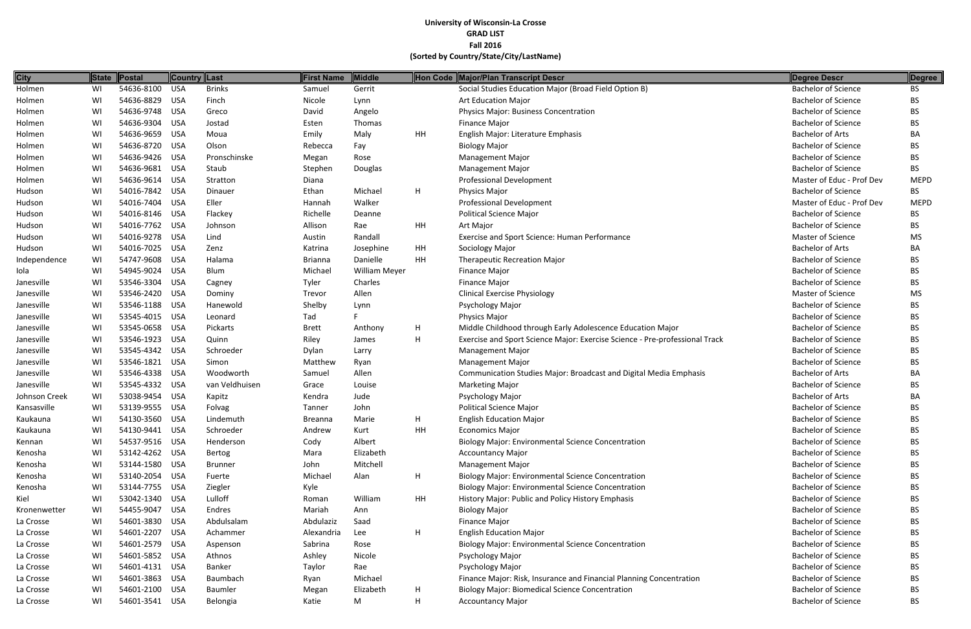| <b>City</b>   |    | State Postal   | Country Last |                | <b>First Name</b> | <b>Middle</b> |    | Hon Code Major/Plan Transcript Descr                                        | Degree Descr               | Degree      |
|---------------|----|----------------|--------------|----------------|-------------------|---------------|----|-----------------------------------------------------------------------------|----------------------------|-------------|
| Holmen        | WI | 54636-8100 USA |              | <b>Brinks</b>  | Samuel            | Gerrit        |    | Social Studies Education Major (Broad Field Option B)                       | <b>Bachelor of Science</b> | <b>BS</b>   |
| Holmen        | WI | 54636-8829     | USA          | Finch          | Nicole            | Lynn          |    | <b>Art Education Major</b>                                                  | <b>Bachelor of Science</b> | <b>BS</b>   |
| Holmen        | WI | 54636-9748 USA |              | Greco          | David             | Angelo        |    | Physics Major: Business Concentration                                       | <b>Bachelor of Science</b> | <b>BS</b>   |
| Holmen        | WI | 54636-9304 USA |              | Jostad         | Esten             | Thomas        |    | Finance Major                                                               | <b>Bachelor of Science</b> | <b>BS</b>   |
| Holmen        | WI | 54636-9659     | USA          | Moua           | Emily             | Maly          | HH | English Major: Literature Emphasis                                          | <b>Bachelor of Arts</b>    | BA          |
| Holmen        | WI | 54636-8720 USA |              | Olson          | Rebecca           | Fay           |    | <b>Biology Major</b>                                                        | <b>Bachelor of Science</b> | BS          |
| Holmen        | WI | 54636-9426 USA |              | Pronschinske   | Megan             | Rose          |    | <b>Management Major</b>                                                     | <b>Bachelor of Science</b> | <b>BS</b>   |
| Holmen        | WI | 54636-9681 USA |              | Staub          | Stephen           | Douglas       |    | <b>Management Major</b>                                                     | <b>Bachelor of Science</b> | <b>BS</b>   |
| Holmen        | WI | 54636-9614 USA |              | Stratton       | Diana             |               |    | <b>Professional Development</b>                                             | Master of Educ - Prof Dev  | <b>MEPD</b> |
| Hudson        | WI | 54016-7842 USA |              | Dinauer        | Ethan             | Michael       | H. | Physics Major                                                               | <b>Bachelor of Science</b> | <b>BS</b>   |
| Hudson        | WI | 54016-7404 USA |              | Eller          | Hannah            | Walker        |    | <b>Professional Development</b>                                             | Master of Educ - Prof Dev  | <b>MEPD</b> |
| Hudson        | WI | 54016-8146 USA |              | Flackey        | Richelle          | Deanne        |    | <b>Political Science Major</b>                                              | <b>Bachelor of Science</b> | <b>BS</b>   |
| Hudson        | WI | 54016-7762 USA |              | Johnson        | Allison           | Rae           | HH | Art Major                                                                   | <b>Bachelor of Science</b> | <b>BS</b>   |
| Hudson        | WI | 54016-9278 USA |              | Lind           | Austin            | Randall       |    | <b>Exercise and Sport Science: Human Performance</b>                        | Master of Science          | <b>MS</b>   |
| Hudson        | WI | 54016-7025     | <b>USA</b>   | Zenz           | Katrina           | Josephine     | HH | Sociology Major                                                             | <b>Bachelor of Arts</b>    | BA          |
| Independence  | WI | 54747-9608 USA |              | Halama         | <b>Brianna</b>    | Danielle      | HH | <b>Therapeutic Recreation Major</b>                                         | <b>Bachelor of Science</b> | <b>BS</b>   |
| Iola          | WI | 54945-9024 USA |              | Blum           | Michael           | William Meyer |    | Finance Major                                                               | <b>Bachelor of Science</b> | <b>BS</b>   |
| Janesville    | WI | 53546-3304 USA |              | Cagney         | Tyler             | Charles       |    | Finance Major                                                               | <b>Bachelor of Science</b> | <b>BS</b>   |
| Janesville    | WI | 53546-2420 USA |              | Dominy         | Trevor            | Allen         |    | <b>Clinical Exercise Physiology</b>                                         | Master of Science          | <b>MS</b>   |
| Janesville    | WI | 53546-1188     | USA          | Hanewold       | Shelby            | Lynn          |    | Psychology Major                                                            | <b>Bachelor of Science</b> | <b>BS</b>   |
| Janesville    | WI | 53545-4015     | USA          | Leonard        | Tad               |               |    | Physics Major                                                               | <b>Bachelor of Science</b> | <b>BS</b>   |
| Janesville    | WI | 53545-0658 USA |              | Pickarts       | <b>Brett</b>      | Anthony       | H. | Middle Childhood through Early Adolescence Education Major                  | <b>Bachelor of Science</b> | <b>BS</b>   |
| Janesville    | WI | 53546-1923     | <b>USA</b>   | Quinn          | Riley             | James         | Н. | Exercise and Sport Science Major: Exercise Science - Pre-professional Track | <b>Bachelor of Science</b> | <b>BS</b>   |
| Janesville    | WI | 53545-4342 USA |              | Schroeder      | Dylan             | Larry         |    | <b>Management Major</b>                                                     | <b>Bachelor of Science</b> | BS          |
| Janesville    | WI | 53546-1821     | USA          | Simon          | Matthew           | Ryan          |    | <b>Management Major</b>                                                     | <b>Bachelor of Science</b> | <b>BS</b>   |
| Janesville    | WI | 53546-4338 USA |              | Woodworth      | Samuel            | Allen         |    | Communication Studies Major: Broadcast and Digital Media Emphasis           | <b>Bachelor of Arts</b>    | BA          |
| Janesville    | WI | 53545-4332 USA |              | van Veldhuisen | Grace             | Louise        |    | <b>Marketing Major</b>                                                      | <b>Bachelor of Science</b> | <b>BS</b>   |
| Johnson Creek | WI | 53038-9454 USA |              | Kapitz         | Kendra            | Jude          |    | Psychology Major                                                            | <b>Bachelor of Arts</b>    | BA          |
| Kansasville   | WI | 53139-9555 USA |              | Folvag         | Tanner            | John          |    | Political Science Major                                                     | <b>Bachelor of Science</b> | BS          |
| Kaukauna      | WI | 54130-3560     | USA          | Lindemuth      | <b>Breanna</b>    | Marie         | H  | <b>English Education Major</b>                                              | <b>Bachelor of Science</b> | <b>BS</b>   |
| Kaukauna      | WI | 54130-9441 USA |              | Schroeder      | Andrew            | Kurt          | HH | <b>Economics Major</b>                                                      | <b>Bachelor of Science</b> | <b>BS</b>   |
| Kennan        | WI | 54537-9516 USA |              | Henderson      | Cody              | Albert        |    | <b>Biology Major: Environmental Science Concentration</b>                   | <b>Bachelor of Science</b> | <b>BS</b>   |
| Kenosha       | WI | 53142-4262 USA |              | Bertog         | Mara              | Elizabeth     |    | <b>Accountancy Major</b>                                                    | <b>Bachelor of Science</b> | <b>BS</b>   |
| Kenosha       | WI | 53144-1580 USA |              | <b>Brunner</b> | John              | Mitchell      |    | <b>Management Major</b>                                                     | <b>Bachelor of Science</b> | <b>BS</b>   |
| Kenosha       | WI | 53140-2054 USA |              | Fuerte         | Michael           | Alan          | Н. | <b>Biology Major: Environmental Science Concentration</b>                   | <b>Bachelor of Science</b> | <b>BS</b>   |
| Kenosha       | WI | 53144-7755 USA |              | Ziegler        | Kyle              |               |    | <b>Biology Major: Environmental Science Concentration</b>                   | <b>Bachelor of Science</b> | <b>BS</b>   |
| Kiel          | WI | 53042-1340 USA |              | Lulloff        | Roman             | William       | HH | History Major: Public and Policy History Emphasis                           | <b>Bachelor of Science</b> | <b>BS</b>   |
| Kronenwetter  | WI | 54455-9047 USA |              | Endres         | Mariah            | Ann           |    | <b>Biology Major</b>                                                        | <b>Bachelor of Science</b> | <b>BS</b>   |
| La Crosse     | WI | 54601-3830 USA |              | Abdulsalam     | Abdulaziz         | Saad          |    | Finance Major                                                               | <b>Bachelor of Science</b> | <b>BS</b>   |
| La Crosse     | WI | 54601-2207 USA |              | Achammer       | Alexandria        | Lee           | H. | <b>English Education Major</b>                                              | <b>Bachelor of Science</b> | <b>BS</b>   |
| La Crosse     | WI | 54601-2579 USA |              | Aspenson       | Sabrina           | Rose          |    | <b>Biology Major: Environmental Science Concentration</b>                   | <b>Bachelor of Science</b> | <b>BS</b>   |
| La Crosse     | WI | 54601-5852 USA |              | Athnos         | Ashley            | Nicole        |    | Psychology Major                                                            | <b>Bachelor of Science</b> | <b>BS</b>   |
| La Crosse     | WI | 54601-4131 USA |              | Banker         | Taylor            | Rae           |    | Psychology Major                                                            | <b>Bachelor of Science</b> | <b>BS</b>   |
| La Crosse     | WI | 54601-3863 USA |              | Baumbach       | Ryan              | Michael       |    | Finance Major: Risk, Insurance and Financial Planning Concentration         | <b>Bachelor of Science</b> | <b>BS</b>   |
| La Crosse     | WI | 54601-2100 USA |              | Baumler        | Megan             | Elizabeth     | Н. | <b>Biology Major: Biomedical Science Concentration</b>                      | <b>Bachelor of Science</b> | <b>BS</b>   |
| La Crosse     | WI | 54601-3541 USA |              | Belongia       | Katie             | M             | Н. | <b>Accountancy Major</b>                                                    | <b>Bachelor of Science</b> | <b>BS</b>   |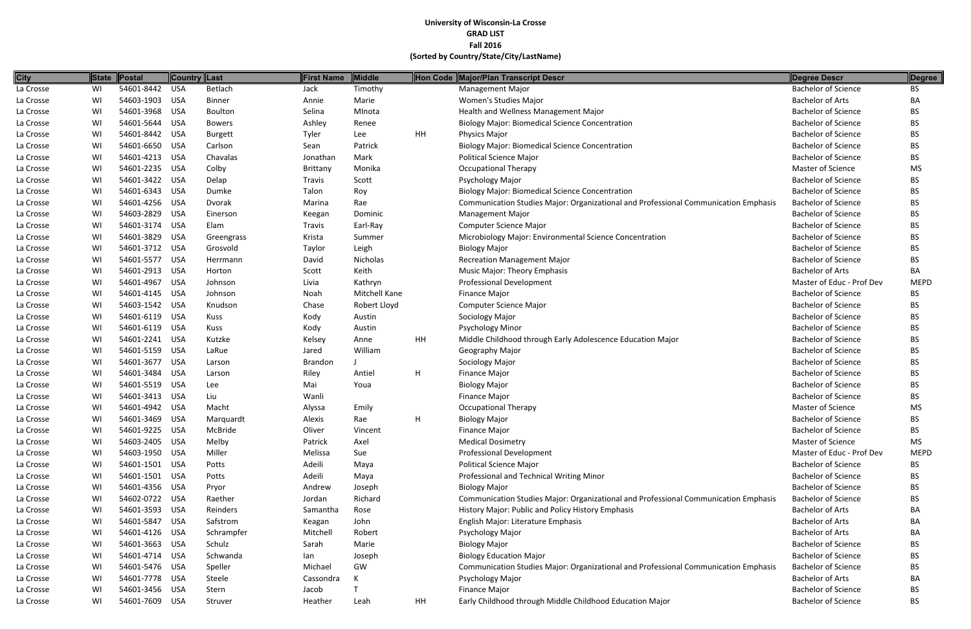| <b>City</b> | State | $\ $ Postal    | <b>Country Last</b> |                | First Name     | Middle        |           | Hon Code Major/Plan Transcript Descr                                                | Degree Descr               | Degree      |
|-------------|-------|----------------|---------------------|----------------|----------------|---------------|-----------|-------------------------------------------------------------------------------------|----------------------------|-------------|
| La Crosse   | WI    | 54601-8442     | <b>USA</b>          | Betlach        | Jack           | Timothy       |           | <b>Management Major</b>                                                             | <b>Bachelor of Science</b> | BS          |
| La Crosse   | WI    | 54603-1903     | <b>USA</b>          | <b>Binner</b>  | Annie          | Marie         |           | Women's Studies Major                                                               | <b>Bachelor of Arts</b>    | <b>BA</b>   |
| La Crosse   | WI    | 54601-3968     | USA                 | Boulton        | Selina         | MInota        |           | Health and Wellness Management Major                                                | <b>Bachelor of Science</b> | <b>BS</b>   |
| La Crosse   | WI    | 54601-5644     | <b>USA</b>          | <b>Bowers</b>  | Ashley         | Renee         |           | <b>Biology Major: Biomedical Science Concentration</b>                              | <b>Bachelor of Science</b> | BS.         |
| La Crosse   | WI    | 54601-8442     | USA                 | <b>Burgett</b> | Tyler          | Lee           | HH        | Physics Major                                                                       | <b>Bachelor of Science</b> | <b>BS</b>   |
| La Crosse   | WI    | 54601-6650 USA |                     | Carlson        | Sean           | Patrick       |           | <b>Biology Major: Biomedical Science Concentration</b>                              | <b>Bachelor of Science</b> | <b>BS</b>   |
| La Crosse   | WI    | 54601-4213     | <b>USA</b>          | Chavalas       | Jonathan       | Mark          |           | <b>Political Science Major</b>                                                      | <b>Bachelor of Science</b> | <b>BS</b>   |
| La Crosse   | WI    | 54601-2235     | USA                 | Colby          | Brittany       | Monika        |           | <b>Occupational Therapy</b>                                                         | Master of Science          | MS          |
| La Crosse   | WI    | 54601-3422     | USA                 | Delap          | Travis         | Scott         |           | Psychology Major                                                                    | <b>Bachelor of Science</b> | BS          |
| La Crosse   | WI    | 54601-6343     | <b>USA</b>          | Dumke          | Talon          | Roy           |           | <b>Biology Major: Biomedical Science Concentration</b>                              | <b>Bachelor of Science</b> | <b>BS</b>   |
| La Crosse   | WI    | 54601-4256     | <b>USA</b>          | Dvorak         | Marina         | Rae           |           | Communication Studies Major: Organizational and Professional Communication Emphasis | <b>Bachelor of Science</b> | <b>BS</b>   |
| La Crosse   | WI    | 54603-2829     | <b>USA</b>          | Einerson       | Keegan         | Dominic       |           | <b>Management Major</b>                                                             | <b>Bachelor of Science</b> | <b>BS</b>   |
| La Crosse   | WI    | 54601-3174     | USA                 | Elam           | Travis         | Earl-Ray      |           | Computer Science Major                                                              | <b>Bachelor of Science</b> | <b>BS</b>   |
| La Crosse   | WI    | 54601-3829     | USA                 | Greengrass     | Krista         | Summer        |           | Microbiology Major: Environmental Science Concentration                             | <b>Bachelor of Science</b> | <b>BS</b>   |
| La Crosse   | WI    | 54601-3712     | <b>USA</b>          | Grosvold       | Taylor         | Leigh         |           | <b>Biology Major</b>                                                                | <b>Bachelor of Science</b> | <b>BS</b>   |
| La Crosse   | WI    | 54601-5577     | USA                 | Herrmann       | David          | Nicholas      |           | <b>Recreation Management Major</b>                                                  | <b>Bachelor of Science</b> | <b>BS</b>   |
| La Crosse   | WI    | 54601-2913     | <b>USA</b>          | Horton         | Scott          | Keith         |           | <b>Music Major: Theory Emphasis</b>                                                 | <b>Bachelor of Arts</b>    | BA          |
| La Crosse   | WI    | 54601-4967     | <b>USA</b>          | Johnson        | Livia          | Kathryn       |           | <b>Professional Development</b>                                                     | Master of Educ - Prof Dev  | <b>MEPD</b> |
| La Crosse   | WI    | 54601-4145     | USA                 | Johnson        | Noah           | Mitchell Kane |           | Finance Major                                                                       | <b>Bachelor of Science</b> | BS.         |
| La Crosse   | WI    | 54603-1542 USA |                     | Knudson        | Chase          | Robert Lloyd  |           | <b>Computer Science Major</b>                                                       | <b>Bachelor of Science</b> | <b>BS</b>   |
| La Crosse   | WI    | 54601-6119     | USA                 | Kuss           | Kody           | Austin        |           | Sociology Major                                                                     | <b>Bachelor of Science</b> | <b>BS</b>   |
| La Crosse   | WI    | 54601-6119     | USA                 | Kuss           | Kody           | Austin        |           | <b>Psychology Minor</b>                                                             | <b>Bachelor of Science</b> | <b>BS</b>   |
| La Crosse   | WI    | 54601-2241     | USA                 | Kutzke         | Kelsey         | Anne          | HH        | Middle Childhood through Early Adolescence Education Major                          | <b>Bachelor of Science</b> | <b>BS</b>   |
| La Crosse   | WI    | 54601-5159     | <b>USA</b>          | LaRue          | Jared          | William       |           | Geography Major                                                                     | <b>Bachelor of Science</b> | <b>BS</b>   |
| La Crosse   | WI    | 54601-3677     | <b>USA</b>          | Larson         | <b>Brandon</b> |               |           | Sociology Major                                                                     | <b>Bachelor of Science</b> | <b>BS</b>   |
| La Crosse   | WI    | 54601-3484     | USA                 | Larson         | Riley          | Antiel        | H         | <b>Finance Major</b>                                                                | <b>Bachelor of Science</b> | <b>BS</b>   |
| La Crosse   | WI    | 54601-5519 USA |                     | Lee            | Mai            | Youa          |           | <b>Biology Major</b>                                                                | <b>Bachelor of Science</b> | <b>BS</b>   |
| La Crosse   | WI    | 54601-3413     | <b>USA</b>          | Liu            | Wanli          |               |           | Finance Major                                                                       | <b>Bachelor of Science</b> | <b>BS</b>   |
| La Crosse   | WI    | 54601-4942 USA |                     | Macht          | Alyssa         | Emily         |           | <b>Occupational Therapy</b>                                                         | Master of Science          | <b>MS</b>   |
| La Crosse   | WI    | 54601-3469     | USA                 | Marquardt      | Alexis         | Rae           | H         | <b>Biology Major</b>                                                                | <b>Bachelor of Science</b> | <b>BS</b>   |
| La Crosse   | WI    | 54601-9225 USA |                     | McBride        | Oliver         | Vincent       |           | Finance Major                                                                       | <b>Bachelor of Science</b> | <b>BS</b>   |
| La Crosse   | WI    | 54603-2405 USA |                     | Melby          | Patrick        | Axel          |           | <b>Medical Dosimetry</b>                                                            | Master of Science          | MS          |
| La Crosse   | WI    | 54603-1950 USA |                     | Miller         | Melissa        | Sue           |           | <b>Professional Development</b>                                                     | Master of Educ - Prof Dev  | <b>MEPD</b> |
| La Crosse   | WI    | 54601-1501 USA |                     | Potts          | Adeili         | Maya          |           | <b>Political Science Major</b>                                                      | <b>Bachelor of Science</b> | BS          |
| La Crosse   | WI    | 54601-1501     | USA                 | Potts          | Adeili         | Maya          |           | Professional and Technical Writing Minor                                            | <b>Bachelor of Science</b> | <b>BS</b>   |
| La Crosse   | WI    | 54601-4356 USA |                     | Pryor          | Andrew         | Joseph        |           | <b>Biology Major</b>                                                                | <b>Bachelor of Science</b> | <b>BS</b>   |
| La Crosse   | WI    | 54602-0722 USA |                     | Raether        | Jordan         | Richard       |           | Communication Studies Major: Organizational and Professional Communication Emphasis | <b>Bachelor of Science</b> | <b>BS</b>   |
| La Crosse   | WI    | 54601-3593     | USA                 | Reinders       | Samantha       | Rose          |           | History Major: Public and Policy History Emphasis                                   | <b>Bachelor of Arts</b>    | BA          |
| La Crosse   | WI    | 54601-5847     | USA                 | Safstrom       | Keagan         | John          |           | English Major: Literature Emphasis                                                  | <b>Bachelor of Arts</b>    | BA          |
| La Crosse   | WI    | 54601-4126 USA |                     | Schrampfer     | Mitchell       | Robert        |           | Psychology Major                                                                    | <b>Bachelor of Arts</b>    | BA          |
| La Crosse   | WI    | 54601-3663 USA |                     | Schulz         | Sarah          | Marie         |           | <b>Biology Major</b>                                                                | <b>Bachelor of Science</b> | <b>BS</b>   |
| La Crosse   | WI    | 54601-4714 USA |                     | Schwanda       | lan            | Joseph        |           | <b>Biology Education Major</b>                                                      | <b>Bachelor of Science</b> | <b>BS</b>   |
| La Crosse   | WI    | 54601-5476 USA |                     | Speller        | Michael        | GW            |           | Communication Studies Major: Organizational and Professional Communication Emphasis | <b>Bachelor of Science</b> | <b>BS</b>   |
| La Crosse   | WI    | 54601-7778 USA |                     | Steele         | Cassondra      |               |           | Psychology Major                                                                    | <b>Bachelor of Arts</b>    | BA          |
| La Crosse   | WI    | 54601-3456 USA |                     | Stern          | Jacob          |               |           | <b>Finance Major</b>                                                                | <b>Bachelor of Science</b> |             |
| La Crosse   | WI    | 54601-7609 USA |                     | Struver        | Heather        |               | <b>HH</b> | Early Childhood through Middle Childhood Education Major                            | <b>Bachelor of Science</b> | <b>BS</b>   |
|             |       |                |                     |                |                | Leah          |           |                                                                                     |                            | <b>BS</b>   |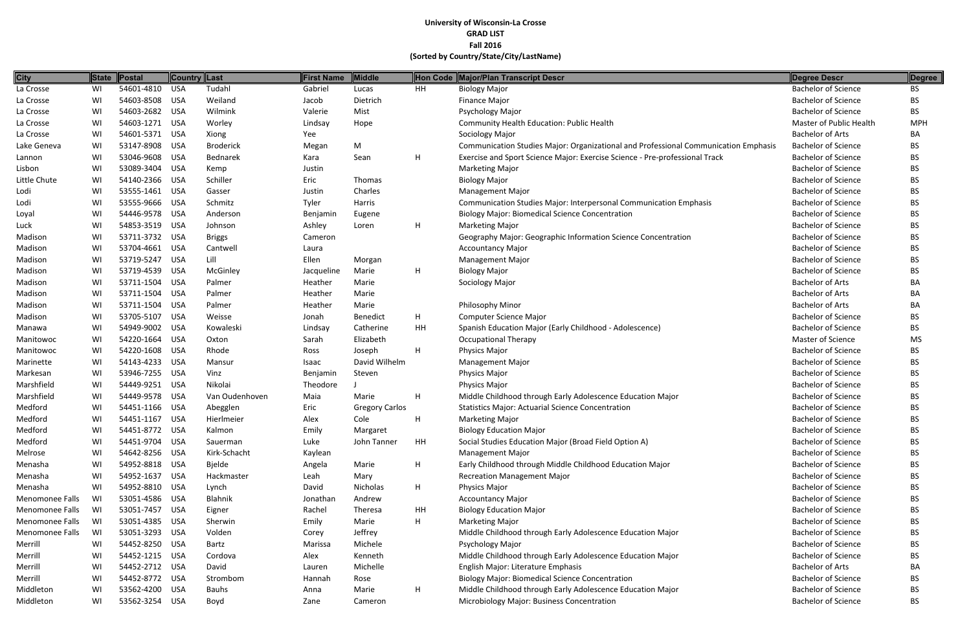| <b>City</b>     |    | State Postal   | Country Last |                  | First Name | Middle                |    | Hon Code Major/Plan Transcript Descr                                                | Degree Descr               | <b>Degree</b> |
|-----------------|----|----------------|--------------|------------------|------------|-----------------------|----|-------------------------------------------------------------------------------------|----------------------------|---------------|
| La Crosse       | WI | 54601-4810     | <b>USA</b>   | Tudahl           | Gabriel    | Lucas                 | HH | <b>Biology Major</b>                                                                | <b>Bachelor of Science</b> | <b>BS</b>     |
| La Crosse       | WI | 54603-8508     | <b>USA</b>   | Weiland          | Jacob      | Dietrich              |    | Finance Major                                                                       | <b>Bachelor of Science</b> | <b>BS</b>     |
| La Crosse       | WI | 54603-2682 USA |              | Wilmink          | Valerie    | Mist                  |    | Psychology Major                                                                    | <b>Bachelor of Science</b> | <b>BS</b>     |
| La Crosse       | WI | 54603-1271     | <b>USA</b>   | Worley           | Lindsay    | Hope                  |    | Community Health Education: Public Health                                           | Master of Public Health    | <b>MPH</b>    |
| La Crosse       | WI | 54601-5371 USA |              | Xiong            | Yee        |                       |    | Sociology Major                                                                     | <b>Bachelor of Arts</b>    | ВA            |
| Lake Geneva     | WI | 53147-8908     | <b>USA</b>   | <b>Broderick</b> | Megan      | M                     |    | Communication Studies Major: Organizational and Professional Communication Emphasis | <b>Bachelor of Science</b> | BS.           |
| Lannon          | WI | 53046-9608     | <b>USA</b>   | Bednarek         | Kara       | Sean                  | H  | Exercise and Sport Science Major: Exercise Science - Pre-professional Track         | <b>Bachelor of Science</b> | <b>BS</b>     |
| Lisbon          | WI | 53089-3404     | <b>USA</b>   | Kemp             | Justin     |                       |    | <b>Marketing Major</b>                                                              | <b>Bachelor of Science</b> | <b>BS</b>     |
| Little Chute    | WI | 54140-2366     | <b>USA</b>   | Schiller         | Eric       | Thomas                |    | <b>Biology Major</b>                                                                | <b>Bachelor of Science</b> | <b>BS</b>     |
| Lodi            | WI | 53555-1461     | <b>USA</b>   | Gasser           | Justin     | Charles               |    | <b>Management Major</b>                                                             | <b>Bachelor of Science</b> | <b>BS</b>     |
| Lodi            | WI | 53555-9666     | <b>USA</b>   | Schmitz          | Tyler      | Harris                |    | Communication Studies Major: Interpersonal Communication Emphasis                   | <b>Bachelor of Science</b> | <b>BS</b>     |
| Loyal           | WI | 54446-9578     | <b>USA</b>   | Anderson         | Benjamin   | Eugene                |    | <b>Biology Major: Biomedical Science Concentration</b>                              | <b>Bachelor of Science</b> | <b>BS</b>     |
| Luck            | WI | 54853-3519 USA |              | Johnson          | Ashley     | Loren                 | H  | <b>Marketing Major</b>                                                              | <b>Bachelor of Science</b> | <b>BS</b>     |
| Madison         | WI | 53711-3732     | <b>USA</b>   | <b>Briggs</b>    | Cameron    |                       |    | Geography Major: Geographic Information Science Concentration                       | <b>Bachelor of Science</b> | <b>BS</b>     |
| Madison         | WI | 53704-4661     | <b>USA</b>   | Cantwell         | Laura      |                       |    | <b>Accountancy Major</b>                                                            | <b>Bachelor of Science</b> | <b>BS</b>     |
| Madison         | WI | 53719-5247     | <b>USA</b>   | Lill             | Ellen      | Morgan                |    | <b>Management Major</b>                                                             | <b>Bachelor of Science</b> | <b>BS</b>     |
| Madison         | WI | 53719-4539     | USA          | McGinley         | Jacqueline | Marie                 | H  | <b>Biology Major</b>                                                                | <b>Bachelor of Science</b> | <b>BS</b>     |
| Madison         | WI | 53711-1504     | <b>USA</b>   | Palmer           | Heather    | Marie                 |    | Sociology Major                                                                     | <b>Bachelor of Arts</b>    | BA            |
| Madison         | WI | 53711-1504     | <b>USA</b>   | Palmer           | Heather    | Marie                 |    |                                                                                     | <b>Bachelor of Arts</b>    | BA            |
| Madison         | WI | 53711-1504     | <b>USA</b>   | Palmer           | Heather    | Marie                 |    | Philosophy Minor                                                                    | <b>Bachelor of Arts</b>    | BA            |
| Madison         | WI | 53705-5107     | <b>USA</b>   | Weisse           | Jonah      | Benedict              | H  | <b>Computer Science Major</b>                                                       | <b>Bachelor of Science</b> | BS.           |
| Manawa          | WI | 54949-9002     | <b>USA</b>   | Kowaleski        | Lindsay    | Catherine             | HH | Spanish Education Major (Early Childhood - Adolescence)                             | <b>Bachelor of Science</b> | <b>BS</b>     |
| Manitowoc       | WI | 54220-1664     | <b>USA</b>   | Oxton            | Sarah      | Elizabeth             |    | <b>Occupational Therapy</b>                                                         | Master of Science          | <b>MS</b>     |
| Manitowoc       | WI | 54220-1608     | <b>USA</b>   | Rhode            | Ross       | Joseph                | H  | Physics Major                                                                       | <b>Bachelor of Science</b> | <b>BS</b>     |
| Marinette       | WI | 54143-4233     | <b>USA</b>   | Mansur           | Isaac      | David Wilhelm         |    | <b>Management Major</b>                                                             | <b>Bachelor of Science</b> | <b>BS</b>     |
| Markesan        | WI | 53946-7255 USA |              | Vinz             | Benjamin   | Steven                |    | <b>Physics Major</b>                                                                | <b>Bachelor of Science</b> | <b>BS</b>     |
| Marshfield      | WI | 54449-9251     | <b>USA</b>   | Nikolai          | Theodore   |                       |    | <b>Physics Major</b>                                                                | <b>Bachelor of Science</b> | <b>BS</b>     |
| Marshfield      | WI | 54449-9578     | <b>USA</b>   | Van Oudenhoven   | Maia       | Marie                 | H  | Middle Childhood through Early Adolescence Education Major                          | <b>Bachelor of Science</b> | <b>BS</b>     |
| Medford         | WI | 54451-1166     | <b>USA</b>   | Abegglen         | Eric       | <b>Gregory Carlos</b> |    | <b>Statistics Major: Actuarial Science Concentration</b>                            | <b>Bachelor of Science</b> | <b>BS</b>     |
| Medford         | WI | 54451-1167     | <b>USA</b>   | Hierlmeier       | Alex       | Cole                  | Н  | <b>Marketing Major</b>                                                              | <b>Bachelor of Science</b> | <b>BS</b>     |
| Medford         | WI | 54451-8772 USA |              | Kalmon           | Emily      | Margaret              |    | <b>Biology Education Major</b>                                                      | <b>Bachelor of Science</b> | <b>BS</b>     |
| Medford         | WI | 54451-9704     | USA          | Sauerman         | Luke       | John Tanner           | HH | Social Studies Education Major (Broad Field Option A)                               | <b>Bachelor of Science</b> | <b>BS</b>     |
| Melrose         | WI | 54642-8256 USA |              | Kirk-Schacht     | Kaylean    |                       |    | <b>Management Major</b>                                                             | <b>Bachelor of Science</b> | <b>BS</b>     |
| Menasha         | WI | 54952-8818 USA |              | Bjelde           | Angela     | Marie                 | H  | Early Childhood through Middle Childhood Education Major                            | <b>Bachelor of Science</b> | <b>BS</b>     |
| Menasha         | WI | 54952-1637 USA |              | Hackmaster       | Leah       | Mary                  |    | <b>Recreation Management Major</b>                                                  | <b>Bachelor of Science</b> | <b>BS</b>     |
| Menasha         | WI | 54952-8810 USA |              | Lynch            | David      | Nicholas              | H  | Physics Major                                                                       | <b>Bachelor of Science</b> | <b>BS</b>     |
| Menomonee Falls | WI | 53051-4586 USA |              | Blahnik          | Jonathan   | Andrew                |    | <b>Accountancy Major</b>                                                            | <b>Bachelor of Science</b> | <b>BS</b>     |
| Menomonee Falls | WI | 53051-7457 USA |              | Eigner           | Rachel     | Theresa               | HH | <b>Biology Education Major</b>                                                      | <b>Bachelor of Science</b> | <b>BS</b>     |
| Menomonee Falls | WI | 53051-4385 USA |              | Sherwin          | Emily      | Marie                 | H  | <b>Marketing Major</b>                                                              | <b>Bachelor of Science</b> | <b>BS</b>     |
| Menomonee Falls | WI | 53051-3293 USA |              | Volden           | Corey      | Jeffrey               |    | Middle Childhood through Early Adolescence Education Major                          | <b>Bachelor of Science</b> | <b>BS</b>     |
| Merrill         | WI | 54452-8250 USA |              | Bartz            | Marissa    | Michele               |    | Psychology Major                                                                    | <b>Bachelor of Science</b> | <b>BS</b>     |
| Merrill         | WI | 54452-1215 USA |              | Cordova          | Alex       | Kenneth               |    | Middle Childhood through Early Adolescence Education Major                          | <b>Bachelor of Science</b> | <b>BS</b>     |
| Merrill         | WI | 54452-2712 USA |              | David            | Lauren     | Michelle              |    | English Major: Literature Emphasis                                                  | <b>Bachelor of Arts</b>    | BA            |
| Merrill         | WI | 54452-8772 USA |              | Strombom         | Hannah     | Rose                  |    | <b>Biology Major: Biomedical Science Concentration</b>                              | <b>Bachelor of Science</b> | <b>BS</b>     |
| Middleton       | WI | 53562-4200 USA |              | <b>Bauhs</b>     | Anna       | Marie                 | H  | Middle Childhood through Early Adolescence Education Major                          | <b>Bachelor of Science</b> | <b>BS</b>     |
| Middleton       | WI | 53562-3254 USA |              | Boyd             |            |                       |    | Microbiology Major: Business Concentration                                          | <b>Bachelor of Science</b> |               |
|                 |    |                |              |                  | Zane       | Cameron               |    |                                                                                     |                            | <b>BS</b>     |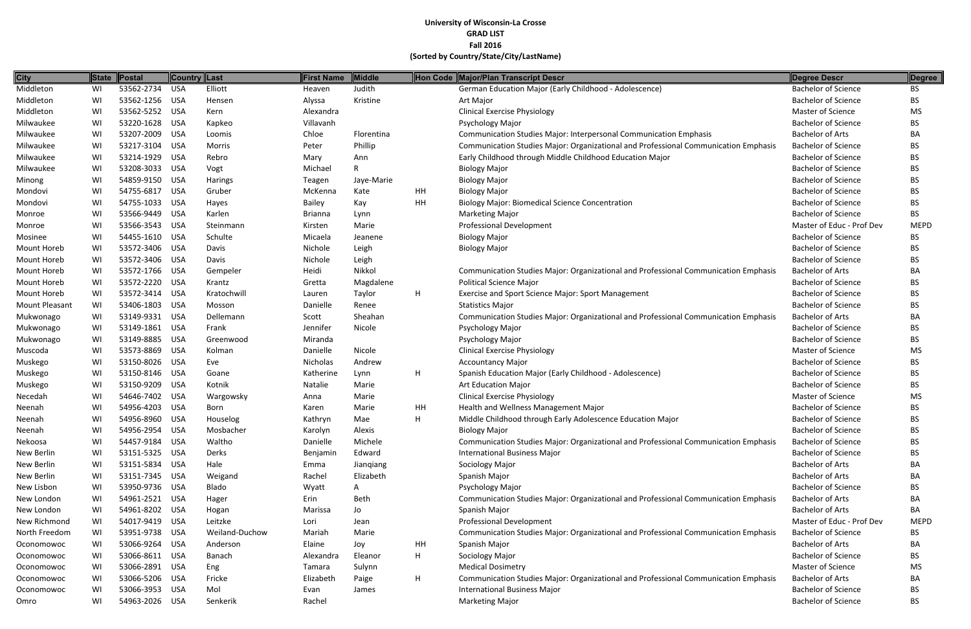| <b>City</b>    |    | State Postal   | Country Last |                | <b>First Name</b> | <b>Middle</b> |    | Hon Code Major/Plan Transcript Descr                                                | Degree Descr               | Degree      |
|----------------|----|----------------|--------------|----------------|-------------------|---------------|----|-------------------------------------------------------------------------------------|----------------------------|-------------|
| Middleton      | WI | 53562-2734     | <b>USA</b>   | Elliott        | Heaven            | Judith        |    | German Education Major (Early Childhood - Adolescence)                              | <b>Bachelor of Science</b> | <b>BS</b>   |
| Middleton      | WI | 53562-1256     | <b>USA</b>   | Hensen         | Alyssa            | Kristine      |    | Art Major                                                                           | <b>Bachelor of Science</b> | <b>BS</b>   |
| Middleton      | WI | 53562-5252     | <b>USA</b>   | Kern           | Alexandra         |               |    | <b>Clinical Exercise Physiology</b>                                                 | Master of Science          | <b>MS</b>   |
| Milwaukee      | WI | 53220-1628     | <b>USA</b>   | Kapkeo         | Villavanh         |               |    | Psychology Major                                                                    | <b>Bachelor of Science</b> | <b>BS</b>   |
| Milwaukee      | WI | 53207-2009     | USA          | Loomis         | Chloe             | Florentina    |    | Communication Studies Major: Interpersonal Communication Emphasis                   | <b>Bachelor of Arts</b>    | BA          |
| Milwaukee      | WI | 53217-3104     | <b>USA</b>   | Morris         | Peter             | Phillip       |    | Communication Studies Major: Organizational and Professional Communication Emphasis | <b>Bachelor of Science</b> | <b>BS</b>   |
| Milwaukee      | WI | 53214-1929     | <b>USA</b>   | Rebro          | Mary              | Ann           |    | Early Childhood through Middle Childhood Education Major                            | <b>Bachelor of Science</b> | <b>BS</b>   |
| Milwaukee      | WI | 53208-3033     | <b>USA</b>   | Vogt           | Michael           | $\mathsf{R}$  |    | <b>Biology Major</b>                                                                | <b>Bachelor of Science</b> | <b>BS</b>   |
| Minong         | WI | 54859-9150     | USA          | Harings        | Teagen            | Jaye-Marie    |    | <b>Biology Major</b>                                                                | <b>Bachelor of Science</b> | <b>BS</b>   |
| Mondovi        | WI | 54755-6817     | USA          | Gruber         | McKenna           | Kate          | HH | <b>Biology Major</b>                                                                | <b>Bachelor of Science</b> | <b>BS</b>   |
| Mondovi        | WI | 54755-1033     | <b>USA</b>   | Hayes          | <b>Bailey</b>     | Kay           | HH | <b>Biology Major: Biomedical Science Concentration</b>                              | <b>Bachelor of Science</b> | <b>BS</b>   |
| Monroe         | WI | 53566-9449     | <b>USA</b>   | Karlen         | <b>Brianna</b>    | Lynn          |    | <b>Marketing Major</b>                                                              | <b>Bachelor of Science</b> | <b>BS</b>   |
| Monroe         | WI | 53566-3543     | <b>USA</b>   | Steinmann      | Kirsten           | Marie         |    | Professional Development                                                            | Master of Educ - Prof Dev  | <b>MEPD</b> |
| Mosinee        | WI | 54455-1610     | <b>USA</b>   | Schulte        | Micaela           | Jeanene       |    | <b>Biology Major</b>                                                                | <b>Bachelor of Science</b> | BS          |
| Mount Horeb    | WI | 53572-3406     | <b>USA</b>   | Davis          | Nichole           | Leigh         |    | <b>Biology Major</b>                                                                | <b>Bachelor of Science</b> | <b>BS</b>   |
| Mount Horeb    | WI | 53572-3406 USA |              | Davis          | Nichole           | Leigh         |    |                                                                                     | <b>Bachelor of Science</b> | <b>BS</b>   |
| Mount Horeb    | WI | 53572-1766     | <b>USA</b>   | Gempeler       | Heidi             | Nikkol        |    | Communication Studies Major: Organizational and Professional Communication Emphasis | <b>Bachelor of Arts</b>    | BA          |
| Mount Horeb    | WI | 53572-2220     | USA          | Krantz         | Gretta            | Magdalene     |    | <b>Political Science Major</b>                                                      | <b>Bachelor of Science</b> | <b>BS</b>   |
| Mount Horeb    | WI | 53572-3414 USA |              | Kratochwill    | Lauren            | Taylor        | H  | Exercise and Sport Science Major: Sport Management                                  | <b>Bachelor of Science</b> | <b>BS</b>   |
| Mount Pleasant | WI | 53406-1803     | USA          | Mosson         | Danielle          | Renee         |    | <b>Statistics Major</b>                                                             | <b>Bachelor of Science</b> | <b>BS</b>   |
| Mukwonago      | WI | 53149-9331     | <b>USA</b>   | Dellemann      | Scott             | Sheahan       |    | Communication Studies Major: Organizational and Professional Communication Emphasis | <b>Bachelor of Arts</b>    | BA          |
| Mukwonago      | WI | 53149-1861     | <b>USA</b>   | Frank          | Jennifer          | Nicole        |    | Psychology Major                                                                    | <b>Bachelor of Science</b> | <b>BS</b>   |
| Mukwonago      | WI | 53149-8885     | <b>USA</b>   | Greenwood      | Miranda           |               |    | Psychology Major                                                                    | <b>Bachelor of Science</b> | <b>BS</b>   |
| Muscoda        | WI | 53573-8869     | <b>USA</b>   | Kolman         | Danielle          | Nicole        |    | <b>Clinical Exercise Physiology</b>                                                 | <b>Master of Science</b>   | MS          |
| Muskego        | WI | 53150-8026     | USA          | Eve            | Nicholas          | Andrew        |    | <b>Accountancy Major</b>                                                            | <b>Bachelor of Science</b> | <b>BS</b>   |
| Muskego        | WI | 53150-8146 USA |              | Goane          | Katherine         | Lynn          | H  | Spanish Education Major (Early Childhood - Adolescence)                             | <b>Bachelor of Science</b> | <b>BS</b>   |
| Muskego        | WI | 53150-9209     | <b>USA</b>   | Kotnik         | Natalie           | Marie         |    | <b>Art Education Major</b>                                                          | <b>Bachelor of Science</b> | <b>BS</b>   |
| Necedah        | WI | 54646-7402     | USA          | Wargowsky      | Anna              | Marie         |    | <b>Clinical Exercise Physiology</b>                                                 | Master of Science          | <b>MS</b>   |
| Neenah         | WI | 54956-4203     | <b>USA</b>   | Born           | Karen             | Marie         | HH | Health and Wellness Management Major                                                | <b>Bachelor of Science</b> | <b>BS</b>   |
| Neenah         | WI | 54956-8960     | <b>USA</b>   | Houselog       | Kathryn           | Mae           | H  | Middle Childhood through Early Adolescence Education Major                          | <b>Bachelor of Science</b> | <b>BS</b>   |
| Neenah         | WI | 54956-2954 USA |              | Mosbacher      | Karolyn           | Alexis        |    | <b>Biology Major</b>                                                                | <b>Bachelor of Science</b> | <b>BS</b>   |
| Nekoosa        | WI | 54457-9184     | <b>USA</b>   | Waltho         | Danielle          | Michele       |    | Communication Studies Major: Organizational and Professional Communication Emphasis | <b>Bachelor of Science</b> | BS.         |
| New Berlin     | WI | 53151-5325     | <b>USA</b>   | Derks          | Benjamin          | Edward        |    | International Business Major                                                        | <b>Bachelor of Science</b> | <b>BS</b>   |
| New Berlin     | WI | 53151-5834 USA |              | Hale           | Emma              | Jiangiang     |    | Sociology Major                                                                     | <b>Bachelor of Arts</b>    | BA          |
| New Berlin     | WI | 53151-7345 USA |              | Weigand        | Rachel            | Elizabeth     |    | Spanish Major                                                                       | <b>Bachelor of Arts</b>    | BA          |
| New Lisbon     | WI | 53950-9736 USA |              | Blado          | Wyatt             | A             |    | Psychology Major                                                                    | <b>Bachelor of Science</b> | <b>BS</b>   |
| New London     | WI | 54961-2521 USA |              | Hager          | Erin              | Beth          |    | Communication Studies Major: Organizational and Professional Communication Emphasis | <b>Bachelor of Arts</b>    | BA          |
| New London     | WI | 54961-8202 USA |              | Hogan          | Marissa           | Jo            |    | Spanish Major                                                                       | <b>Bachelor of Arts</b>    | BA          |
| New Richmond   | WI | 54017-9419 USA |              | Leitzke        | Lori              | Jean          |    | <b>Professional Development</b>                                                     | Master of Educ - Prof Dev  | <b>MEPD</b> |
| North Freedom  | WI | 53951-9738     | <b>USA</b>   | Weiland-Duchow | Mariah            | Marie         |    | Communication Studies Major: Organizational and Professional Communication Emphasis | <b>Bachelor of Science</b> | <b>BS</b>   |
| Oconomowoc     | WI | 53066-9264     | <b>USA</b>   | Anderson       | Elaine            | Joy           | HH | Spanish Major                                                                       | <b>Bachelor of Arts</b>    | BA          |
| Oconomowoc     | WI | 53066-8611 USA |              | <b>Banach</b>  | Alexandra         | Eleanor       | H  | Sociology Major                                                                     | <b>Bachelor of Science</b> | BS          |
| Oconomowoc     | WI | 53066-2891     | <b>USA</b>   | Eng            | Tamara            | Sulynn        |    | <b>Medical Dosimetry</b>                                                            | Master of Science          | MS          |
| Oconomowoc     | WI | 53066-5206 USA |              | Fricke         | Elizabeth         | Paige         | H  | Communication Studies Major: Organizational and Professional Communication Emphasis | <b>Bachelor of Arts</b>    | BA          |
| Oconomowoc     | WI | 53066-3953 USA |              | Mol            | Evan              | James         |    | <b>International Business Major</b>                                                 | <b>Bachelor of Science</b> | BS.         |
| Omro           | WI | 54963-2026 USA |              | Senkerik       | Rachel            |               |    | <b>Marketing Major</b>                                                              | <b>Bachelor of Science</b> | <b>BS</b>   |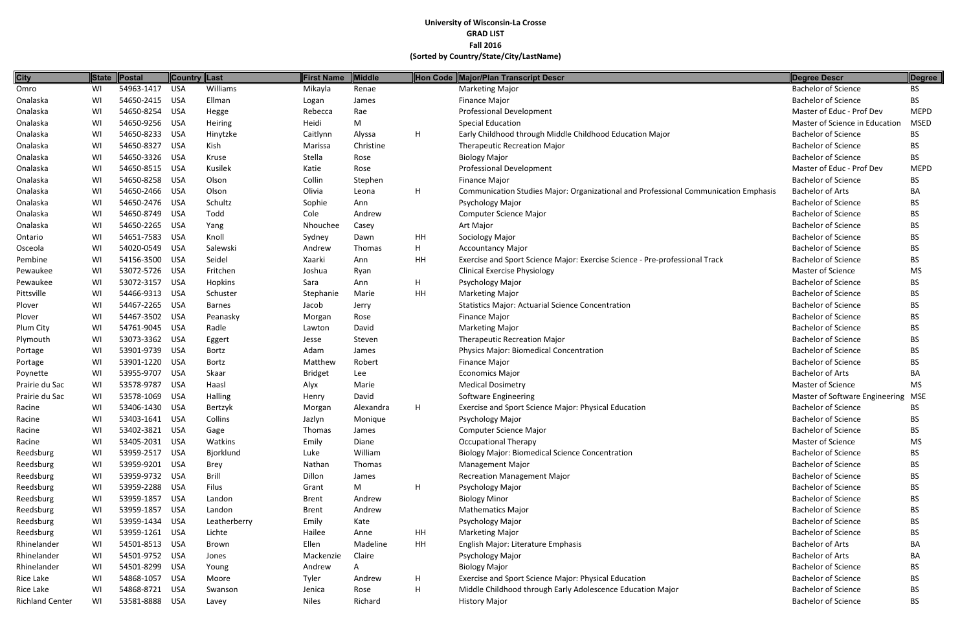| <b>City</b>            | <b>State</b> | Postal         | Country Last |               | First Name     | <b>Middle</b> |    | Hon Code Major/Plan Transcript Descr                                                | Degree Descr                       | Degree      |
|------------------------|--------------|----------------|--------------|---------------|----------------|---------------|----|-------------------------------------------------------------------------------------|------------------------------------|-------------|
| Omro                   | WI           | 54963-1417     | USA          | Williams      | Mikayla        | Renae         |    | <b>Marketing Major</b>                                                              | <b>Bachelor of Science</b>         | <b>BS</b>   |
| Onalaska               | WI           | 54650-2415     | <b>USA</b>   | Ellman        | Logan          | James         |    | Finance Major                                                                       | <b>Bachelor of Science</b>         | <b>BS</b>   |
| Onalaska               | WI           | 54650-8254 USA |              | Hegge         | Rebecca        | Rae           |    | <b>Professional Development</b>                                                     | Master of Educ - Prof Dev          | <b>MEPD</b> |
| Onalaska               | WI           | 54650-9256 USA |              | Heiring       | Heidi          | M             |    | <b>Special Education</b>                                                            | Master of Science in Education     | <b>MSED</b> |
| Onalaska               | WI           | 54650-8233     | USA          | Hinytzke      | Caitlynn       | Alyssa        | H. | Early Childhood through Middle Childhood Education Major                            | <b>Bachelor of Science</b>         | <b>BS</b>   |
| Onalaska               | WI           | 54650-8327     | USA          | Kish          | Marissa        | Christine     |    | <b>Therapeutic Recreation Major</b>                                                 | <b>Bachelor of Science</b>         | <b>BS</b>   |
| Onalaska               | WI           | 54650-3326     | <b>USA</b>   | Kruse         | Stella         | Rose          |    | <b>Biology Major</b>                                                                | <b>Bachelor of Science</b>         | <b>BS</b>   |
| Onalaska               | WI           | 54650-8515     | <b>USA</b>   | Kusilek       | Katie          | Rose          |    | <b>Professional Development</b>                                                     | Master of Educ - Prof Dev          | <b>MEPD</b> |
| Onalaska               | WI           | 54650-8258 USA |              | Olson         | Collin         | Stephen       |    | Finance Major                                                                       | <b>Bachelor of Science</b>         | BS.         |
| Onalaska               | WI           | 54650-2466     | USA          | Olson         | Olivia         | Leona         | H  | Communication Studies Major: Organizational and Professional Communication Emphasis | <b>Bachelor of Arts</b>            | BA          |
| Onalaska               | WI           | 54650-2476 USA |              | Schultz       | Sophie         | Ann           |    | Psychology Major                                                                    | <b>Bachelor of Science</b>         | <b>BS</b>   |
| Onalaska               | WI           | 54650-8749     | <b>USA</b>   | Todd          | Cole           | Andrew        |    | Computer Science Major                                                              | <b>Bachelor of Science</b>         | <b>BS</b>   |
| Onalaska               | WI           | 54650-2265     | <b>USA</b>   | Yang          | Nhouchee       | Casey         |    | Art Major                                                                           | <b>Bachelor of Science</b>         | <b>BS</b>   |
| Ontario                | WI           | 54651-7583     | <b>USA</b>   | Knoll         | Sydney         | Dawn          | HH | Sociology Major                                                                     | <b>Bachelor of Science</b>         | BS.         |
| Osceola                | WI           | 54020-0549     | <b>USA</b>   | Salewski      | Andrew         | Thomas        | H. | <b>Accountancy Major</b>                                                            | <b>Bachelor of Science</b>         | <b>BS</b>   |
| Pembine                | WI           | 54156-3500     | <b>USA</b>   | Seidel        | Xaarki         | Ann           | HH | Exercise and Sport Science Major: Exercise Science - Pre-professional Track         | <b>Bachelor of Science</b>         | <b>BS</b>   |
| Pewaukee               | WI           | 53072-5726     | USA          | Fritchen      | Joshua         | Ryan          |    | <b>Clinical Exercise Physiology</b>                                                 | Master of Science                  | <b>MS</b>   |
| Pewaukee               | WI           | 53072-3157     | <b>USA</b>   | Hopkins       | Sara           | Ann           | H  | Psychology Major                                                                    | <b>Bachelor of Science</b>         | <b>BS</b>   |
| Pittsville             | WI           | 54466-9313     | USA          | Schuster      | Stephanie      | Marie         | HH | <b>Marketing Major</b>                                                              | <b>Bachelor of Science</b>         | <b>BS</b>   |
| Plover                 | WI           | 54467-2265     | <b>USA</b>   | <b>Barnes</b> | Jacob          | Jerry         |    | <b>Statistics Major: Actuarial Science Concentration</b>                            | <b>Bachelor of Science</b>         | <b>BS</b>   |
| Plover                 | WI           | 54467-3502 USA |              | Peanasky      | Morgan         | Rose          |    | <b>Finance Major</b>                                                                | <b>Bachelor of Science</b>         | <b>BS</b>   |
| Plum City              | WI           | 54761-9045     | <b>USA</b>   | Radle         | Lawton         | David         |    | <b>Marketing Major</b>                                                              | <b>Bachelor of Science</b>         | <b>BS</b>   |
| Plymouth               | WI           | 53073-3362     | USA          | Eggert        | Jesse          | Steven        |    | <b>Therapeutic Recreation Major</b>                                                 | <b>Bachelor of Science</b>         | <b>BS</b>   |
| Portage                | WI           | 53901-9739     | USA          | <b>Bortz</b>  | Adam           | James         |    | Physics Major: Biomedical Concentration                                             | <b>Bachelor of Science</b>         | <b>BS</b>   |
| Portage                | WI           | 53901-1220     | <b>USA</b>   | <b>Bortz</b>  | Matthew        | Robert        |    | Finance Major                                                                       | <b>Bachelor of Science</b>         | <b>BS</b>   |
| Poynette               | WI           | 53955-9707     | USA          | Skaar         | <b>Bridget</b> | Lee           |    | <b>Economics Major</b>                                                              | <b>Bachelor of Arts</b>            | BA          |
| Prairie du Sac         | WI           | 53578-9787     | USA          | Haasl         | Alyx           | Marie         |    | <b>Medical Dosimetry</b>                                                            | Master of Science                  | <b>MS</b>   |
| Prairie du Sac         | WI           | 53578-1069     | USA          | Halling       | Henry          | David         |    | <b>Software Engineering</b>                                                         | Master of Software Engineering MSE |             |
| Racine                 | WI           | 53406-1430     | USA          | Bertzyk       | Morgan         | Alexandra     | H  | Exercise and Sport Science Major: Physical Education                                | <b>Bachelor of Science</b>         | <b>BS</b>   |
| Racine                 | WI           | 53403-1641     | USA          | Collins       | Jazlyn         | Monique       |    | Psychology Major                                                                    | <b>Bachelor of Science</b>         | <b>BS</b>   |
| Racine                 | WI           | 53402-3821 USA |              | Gage          | Thomas         | James         |    | <b>Computer Science Major</b>                                                       | <b>Bachelor of Science</b>         | <b>BS</b>   |
| Racine                 | WI           | 53405-2031 USA |              | Watkins       | Emily          | Diane         |    | <b>Occupational Therapy</b>                                                         | Master of Science                  | <b>MS</b>   |
| Reedsburg              | WI           | 53959-2517 USA |              | Bjorklund     | Luke           | William       |    | <b>Biology Major: Biomedical Science Concentration</b>                              | <b>Bachelor of Science</b>         | <b>BS</b>   |
| Reedsburg              | WI           | 53959-9201 USA |              | <b>Brey</b>   | Nathan         | Thomas        |    | <b>Management Major</b>                                                             | <b>Bachelor of Science</b>         | <b>BS</b>   |
| Reedsburg              | WI           | 53959-9732 USA |              | Brill         | Dillon         | James         |    | <b>Recreation Management Major</b>                                                  | <b>Bachelor of Science</b>         | <b>BS</b>   |
| Reedsburg              | WI           | 53959-2288 USA |              | Filus         | Grant          | M             | H  | Psychology Major                                                                    | <b>Bachelor of Science</b>         | <b>BS</b>   |
| Reedsburg              | WI           | 53959-1857 USA |              | Landon        | Brent          | Andrew        |    | <b>Biology Minor</b>                                                                | <b>Bachelor of Science</b>         | <b>BS</b>   |
| Reedsburg              | WI           | 53959-1857     | USA          | Landon        | <b>Brent</b>   | Andrew        |    | <b>Mathematics Major</b>                                                            | <b>Bachelor of Science</b>         | <b>BS</b>   |
| Reedsburg              | WI           | 53959-1434 USA |              | Leatherberry  | Emily          | Kate          |    | Psychology Major                                                                    | <b>Bachelor of Science</b>         | <b>BS</b>   |
| Reedsburg              | WI           | 53959-1261     | USA          | Lichte        | Hailee         | Anne          | HH | <b>Marketing Major</b>                                                              | <b>Bachelor of Science</b>         | <b>BS</b>   |
| Rhinelander            | WI           | 54501-8513 USA |              | Brown         | Ellen          | Madeline      | HH | English Major: Literature Emphasis                                                  | <b>Bachelor of Arts</b>            | BA          |
| Rhinelander            | WI           | 54501-9752 USA |              | Jones         | Mackenzie      | Claire        |    | Psychology Major                                                                    | <b>Bachelor of Arts</b>            | BA          |
| Rhinelander            | WI           | 54501-8299     | <b>USA</b>   | Young         | Andrew         | A             |    | <b>Biology Major</b>                                                                | <b>Bachelor of Science</b>         | <b>BS</b>   |
| Rice Lake              | WI           | 54868-1057     | USA          | Moore         | Tyler          | Andrew        | H  | Exercise and Sport Science Major: Physical Education                                | <b>Bachelor of Science</b>         | <b>BS</b>   |
| Rice Lake              | WI           | 54868-8721 USA |              | Swanson       | Jenica         | Rose          | H  | Middle Childhood through Early Adolescence Education Major                          | <b>Bachelor of Science</b>         | <b>BS</b>   |
| <b>Richland Center</b> | WI           | 53581-8888 USA |              | Lavey         | <b>Niles</b>   | Richard       |    | <b>History Major</b>                                                                | <b>Bachelor of Science</b>         | <b>BS</b>   |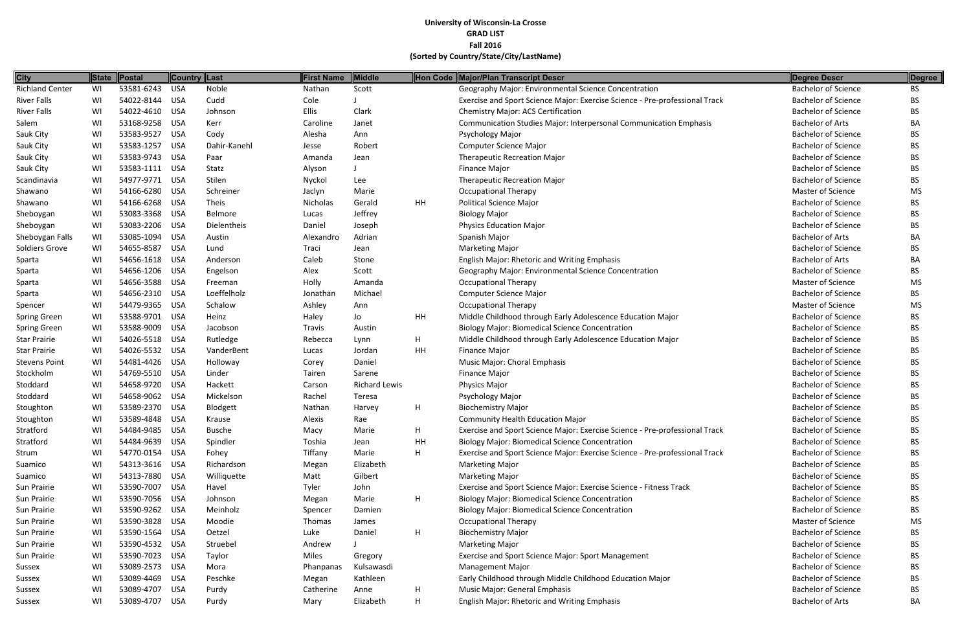| <b>City</b>            | State | Postal         | <b>Country Last</b> |               | <b>First Name</b> | Middle               |    | Hon Code Major/Plan Transcript Descr                                        | <b>Degree Descr</b>        | Degree    |
|------------------------|-------|----------------|---------------------|---------------|-------------------|----------------------|----|-----------------------------------------------------------------------------|----------------------------|-----------|
| <b>Richland Center</b> | WI    | 53581-6243     | <b>USA</b>          | Noble         | Nathan            | Scott                |    | Geography Major: Environmental Science Concentration                        | <b>Bachelor of Science</b> | <b>BS</b> |
| <b>River Falls</b>     | WI    | 54022-8144     | USA                 | Cudd          | Cole              |                      |    | Exercise and Sport Science Major: Exercise Science - Pre-professional Track | <b>Bachelor of Science</b> | <b>BS</b> |
| <b>River Falls</b>     | WI    | 54022-4610     | <b>USA</b>          | Johnson       | <b>Ellis</b>      | Clark                |    | Chemistry Major: ACS Certification                                          | <b>Bachelor of Science</b> | <b>BS</b> |
| Salem                  | WI    | 53168-9258     | <b>USA</b>          | Kerr          | Caroline          | Janet                |    | Communication Studies Major: Interpersonal Communication Emphasis           | <b>Bachelor of Arts</b>    | BA        |
| Sauk City              | WI    | 53583-9527     | <b>USA</b>          | Cody          | Alesha            | Ann                  |    | Psychology Major                                                            | <b>Bachelor of Science</b> | BS        |
| Sauk City              | WI    | 53583-1257     | <b>USA</b>          | Dahir-Kanehl  | Jesse             | Robert               |    | <b>Computer Science Major</b>                                               | <b>Bachelor of Science</b> | BS        |
| Sauk City              | WI    | 53583-9743     | <b>USA</b>          | Paar          | Amanda            | Jean                 |    | <b>Therapeutic Recreation Major</b>                                         | <b>Bachelor of Science</b> | BS        |
| Sauk City              | WI    | 53583-1111     | USA                 | Statz         | Alyson            |                      |    | <b>Finance Major</b>                                                        | <b>Bachelor of Science</b> | BS        |
| Scandinavia            | WI    | 54977-9771     | USA                 | Stilen        | Nyckol            | Lee                  |    | <b>Therapeutic Recreation Major</b>                                         | <b>Bachelor of Science</b> | <b>BS</b> |
| Shawano                | WI    | 54166-6280     | <b>USA</b>          | Schreiner     | Jaclyn            | Marie                |    | <b>Occupational Therapy</b>                                                 | Master of Science          | MS        |
| Shawano                | WI    | 54166-6268     | <b>USA</b>          | <b>Theis</b>  | Nicholas          | Gerald               | HH | <b>Political Science Major</b>                                              | <b>Bachelor of Science</b> | BS        |
| Sheboygan              | WI    | 53083-3368     | <b>USA</b>          | Belmore       | Lucas             | Jeffrey              |    | <b>Biology Major</b>                                                        | <b>Bachelor of Science</b> | <b>BS</b> |
| Sheboygan              | WI    | 53083-2206     | <b>USA</b>          | Dielentheis   | Daniel            | Joseph               |    | <b>Physics Education Major</b>                                              | <b>Bachelor of Science</b> | BS        |
| Sheboygan Falls        | WI    | 53085-1094     | <b>USA</b>          | Austin        | Alexandro         | Adrian               |    | Spanish Major                                                               | <b>Bachelor of Arts</b>    | BA        |
| Soldiers Grove         | WI    | 54655-8587     | <b>USA</b>          | Lund          | Traci             | Jean                 |    | <b>Marketing Major</b>                                                      | <b>Bachelor of Science</b> | <b>BS</b> |
| Sparta                 | WI    | 54656-1618     | <b>USA</b>          | Anderson      | Caleb             | Stone                |    | English Major: Rhetoric and Writing Emphasis                                | <b>Bachelor of Arts</b>    | BA        |
| Sparta                 | WI    | 54656-1206     | <b>USA</b>          | Engelson      | Alex              | Scott                |    | Geography Major: Environmental Science Concentration                        | <b>Bachelor of Science</b> | <b>BS</b> |
| Sparta                 | WI    | 54656-3588     | <b>USA</b>          | Freeman       | Holly             | Amanda               |    | <b>Occupational Therapy</b>                                                 | Master of Science          | MS        |
| Sparta                 | WI    | 54656-2310     | <b>USA</b>          | Loeffelholz   | Jonathan          | Michael              |    | <b>Computer Science Major</b>                                               | <b>Bachelor of Science</b> | <b>BS</b> |
| Spencer                | WI    | 54479-9365     | <b>USA</b>          | Schalow       | Ashley            | Ann                  |    | <b>Occupational Therapy</b>                                                 | Master of Science          | MS        |
| <b>Spring Green</b>    | WI    | 53588-9701     | <b>USA</b>          | Heinz         | Haley             | Jo                   | HH | Middle Childhood through Early Adolescence Education Major                  | <b>Bachelor of Science</b> | <b>BS</b> |
| <b>Spring Green</b>    | WI    | 53588-9009     | <b>USA</b>          | Jacobson      | Travis            | Austin               |    | <b>Biology Major: Biomedical Science Concentration</b>                      | <b>Bachelor of Science</b> | <b>BS</b> |
| Star Prairie           | WI    | 54026-5518     | <b>USA</b>          | Rutledge      | Rebecca           | Lynn                 | H  | Middle Childhood through Early Adolescence Education Major                  | <b>Bachelor of Science</b> | BS        |
| Star Prairie           | WI    | 54026-5532     | <b>USA</b>          | VanderBent    | Lucas             | Jordan               | HH | <b>Finance Major</b>                                                        | <b>Bachelor of Science</b> | <b>BS</b> |
| <b>Stevens Point</b>   | WI    | 54481-4426     | <b>USA</b>          | Holloway      | Corey             | Daniel               |    | Music Major: Choral Emphasis                                                | <b>Bachelor of Science</b> | BS        |
| Stockholm              | WI    | 54769-5510     | <b>USA</b>          | Linder        | Tairen            | Sarene               |    | <b>Finance Major</b>                                                        | <b>Bachelor of Science</b> | <b>BS</b> |
| Stoddard               | WI    | 54658-9720     | <b>USA</b>          | Hackett       | Carson            | <b>Richard Lewis</b> |    | Physics Major                                                               | <b>Bachelor of Science</b> | <b>BS</b> |
| Stoddard               | WI    | 54658-9062     | <b>USA</b>          | Mickelson     | Rachel            | Teresa               |    | Psychology Major                                                            | <b>Bachelor of Science</b> | <b>BS</b> |
| Stoughton              | WI    | 53589-2370     | <b>USA</b>          | Blodgett      | Nathan            | Harvey               | н  | <b>Biochemistry Major</b>                                                   | <b>Bachelor of Science</b> | <b>BS</b> |
| Stoughton              | WI    | 53589-4848     | <b>USA</b>          | Krause        | Alexis            | Rae                  |    | <b>Community Health Education Major</b>                                     | <b>Bachelor of Science</b> | <b>BS</b> |
| Stratford              | WI    | 54484-9485     | <b>USA</b>          | <b>Busche</b> | Macy              | Marie                | H  | Exercise and Sport Science Major: Exercise Science - Pre-professional Track | <b>Bachelor of Science</b> | <b>BS</b> |
| Stratford              | WI    | 54484-9639     | <b>USA</b>          | Spindler      | Toshia            | Jean                 | HH | <b>Biology Major: Biomedical Science Concentration</b>                      | <b>Bachelor of Science</b> | <b>BS</b> |
| Strum                  | WI    | 54770-0154     | <b>USA</b>          | Fohey         | Tiffany           | Marie                | H  | Exercise and Sport Science Major: Exercise Science - Pre-professional Track | <b>Bachelor of Science</b> | BS        |
| Suamico                | WI    | 54313-3616     | USA                 | Richardson    | Megan             | Elizabeth            |    | <b>Marketing Major</b>                                                      | <b>Bachelor of Science</b> | <b>BS</b> |
| Suamico                | WI    | 54313-7880     | <b>USA</b>          | Williquette   | Matt              | Gilbert              |    | <b>Marketing Major</b>                                                      | <b>Bachelor of Science</b> | <b>BS</b> |
| Sun Prairie            | WI    | 53590-7007     | <b>USA</b>          | Havel         | Tyler             | John                 |    | Exercise and Sport Science Major: Exercise Science - Fitness Track          | <b>Bachelor of Science</b> | <b>BS</b> |
| Sun Prairie            |       | 53590-7056     | <b>USA</b>          | Johnson       |                   | Marie                | H  | <b>Biology Major: Biomedical Science Concentration</b>                      | <b>Bachelor of Science</b> | <b>BS</b> |
| Sun Prairie            | WI    | 53590-9262     | <b>USA</b>          | Meinholz      | Megan             | Damien               |    | <b>Biology Major: Biomedical Science Concentration</b>                      | <b>Bachelor of Science</b> | <b>BS</b> |
| Sun Prairie            | WI    | 53590-3828     | USA                 | Moodie        | Spencer<br>Thomas |                      |    | <b>Occupational Therapy</b>                                                 | Master of Science          | MS        |
| Sun Prairie            | WI    | 53590-1564     | <b>USA</b>          | Oetzel        | Luke              | James<br>Daniel      | H  | <b>Biochemistry Major</b>                                                   | <b>Bachelor of Science</b> |           |
| Sun Prairie            | WI    | 53590-4532     | USA                 |               |                   |                      |    |                                                                             | <b>Bachelor of Science</b> | <b>BS</b> |
|                        | WI    |                |                     | Struebel      | Andrew            |                      |    | <b>Marketing Major</b>                                                      |                            | <b>BS</b> |
| Sun Prairie            | WI    | 53590-7023     | <b>USA</b>          | Taylor        | Miles             | Gregory              |    | Exercise and Sport Science Major: Sport Management                          | <b>Bachelor of Science</b> | <b>BS</b> |
| Sussex                 | WI    | 53089-2573     | <b>USA</b>          | Mora          | Phanpanas         | Kulsawasdi           |    | <b>Management Major</b>                                                     | <b>Bachelor of Science</b> | <b>BS</b> |
| Sussex                 | WI    | 53089-4469     | <b>USA</b>          | Peschke       | Megan             | Kathleen             |    | Early Childhood through Middle Childhood Education Major                    | <b>Bachelor of Science</b> | <b>BS</b> |
| Sussex                 | WI    | 53089-4707     | <b>USA</b>          | Purdy         | Catherine         | Anne                 | H  | Music Major: General Emphasis                                               | <b>Bachelor of Science</b> | <b>BS</b> |
| Sussex                 | WI    | 53089-4707 USA |                     | Purdy         | Mary              | Elizabeth            | H  | English Major: Rhetoric and Writing Emphasis                                | <b>Bachelor of Arts</b>    | BA        |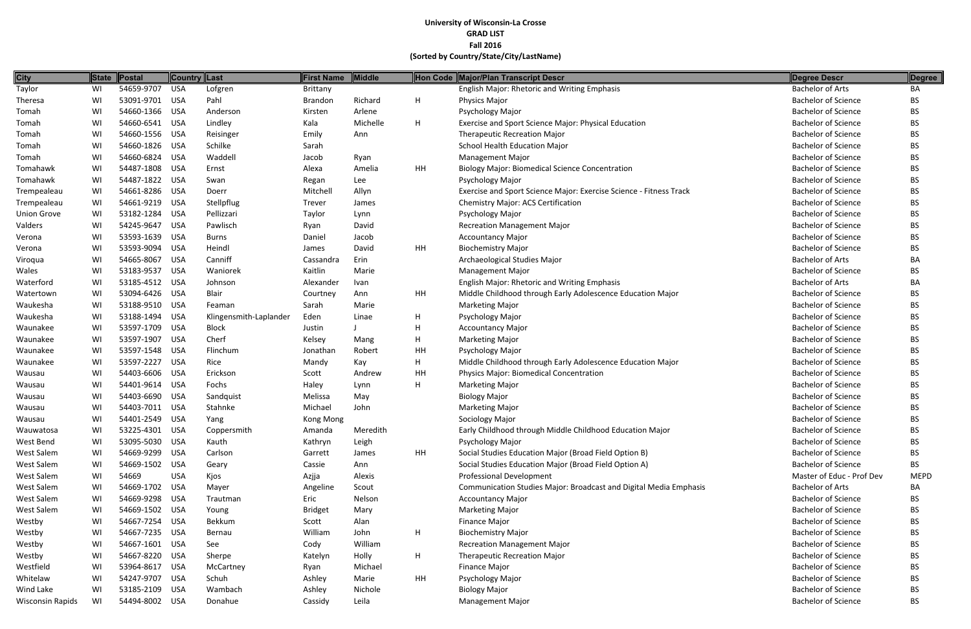| 54659-9707<br>Taylor<br><b>USA</b><br><b>English Major: Rhetoric and Writing Emphasis</b><br><b>Bachelor of Arts</b><br>BA<br>WI<br>Lofgren<br>Brittany<br>Pahl<br>H<br><b>Bachelor of Science</b><br>Theresa<br>WI<br>53091-9701<br><b>USA</b><br>Richard<br>Physics Major<br><b>Brandon</b><br>BS.<br>54660-1366<br>Arlene<br><b>Bachelor of Science</b><br>Tomah<br>WI<br><b>USA</b><br>Psychology Major<br>Anderson<br>Kirsten<br>BS.<br>WI<br>54660-6541<br><b>USA</b><br>Michelle<br>H<br>Exercise and Sport Science Major: Physical Education<br><b>Bachelor of Science</b><br>Tomah<br>Lindley<br>Kala<br><b>BS</b><br>54660-1556<br>WI<br><b>USA</b><br>Emily<br><b>Therapeutic Recreation Major</b><br><b>Bachelor of Science</b><br><b>BS</b><br>Tomah<br>Reisinger<br>Ann<br>54660-1826<br><b>USA</b><br>Schilke<br>School Health Education Major<br><b>Bachelor of Science</b><br>WI<br>Tomah<br>Sarah<br>BS.<br>54660-6824<br><b>USA</b><br><b>Bachelor of Science</b><br>WI<br>Waddell<br>Ryan<br><b>Management Major</b><br>Tomah<br>BS.<br>Jacob<br>WI<br>54487-1808<br><b>USA</b><br>HH<br><b>Biology Major: Biomedical Science Concentration</b><br><b>Bachelor of Science</b><br>Alexa<br>Tomahawk<br>Ernst<br>Amelia<br>BS.<br>54487-1822<br><b>USA</b><br><b>Bachelor of Science</b><br>Tomahawk<br>WI<br>Swan<br>Psychology Major<br><b>BS</b><br>Regan<br>Lee<br>54661-8286<br><b>USA</b><br>WI<br>Mitchell<br>Allyn<br>Exercise and Sport Science Major: Exercise Science - Fitness Track<br><b>Bachelor of Science</b><br>Trempealeau<br>Doerr<br>BS.<br>54661-9219<br><b>USA</b><br><b>Chemistry Major: ACS Certification</b><br><b>Bachelor of Science</b><br>Trempealeau<br>WI<br>Stellpflug<br><b>BS</b><br>Trever<br>James<br>53182-1284<br><b>USA</b><br><b>Bachelor of Science</b><br><b>Union Grove</b><br>WI<br>Pellizzari<br>Psychology Major<br>Taylor<br>Lynn<br>BS.<br>WI<br>54245-9647<br><b>USA</b><br><b>Bachelor of Science</b><br>Pawlisch<br>David<br><b>Recreation Management Major</b><br>Valders<br>BS.<br>Ryan<br>53593-1639<br><b>USA</b><br><b>Accountancy Major</b><br><b>Bachelor of Science</b><br>WI<br>Daniel<br>Jacob<br><b>BS</b><br><b>Burns</b><br>Verona<br>53593-9094<br><b>USA</b><br><b>Biochemistry Major</b><br>WI<br>Heindl<br>David<br>HH<br><b>Bachelor of Science</b><br>James<br>BS.<br>Verona<br>54665-8067<br><b>USA</b><br>Erin<br>Archaeological Studies Major<br><b>Bachelor of Arts</b><br>WI<br>Canniff<br>BA<br>Viroqua<br>Cassandra<br>WI<br>53183-9537<br><b>USA</b><br>Kaitlin<br><b>Bachelor of Science</b><br><b>Management Major</b><br>Wales<br>Waniorek<br>Marie<br>BS.<br>53185-4512<br><b>USA</b><br><b>Bachelor of Arts</b><br>WI<br>Johnson<br>Alexander<br><b>English Major: Rhetoric and Writing Emphasis</b><br>BA<br>Waterford<br>Ivan<br>53094-6426<br><b>USA</b><br>HH<br>Middle Childhood through Early Adolescence Education Major<br><b>Bachelor of Science</b><br>WI<br>Blair<br>Watertown<br>Courtney<br>Ann<br>BS.<br>53188-9510<br><b>USA</b><br><b>Bachelor of Science</b><br>WI<br><b>Marketing Major</b><br>Waukesha<br>Sarah<br>Marie<br>BS.<br>Feaman<br>53188-1494<br><b>USA</b><br>H<br><b>Bachelor of Science</b><br>Waukesha<br>WI<br>Klingensmith-Laplander<br>Eden<br>Psychology Major<br>Linae<br>BS.<br>WI<br>53597-1709<br><b>USA</b><br>H<br><b>Accountancy Major</b><br><b>Bachelor of Science</b><br>Waunakee<br><b>Block</b><br><b>BS</b><br>Justin<br>53597-1907<br><b>USA</b><br>H<br>WI<br>Cherf<br>Kelsey<br><b>Marketing Major</b><br><b>Bachelor of Science</b><br>Waunakee<br>Mang<br>BS.<br>53597-1548<br>USA<br>HH<br><b>Bachelor of Science</b><br>Waunakee<br>WI<br>Flinchum<br>Robert<br>Psychology Major<br>BS.<br>Jonathan<br>H<br><b>USA</b><br>Middle Childhood through Early Adolescence Education Major<br>WI<br>53597-2227<br>Rice<br><b>Bachelor of Science</b><br>Waunakee<br>Kay<br>BS.<br>Mandy<br>WI<br>54403-6606<br><b>USA</b><br>Erickson<br>HH<br><b>Bachelor of Science</b><br>Andrew<br>Physics Major: Biomedical Concentration<br>Wausau<br>Scott<br>BS.<br>54401-9614<br><b>USA</b><br>H<br><b>Bachelor of Science</b><br>WI<br>Fochs<br><b>Marketing Major</b><br>BS.<br>Wausau<br>Haley<br>Lynn<br>WI<br>54403-6690<br><b>USA</b><br>Melissa<br>May<br><b>Biology Major</b><br><b>Bachelor of Science</b><br>Wausau<br>Sandquist<br>BS.<br>54403-7011<br><b>USA</b><br>Michael<br><b>Marketing Major</b><br><b>Bachelor of Science</b><br>WI<br>John<br>Stahnke<br>BS.<br>Wausau<br>WI<br>54401-2549<br>USA<br><b>Kong Mong</b><br>Sociology Major<br><b>Bachelor of Science</b><br>Yang<br>ВS<br>Wausau<br>Early Childhood through Middle Childhood Education Major<br><b>Bachelor of Science</b><br>WI<br>53225-4301 USA<br>Coppersmith<br>Meredith<br>Wauwatosa<br>Amanda<br>BS.<br><b>Bachelor of Science</b><br>53095-5030<br><b>USA</b><br>West Bend<br>WI<br>Kauth<br>Kathryn<br>Leigh<br>Psychology Major<br>BS.<br>54669-9299<br>Social Studies Education Major (Broad Field Option B)<br>West Salem<br>WI<br><b>USA</b><br>Carlson<br>HH<br><b>Bachelor of Science</b><br>Garrett<br>BS<br>James<br>54669-1502<br>Social Studies Education Major (Broad Field Option A)<br><b>Bachelor of Science</b><br>West Salem<br><b>USA</b><br><b>BS</b><br>WI<br>Geary<br>Cassie<br>Ann<br>54669<br><b>USA</b><br><b>Professional Development</b><br>Master of Educ - Prof Dev<br><b>MEPD</b><br>West Salem<br>WI<br>Kjos<br>Azjja<br>Alexis<br>54669-1702<br>Communication Studies Major: Broadcast and Digital Media Emphasis<br><b>Bachelor of Arts</b><br>West Salem<br>WI<br><b>USA</b><br>Mayer<br>Scout<br>Angeline<br>BA.<br>54669-9298<br><b>Bachelor of Science</b><br>West Salem<br>WI<br><b>USA</b><br>Eric<br>Nelson<br><b>Accountancy Major</b><br>Trautman<br>BS.<br>West Salem<br>WI<br>54669-1502<br>USA<br><b>Marketing Major</b><br><b>Bachelor of Science</b><br>Young<br><b>Bridget</b><br>Mary<br>BS.<br>54667-7254<br><b>Finance Major</b><br><b>Bachelor of Science</b><br>WI<br>USA<br>Bekkum<br>Alan<br>Westby<br>Scott<br>BS.<br>H<br>WI<br>54667-7235<br>William<br><b>Biochemistry Major</b><br><b>Bachelor of Science</b><br>USA<br>John<br>Westby<br>Bernau<br>BS.<br>54667-1601<br>William<br><b>Bachelor of Science</b><br>Westby<br>WI<br><b>USA</b><br>See<br>Cody<br><b>Recreation Management Major</b><br>BS.<br>54667-8220<br>H<br><b>Therapeutic Recreation Major</b><br><b>Bachelor of Science</b><br>WI<br><b>USA</b><br>Sherpe<br>Holly<br>Westby<br>Katelyn<br>BS.<br>Westfield<br>WI<br>53964-8617<br><b>USA</b><br>Michael<br><b>Finance Major</b><br><b>Bachelor of Science</b><br>McCartney<br>Ryan<br>BS.<br>WI<br>54247-9707<br><b>Bachelor of Science</b><br>Whitelaw<br>USA<br>Schuh<br>Ashley<br>HH<br>Psychology Major<br>Marie<br>BS.<br>Wind Lake<br>WI<br><b>Biology Major</b><br><b>Bachelor of Science</b><br>53185-2109<br>USA<br>Wambach<br>Ashley<br>Nichole<br>BS.<br>54494-8002 USA | <b>City</b>             |    | State Postal | <b>Country Last</b> |         | <b>First Name</b> | <b>Middle</b> | Hon Code Major/Plan Transcript Descr | <b>Degree Descr</b>        | Degree |
|-----------------------------------------------------------------------------------------------------------------------------------------------------------------------------------------------------------------------------------------------------------------------------------------------------------------------------------------------------------------------------------------------------------------------------------------------------------------------------------------------------------------------------------------------------------------------------------------------------------------------------------------------------------------------------------------------------------------------------------------------------------------------------------------------------------------------------------------------------------------------------------------------------------------------------------------------------------------------------------------------------------------------------------------------------------------------------------------------------------------------------------------------------------------------------------------------------------------------------------------------------------------------------------------------------------------------------------------------------------------------------------------------------------------------------------------------------------------------------------------------------------------------------------------------------------------------------------------------------------------------------------------------------------------------------------------------------------------------------------------------------------------------------------------------------------------------------------------------------------------------------------------------------------------------------------------------------------------------------------------------------------------------------------------------------------------------------------------------------------------------------------------------------------------------------------------------------------------------------------------------------------------------------------------------------------------------------------------------------------------------------------------------------------------------------------------------------------------------------------------------------------------------------------------------------------------------------------------------------------------------------------------------------------------------------------------------------------------------------------------------------------------------------------------------------------------------------------------------------------------------------------------------------------------------------------------------------------------------------------------------------------------------------------------------------------------------------------------------------------------------------------------------------------------------------------------------------------------------------------------------------------------------------------------------------------------------------------------------------------------------------------------------------------------------------------------------------------------------------------------------------------------------------------------------------------------------------------------------------------------------------------------------------------------------------------------------------------------------------------------------------------------------------------------------------------------------------------------------------------------------------------------------------------------------------------------------------------------------------------------------------------------------------------------------------------------------------------------------------------------------------------------------------------------------------------------------------------------------------------------------------------------------------------------------------------------------------------------------------------------------------------------------------------------------------------------------------------------------------------------------------------------------------------------------------------------------------------------------------------------------------------------------------------------------------------------------------------------------------------------------------------------------------------------------------------------------------------------------------------------------------------------------------------------------------------------------------------------------------------------------------------------------------------------------------------------------------------------------------------------------------------------------------------------------------------------------------------------------------------------------------------------------------------------------------------------------------------------------------------------------------------------------------------------------------------------------------------------------------------------------------------------------------------------------------------------------------------------------------------------------------------------------------------------------------------------------------------------------------------------------------------------------------------------------------------------------------------------------------------------------------------------------------------------------------------------------------------------------------------------------------------------------------------------------------------------------------------------------------------------------------------------------------------------------------------------------------------------------------------------------------------------------------------------------------------------------------------------------------------------------------------------------------------------------------------------------------------------------------------------------------------------------------------------------------------------------------------------------------------------------------------------------------------------------------------------------------------------------------------------------------------------------------------------------------------------------------------------------------------------------------------------------------------------------------------------------------------------------------------------------------------------|-------------------------|----|--------------|---------------------|---------|-------------------|---------------|--------------------------------------|----------------------------|--------|
|                                                                                                                                                                                                                                                                                                                                                                                                                                                                                                                                                                                                                                                                                                                                                                                                                                                                                                                                                                                                                                                                                                                                                                                                                                                                                                                                                                                                                                                                                                                                                                                                                                                                                                                                                                                                                                                                                                                                                                                                                                                                                                                                                                                                                                                                                                                                                                                                                                                                                                                                                                                                                                                                                                                                                                                                                                                                                                                                                                                                                                                                                                                                                                                                                                                                                                                                                                                                                                                                                                                                                                                                                                                                                                                                                                                                                                                                                                                                                                                                                                                                                                                                                                                                                                                                                                                                                                                                                                                                                                                                                                                                                                                                                                                                                                                                                                                                                                                                                                                                                                                                                                                                                                                                                                                                                                                                                                                                                                                                                                                                                                                                                                                                                                                                                                                                                                                                                                                                                                                                                                                                                                                                                                                                                                                                                                                                                                                                                                                                                                                                                                                                                                                                                                                                                                                                                                                                                                                                                                                                                 |                         |    |              |                     |         |                   |               |                                      |                            |        |
|                                                                                                                                                                                                                                                                                                                                                                                                                                                                                                                                                                                                                                                                                                                                                                                                                                                                                                                                                                                                                                                                                                                                                                                                                                                                                                                                                                                                                                                                                                                                                                                                                                                                                                                                                                                                                                                                                                                                                                                                                                                                                                                                                                                                                                                                                                                                                                                                                                                                                                                                                                                                                                                                                                                                                                                                                                                                                                                                                                                                                                                                                                                                                                                                                                                                                                                                                                                                                                                                                                                                                                                                                                                                                                                                                                                                                                                                                                                                                                                                                                                                                                                                                                                                                                                                                                                                                                                                                                                                                                                                                                                                                                                                                                                                                                                                                                                                                                                                                                                                                                                                                                                                                                                                                                                                                                                                                                                                                                                                                                                                                                                                                                                                                                                                                                                                                                                                                                                                                                                                                                                                                                                                                                                                                                                                                                                                                                                                                                                                                                                                                                                                                                                                                                                                                                                                                                                                                                                                                                                                                 |                         |    |              |                     |         |                   |               |                                      |                            |        |
|                                                                                                                                                                                                                                                                                                                                                                                                                                                                                                                                                                                                                                                                                                                                                                                                                                                                                                                                                                                                                                                                                                                                                                                                                                                                                                                                                                                                                                                                                                                                                                                                                                                                                                                                                                                                                                                                                                                                                                                                                                                                                                                                                                                                                                                                                                                                                                                                                                                                                                                                                                                                                                                                                                                                                                                                                                                                                                                                                                                                                                                                                                                                                                                                                                                                                                                                                                                                                                                                                                                                                                                                                                                                                                                                                                                                                                                                                                                                                                                                                                                                                                                                                                                                                                                                                                                                                                                                                                                                                                                                                                                                                                                                                                                                                                                                                                                                                                                                                                                                                                                                                                                                                                                                                                                                                                                                                                                                                                                                                                                                                                                                                                                                                                                                                                                                                                                                                                                                                                                                                                                                                                                                                                                                                                                                                                                                                                                                                                                                                                                                                                                                                                                                                                                                                                                                                                                                                                                                                                                                                 |                         |    |              |                     |         |                   |               |                                      |                            |        |
|                                                                                                                                                                                                                                                                                                                                                                                                                                                                                                                                                                                                                                                                                                                                                                                                                                                                                                                                                                                                                                                                                                                                                                                                                                                                                                                                                                                                                                                                                                                                                                                                                                                                                                                                                                                                                                                                                                                                                                                                                                                                                                                                                                                                                                                                                                                                                                                                                                                                                                                                                                                                                                                                                                                                                                                                                                                                                                                                                                                                                                                                                                                                                                                                                                                                                                                                                                                                                                                                                                                                                                                                                                                                                                                                                                                                                                                                                                                                                                                                                                                                                                                                                                                                                                                                                                                                                                                                                                                                                                                                                                                                                                                                                                                                                                                                                                                                                                                                                                                                                                                                                                                                                                                                                                                                                                                                                                                                                                                                                                                                                                                                                                                                                                                                                                                                                                                                                                                                                                                                                                                                                                                                                                                                                                                                                                                                                                                                                                                                                                                                                                                                                                                                                                                                                                                                                                                                                                                                                                                                                 |                         |    |              |                     |         |                   |               |                                      |                            |        |
|                                                                                                                                                                                                                                                                                                                                                                                                                                                                                                                                                                                                                                                                                                                                                                                                                                                                                                                                                                                                                                                                                                                                                                                                                                                                                                                                                                                                                                                                                                                                                                                                                                                                                                                                                                                                                                                                                                                                                                                                                                                                                                                                                                                                                                                                                                                                                                                                                                                                                                                                                                                                                                                                                                                                                                                                                                                                                                                                                                                                                                                                                                                                                                                                                                                                                                                                                                                                                                                                                                                                                                                                                                                                                                                                                                                                                                                                                                                                                                                                                                                                                                                                                                                                                                                                                                                                                                                                                                                                                                                                                                                                                                                                                                                                                                                                                                                                                                                                                                                                                                                                                                                                                                                                                                                                                                                                                                                                                                                                                                                                                                                                                                                                                                                                                                                                                                                                                                                                                                                                                                                                                                                                                                                                                                                                                                                                                                                                                                                                                                                                                                                                                                                                                                                                                                                                                                                                                                                                                                                                                 |                         |    |              |                     |         |                   |               |                                      |                            |        |
|                                                                                                                                                                                                                                                                                                                                                                                                                                                                                                                                                                                                                                                                                                                                                                                                                                                                                                                                                                                                                                                                                                                                                                                                                                                                                                                                                                                                                                                                                                                                                                                                                                                                                                                                                                                                                                                                                                                                                                                                                                                                                                                                                                                                                                                                                                                                                                                                                                                                                                                                                                                                                                                                                                                                                                                                                                                                                                                                                                                                                                                                                                                                                                                                                                                                                                                                                                                                                                                                                                                                                                                                                                                                                                                                                                                                                                                                                                                                                                                                                                                                                                                                                                                                                                                                                                                                                                                                                                                                                                                                                                                                                                                                                                                                                                                                                                                                                                                                                                                                                                                                                                                                                                                                                                                                                                                                                                                                                                                                                                                                                                                                                                                                                                                                                                                                                                                                                                                                                                                                                                                                                                                                                                                                                                                                                                                                                                                                                                                                                                                                                                                                                                                                                                                                                                                                                                                                                                                                                                                                                 |                         |    |              |                     |         |                   |               |                                      |                            |        |
|                                                                                                                                                                                                                                                                                                                                                                                                                                                                                                                                                                                                                                                                                                                                                                                                                                                                                                                                                                                                                                                                                                                                                                                                                                                                                                                                                                                                                                                                                                                                                                                                                                                                                                                                                                                                                                                                                                                                                                                                                                                                                                                                                                                                                                                                                                                                                                                                                                                                                                                                                                                                                                                                                                                                                                                                                                                                                                                                                                                                                                                                                                                                                                                                                                                                                                                                                                                                                                                                                                                                                                                                                                                                                                                                                                                                                                                                                                                                                                                                                                                                                                                                                                                                                                                                                                                                                                                                                                                                                                                                                                                                                                                                                                                                                                                                                                                                                                                                                                                                                                                                                                                                                                                                                                                                                                                                                                                                                                                                                                                                                                                                                                                                                                                                                                                                                                                                                                                                                                                                                                                                                                                                                                                                                                                                                                                                                                                                                                                                                                                                                                                                                                                                                                                                                                                                                                                                                                                                                                                                                 |                         |    |              |                     |         |                   |               |                                      |                            |        |
|                                                                                                                                                                                                                                                                                                                                                                                                                                                                                                                                                                                                                                                                                                                                                                                                                                                                                                                                                                                                                                                                                                                                                                                                                                                                                                                                                                                                                                                                                                                                                                                                                                                                                                                                                                                                                                                                                                                                                                                                                                                                                                                                                                                                                                                                                                                                                                                                                                                                                                                                                                                                                                                                                                                                                                                                                                                                                                                                                                                                                                                                                                                                                                                                                                                                                                                                                                                                                                                                                                                                                                                                                                                                                                                                                                                                                                                                                                                                                                                                                                                                                                                                                                                                                                                                                                                                                                                                                                                                                                                                                                                                                                                                                                                                                                                                                                                                                                                                                                                                                                                                                                                                                                                                                                                                                                                                                                                                                                                                                                                                                                                                                                                                                                                                                                                                                                                                                                                                                                                                                                                                                                                                                                                                                                                                                                                                                                                                                                                                                                                                                                                                                                                                                                                                                                                                                                                                                                                                                                                                                 |                         |    |              |                     |         |                   |               |                                      |                            |        |
|                                                                                                                                                                                                                                                                                                                                                                                                                                                                                                                                                                                                                                                                                                                                                                                                                                                                                                                                                                                                                                                                                                                                                                                                                                                                                                                                                                                                                                                                                                                                                                                                                                                                                                                                                                                                                                                                                                                                                                                                                                                                                                                                                                                                                                                                                                                                                                                                                                                                                                                                                                                                                                                                                                                                                                                                                                                                                                                                                                                                                                                                                                                                                                                                                                                                                                                                                                                                                                                                                                                                                                                                                                                                                                                                                                                                                                                                                                                                                                                                                                                                                                                                                                                                                                                                                                                                                                                                                                                                                                                                                                                                                                                                                                                                                                                                                                                                                                                                                                                                                                                                                                                                                                                                                                                                                                                                                                                                                                                                                                                                                                                                                                                                                                                                                                                                                                                                                                                                                                                                                                                                                                                                                                                                                                                                                                                                                                                                                                                                                                                                                                                                                                                                                                                                                                                                                                                                                                                                                                                                                 |                         |    |              |                     |         |                   |               |                                      |                            |        |
|                                                                                                                                                                                                                                                                                                                                                                                                                                                                                                                                                                                                                                                                                                                                                                                                                                                                                                                                                                                                                                                                                                                                                                                                                                                                                                                                                                                                                                                                                                                                                                                                                                                                                                                                                                                                                                                                                                                                                                                                                                                                                                                                                                                                                                                                                                                                                                                                                                                                                                                                                                                                                                                                                                                                                                                                                                                                                                                                                                                                                                                                                                                                                                                                                                                                                                                                                                                                                                                                                                                                                                                                                                                                                                                                                                                                                                                                                                                                                                                                                                                                                                                                                                                                                                                                                                                                                                                                                                                                                                                                                                                                                                                                                                                                                                                                                                                                                                                                                                                                                                                                                                                                                                                                                                                                                                                                                                                                                                                                                                                                                                                                                                                                                                                                                                                                                                                                                                                                                                                                                                                                                                                                                                                                                                                                                                                                                                                                                                                                                                                                                                                                                                                                                                                                                                                                                                                                                                                                                                                                                 |                         |    |              |                     |         |                   |               |                                      |                            |        |
|                                                                                                                                                                                                                                                                                                                                                                                                                                                                                                                                                                                                                                                                                                                                                                                                                                                                                                                                                                                                                                                                                                                                                                                                                                                                                                                                                                                                                                                                                                                                                                                                                                                                                                                                                                                                                                                                                                                                                                                                                                                                                                                                                                                                                                                                                                                                                                                                                                                                                                                                                                                                                                                                                                                                                                                                                                                                                                                                                                                                                                                                                                                                                                                                                                                                                                                                                                                                                                                                                                                                                                                                                                                                                                                                                                                                                                                                                                                                                                                                                                                                                                                                                                                                                                                                                                                                                                                                                                                                                                                                                                                                                                                                                                                                                                                                                                                                                                                                                                                                                                                                                                                                                                                                                                                                                                                                                                                                                                                                                                                                                                                                                                                                                                                                                                                                                                                                                                                                                                                                                                                                                                                                                                                                                                                                                                                                                                                                                                                                                                                                                                                                                                                                                                                                                                                                                                                                                                                                                                                                                 |                         |    |              |                     |         |                   |               |                                      |                            |        |
|                                                                                                                                                                                                                                                                                                                                                                                                                                                                                                                                                                                                                                                                                                                                                                                                                                                                                                                                                                                                                                                                                                                                                                                                                                                                                                                                                                                                                                                                                                                                                                                                                                                                                                                                                                                                                                                                                                                                                                                                                                                                                                                                                                                                                                                                                                                                                                                                                                                                                                                                                                                                                                                                                                                                                                                                                                                                                                                                                                                                                                                                                                                                                                                                                                                                                                                                                                                                                                                                                                                                                                                                                                                                                                                                                                                                                                                                                                                                                                                                                                                                                                                                                                                                                                                                                                                                                                                                                                                                                                                                                                                                                                                                                                                                                                                                                                                                                                                                                                                                                                                                                                                                                                                                                                                                                                                                                                                                                                                                                                                                                                                                                                                                                                                                                                                                                                                                                                                                                                                                                                                                                                                                                                                                                                                                                                                                                                                                                                                                                                                                                                                                                                                                                                                                                                                                                                                                                                                                                                                                                 |                         |    |              |                     |         |                   |               |                                      |                            |        |
|                                                                                                                                                                                                                                                                                                                                                                                                                                                                                                                                                                                                                                                                                                                                                                                                                                                                                                                                                                                                                                                                                                                                                                                                                                                                                                                                                                                                                                                                                                                                                                                                                                                                                                                                                                                                                                                                                                                                                                                                                                                                                                                                                                                                                                                                                                                                                                                                                                                                                                                                                                                                                                                                                                                                                                                                                                                                                                                                                                                                                                                                                                                                                                                                                                                                                                                                                                                                                                                                                                                                                                                                                                                                                                                                                                                                                                                                                                                                                                                                                                                                                                                                                                                                                                                                                                                                                                                                                                                                                                                                                                                                                                                                                                                                                                                                                                                                                                                                                                                                                                                                                                                                                                                                                                                                                                                                                                                                                                                                                                                                                                                                                                                                                                                                                                                                                                                                                                                                                                                                                                                                                                                                                                                                                                                                                                                                                                                                                                                                                                                                                                                                                                                                                                                                                                                                                                                                                                                                                                                                                 |                         |    |              |                     |         |                   |               |                                      |                            |        |
|                                                                                                                                                                                                                                                                                                                                                                                                                                                                                                                                                                                                                                                                                                                                                                                                                                                                                                                                                                                                                                                                                                                                                                                                                                                                                                                                                                                                                                                                                                                                                                                                                                                                                                                                                                                                                                                                                                                                                                                                                                                                                                                                                                                                                                                                                                                                                                                                                                                                                                                                                                                                                                                                                                                                                                                                                                                                                                                                                                                                                                                                                                                                                                                                                                                                                                                                                                                                                                                                                                                                                                                                                                                                                                                                                                                                                                                                                                                                                                                                                                                                                                                                                                                                                                                                                                                                                                                                                                                                                                                                                                                                                                                                                                                                                                                                                                                                                                                                                                                                                                                                                                                                                                                                                                                                                                                                                                                                                                                                                                                                                                                                                                                                                                                                                                                                                                                                                                                                                                                                                                                                                                                                                                                                                                                                                                                                                                                                                                                                                                                                                                                                                                                                                                                                                                                                                                                                                                                                                                                                                 |                         |    |              |                     |         |                   |               |                                      |                            |        |
|                                                                                                                                                                                                                                                                                                                                                                                                                                                                                                                                                                                                                                                                                                                                                                                                                                                                                                                                                                                                                                                                                                                                                                                                                                                                                                                                                                                                                                                                                                                                                                                                                                                                                                                                                                                                                                                                                                                                                                                                                                                                                                                                                                                                                                                                                                                                                                                                                                                                                                                                                                                                                                                                                                                                                                                                                                                                                                                                                                                                                                                                                                                                                                                                                                                                                                                                                                                                                                                                                                                                                                                                                                                                                                                                                                                                                                                                                                                                                                                                                                                                                                                                                                                                                                                                                                                                                                                                                                                                                                                                                                                                                                                                                                                                                                                                                                                                                                                                                                                                                                                                                                                                                                                                                                                                                                                                                                                                                                                                                                                                                                                                                                                                                                                                                                                                                                                                                                                                                                                                                                                                                                                                                                                                                                                                                                                                                                                                                                                                                                                                                                                                                                                                                                                                                                                                                                                                                                                                                                                                                 |                         |    |              |                     |         |                   |               |                                      |                            |        |
|                                                                                                                                                                                                                                                                                                                                                                                                                                                                                                                                                                                                                                                                                                                                                                                                                                                                                                                                                                                                                                                                                                                                                                                                                                                                                                                                                                                                                                                                                                                                                                                                                                                                                                                                                                                                                                                                                                                                                                                                                                                                                                                                                                                                                                                                                                                                                                                                                                                                                                                                                                                                                                                                                                                                                                                                                                                                                                                                                                                                                                                                                                                                                                                                                                                                                                                                                                                                                                                                                                                                                                                                                                                                                                                                                                                                                                                                                                                                                                                                                                                                                                                                                                                                                                                                                                                                                                                                                                                                                                                                                                                                                                                                                                                                                                                                                                                                                                                                                                                                                                                                                                                                                                                                                                                                                                                                                                                                                                                                                                                                                                                                                                                                                                                                                                                                                                                                                                                                                                                                                                                                                                                                                                                                                                                                                                                                                                                                                                                                                                                                                                                                                                                                                                                                                                                                                                                                                                                                                                                                                 |                         |    |              |                     |         |                   |               |                                      |                            |        |
|                                                                                                                                                                                                                                                                                                                                                                                                                                                                                                                                                                                                                                                                                                                                                                                                                                                                                                                                                                                                                                                                                                                                                                                                                                                                                                                                                                                                                                                                                                                                                                                                                                                                                                                                                                                                                                                                                                                                                                                                                                                                                                                                                                                                                                                                                                                                                                                                                                                                                                                                                                                                                                                                                                                                                                                                                                                                                                                                                                                                                                                                                                                                                                                                                                                                                                                                                                                                                                                                                                                                                                                                                                                                                                                                                                                                                                                                                                                                                                                                                                                                                                                                                                                                                                                                                                                                                                                                                                                                                                                                                                                                                                                                                                                                                                                                                                                                                                                                                                                                                                                                                                                                                                                                                                                                                                                                                                                                                                                                                                                                                                                                                                                                                                                                                                                                                                                                                                                                                                                                                                                                                                                                                                                                                                                                                                                                                                                                                                                                                                                                                                                                                                                                                                                                                                                                                                                                                                                                                                                                                 |                         |    |              |                     |         |                   |               |                                      |                            |        |
|                                                                                                                                                                                                                                                                                                                                                                                                                                                                                                                                                                                                                                                                                                                                                                                                                                                                                                                                                                                                                                                                                                                                                                                                                                                                                                                                                                                                                                                                                                                                                                                                                                                                                                                                                                                                                                                                                                                                                                                                                                                                                                                                                                                                                                                                                                                                                                                                                                                                                                                                                                                                                                                                                                                                                                                                                                                                                                                                                                                                                                                                                                                                                                                                                                                                                                                                                                                                                                                                                                                                                                                                                                                                                                                                                                                                                                                                                                                                                                                                                                                                                                                                                                                                                                                                                                                                                                                                                                                                                                                                                                                                                                                                                                                                                                                                                                                                                                                                                                                                                                                                                                                                                                                                                                                                                                                                                                                                                                                                                                                                                                                                                                                                                                                                                                                                                                                                                                                                                                                                                                                                                                                                                                                                                                                                                                                                                                                                                                                                                                                                                                                                                                                                                                                                                                                                                                                                                                                                                                                                                 |                         |    |              |                     |         |                   |               |                                      |                            |        |
|                                                                                                                                                                                                                                                                                                                                                                                                                                                                                                                                                                                                                                                                                                                                                                                                                                                                                                                                                                                                                                                                                                                                                                                                                                                                                                                                                                                                                                                                                                                                                                                                                                                                                                                                                                                                                                                                                                                                                                                                                                                                                                                                                                                                                                                                                                                                                                                                                                                                                                                                                                                                                                                                                                                                                                                                                                                                                                                                                                                                                                                                                                                                                                                                                                                                                                                                                                                                                                                                                                                                                                                                                                                                                                                                                                                                                                                                                                                                                                                                                                                                                                                                                                                                                                                                                                                                                                                                                                                                                                                                                                                                                                                                                                                                                                                                                                                                                                                                                                                                                                                                                                                                                                                                                                                                                                                                                                                                                                                                                                                                                                                                                                                                                                                                                                                                                                                                                                                                                                                                                                                                                                                                                                                                                                                                                                                                                                                                                                                                                                                                                                                                                                                                                                                                                                                                                                                                                                                                                                                                                 |                         |    |              |                     |         |                   |               |                                      |                            |        |
|                                                                                                                                                                                                                                                                                                                                                                                                                                                                                                                                                                                                                                                                                                                                                                                                                                                                                                                                                                                                                                                                                                                                                                                                                                                                                                                                                                                                                                                                                                                                                                                                                                                                                                                                                                                                                                                                                                                                                                                                                                                                                                                                                                                                                                                                                                                                                                                                                                                                                                                                                                                                                                                                                                                                                                                                                                                                                                                                                                                                                                                                                                                                                                                                                                                                                                                                                                                                                                                                                                                                                                                                                                                                                                                                                                                                                                                                                                                                                                                                                                                                                                                                                                                                                                                                                                                                                                                                                                                                                                                                                                                                                                                                                                                                                                                                                                                                                                                                                                                                                                                                                                                                                                                                                                                                                                                                                                                                                                                                                                                                                                                                                                                                                                                                                                                                                                                                                                                                                                                                                                                                                                                                                                                                                                                                                                                                                                                                                                                                                                                                                                                                                                                                                                                                                                                                                                                                                                                                                                                                                 |                         |    |              |                     |         |                   |               |                                      |                            |        |
|                                                                                                                                                                                                                                                                                                                                                                                                                                                                                                                                                                                                                                                                                                                                                                                                                                                                                                                                                                                                                                                                                                                                                                                                                                                                                                                                                                                                                                                                                                                                                                                                                                                                                                                                                                                                                                                                                                                                                                                                                                                                                                                                                                                                                                                                                                                                                                                                                                                                                                                                                                                                                                                                                                                                                                                                                                                                                                                                                                                                                                                                                                                                                                                                                                                                                                                                                                                                                                                                                                                                                                                                                                                                                                                                                                                                                                                                                                                                                                                                                                                                                                                                                                                                                                                                                                                                                                                                                                                                                                                                                                                                                                                                                                                                                                                                                                                                                                                                                                                                                                                                                                                                                                                                                                                                                                                                                                                                                                                                                                                                                                                                                                                                                                                                                                                                                                                                                                                                                                                                                                                                                                                                                                                                                                                                                                                                                                                                                                                                                                                                                                                                                                                                                                                                                                                                                                                                                                                                                                                                                 |                         |    |              |                     |         |                   |               |                                      |                            |        |
|                                                                                                                                                                                                                                                                                                                                                                                                                                                                                                                                                                                                                                                                                                                                                                                                                                                                                                                                                                                                                                                                                                                                                                                                                                                                                                                                                                                                                                                                                                                                                                                                                                                                                                                                                                                                                                                                                                                                                                                                                                                                                                                                                                                                                                                                                                                                                                                                                                                                                                                                                                                                                                                                                                                                                                                                                                                                                                                                                                                                                                                                                                                                                                                                                                                                                                                                                                                                                                                                                                                                                                                                                                                                                                                                                                                                                                                                                                                                                                                                                                                                                                                                                                                                                                                                                                                                                                                                                                                                                                                                                                                                                                                                                                                                                                                                                                                                                                                                                                                                                                                                                                                                                                                                                                                                                                                                                                                                                                                                                                                                                                                                                                                                                                                                                                                                                                                                                                                                                                                                                                                                                                                                                                                                                                                                                                                                                                                                                                                                                                                                                                                                                                                                                                                                                                                                                                                                                                                                                                                                                 |                         |    |              |                     |         |                   |               |                                      |                            |        |
|                                                                                                                                                                                                                                                                                                                                                                                                                                                                                                                                                                                                                                                                                                                                                                                                                                                                                                                                                                                                                                                                                                                                                                                                                                                                                                                                                                                                                                                                                                                                                                                                                                                                                                                                                                                                                                                                                                                                                                                                                                                                                                                                                                                                                                                                                                                                                                                                                                                                                                                                                                                                                                                                                                                                                                                                                                                                                                                                                                                                                                                                                                                                                                                                                                                                                                                                                                                                                                                                                                                                                                                                                                                                                                                                                                                                                                                                                                                                                                                                                                                                                                                                                                                                                                                                                                                                                                                                                                                                                                                                                                                                                                                                                                                                                                                                                                                                                                                                                                                                                                                                                                                                                                                                                                                                                                                                                                                                                                                                                                                                                                                                                                                                                                                                                                                                                                                                                                                                                                                                                                                                                                                                                                                                                                                                                                                                                                                                                                                                                                                                                                                                                                                                                                                                                                                                                                                                                                                                                                                                                 |                         |    |              |                     |         |                   |               |                                      |                            |        |
|                                                                                                                                                                                                                                                                                                                                                                                                                                                                                                                                                                                                                                                                                                                                                                                                                                                                                                                                                                                                                                                                                                                                                                                                                                                                                                                                                                                                                                                                                                                                                                                                                                                                                                                                                                                                                                                                                                                                                                                                                                                                                                                                                                                                                                                                                                                                                                                                                                                                                                                                                                                                                                                                                                                                                                                                                                                                                                                                                                                                                                                                                                                                                                                                                                                                                                                                                                                                                                                                                                                                                                                                                                                                                                                                                                                                                                                                                                                                                                                                                                                                                                                                                                                                                                                                                                                                                                                                                                                                                                                                                                                                                                                                                                                                                                                                                                                                                                                                                                                                                                                                                                                                                                                                                                                                                                                                                                                                                                                                                                                                                                                                                                                                                                                                                                                                                                                                                                                                                                                                                                                                                                                                                                                                                                                                                                                                                                                                                                                                                                                                                                                                                                                                                                                                                                                                                                                                                                                                                                                                                 |                         |    |              |                     |         |                   |               |                                      |                            |        |
|                                                                                                                                                                                                                                                                                                                                                                                                                                                                                                                                                                                                                                                                                                                                                                                                                                                                                                                                                                                                                                                                                                                                                                                                                                                                                                                                                                                                                                                                                                                                                                                                                                                                                                                                                                                                                                                                                                                                                                                                                                                                                                                                                                                                                                                                                                                                                                                                                                                                                                                                                                                                                                                                                                                                                                                                                                                                                                                                                                                                                                                                                                                                                                                                                                                                                                                                                                                                                                                                                                                                                                                                                                                                                                                                                                                                                                                                                                                                                                                                                                                                                                                                                                                                                                                                                                                                                                                                                                                                                                                                                                                                                                                                                                                                                                                                                                                                                                                                                                                                                                                                                                                                                                                                                                                                                                                                                                                                                                                                                                                                                                                                                                                                                                                                                                                                                                                                                                                                                                                                                                                                                                                                                                                                                                                                                                                                                                                                                                                                                                                                                                                                                                                                                                                                                                                                                                                                                                                                                                                                                 |                         |    |              |                     |         |                   |               |                                      |                            |        |
|                                                                                                                                                                                                                                                                                                                                                                                                                                                                                                                                                                                                                                                                                                                                                                                                                                                                                                                                                                                                                                                                                                                                                                                                                                                                                                                                                                                                                                                                                                                                                                                                                                                                                                                                                                                                                                                                                                                                                                                                                                                                                                                                                                                                                                                                                                                                                                                                                                                                                                                                                                                                                                                                                                                                                                                                                                                                                                                                                                                                                                                                                                                                                                                                                                                                                                                                                                                                                                                                                                                                                                                                                                                                                                                                                                                                                                                                                                                                                                                                                                                                                                                                                                                                                                                                                                                                                                                                                                                                                                                                                                                                                                                                                                                                                                                                                                                                                                                                                                                                                                                                                                                                                                                                                                                                                                                                                                                                                                                                                                                                                                                                                                                                                                                                                                                                                                                                                                                                                                                                                                                                                                                                                                                                                                                                                                                                                                                                                                                                                                                                                                                                                                                                                                                                                                                                                                                                                                                                                                                                                 |                         |    |              |                     |         |                   |               |                                      |                            |        |
|                                                                                                                                                                                                                                                                                                                                                                                                                                                                                                                                                                                                                                                                                                                                                                                                                                                                                                                                                                                                                                                                                                                                                                                                                                                                                                                                                                                                                                                                                                                                                                                                                                                                                                                                                                                                                                                                                                                                                                                                                                                                                                                                                                                                                                                                                                                                                                                                                                                                                                                                                                                                                                                                                                                                                                                                                                                                                                                                                                                                                                                                                                                                                                                                                                                                                                                                                                                                                                                                                                                                                                                                                                                                                                                                                                                                                                                                                                                                                                                                                                                                                                                                                                                                                                                                                                                                                                                                                                                                                                                                                                                                                                                                                                                                                                                                                                                                                                                                                                                                                                                                                                                                                                                                                                                                                                                                                                                                                                                                                                                                                                                                                                                                                                                                                                                                                                                                                                                                                                                                                                                                                                                                                                                                                                                                                                                                                                                                                                                                                                                                                                                                                                                                                                                                                                                                                                                                                                                                                                                                                 |                         |    |              |                     |         |                   |               |                                      |                            |        |
|                                                                                                                                                                                                                                                                                                                                                                                                                                                                                                                                                                                                                                                                                                                                                                                                                                                                                                                                                                                                                                                                                                                                                                                                                                                                                                                                                                                                                                                                                                                                                                                                                                                                                                                                                                                                                                                                                                                                                                                                                                                                                                                                                                                                                                                                                                                                                                                                                                                                                                                                                                                                                                                                                                                                                                                                                                                                                                                                                                                                                                                                                                                                                                                                                                                                                                                                                                                                                                                                                                                                                                                                                                                                                                                                                                                                                                                                                                                                                                                                                                                                                                                                                                                                                                                                                                                                                                                                                                                                                                                                                                                                                                                                                                                                                                                                                                                                                                                                                                                                                                                                                                                                                                                                                                                                                                                                                                                                                                                                                                                                                                                                                                                                                                                                                                                                                                                                                                                                                                                                                                                                                                                                                                                                                                                                                                                                                                                                                                                                                                                                                                                                                                                                                                                                                                                                                                                                                                                                                                                                                 |                         |    |              |                     |         |                   |               |                                      |                            |        |
|                                                                                                                                                                                                                                                                                                                                                                                                                                                                                                                                                                                                                                                                                                                                                                                                                                                                                                                                                                                                                                                                                                                                                                                                                                                                                                                                                                                                                                                                                                                                                                                                                                                                                                                                                                                                                                                                                                                                                                                                                                                                                                                                                                                                                                                                                                                                                                                                                                                                                                                                                                                                                                                                                                                                                                                                                                                                                                                                                                                                                                                                                                                                                                                                                                                                                                                                                                                                                                                                                                                                                                                                                                                                                                                                                                                                                                                                                                                                                                                                                                                                                                                                                                                                                                                                                                                                                                                                                                                                                                                                                                                                                                                                                                                                                                                                                                                                                                                                                                                                                                                                                                                                                                                                                                                                                                                                                                                                                                                                                                                                                                                                                                                                                                                                                                                                                                                                                                                                                                                                                                                                                                                                                                                                                                                                                                                                                                                                                                                                                                                                                                                                                                                                                                                                                                                                                                                                                                                                                                                                                 |                         |    |              |                     |         |                   |               |                                      |                            |        |
|                                                                                                                                                                                                                                                                                                                                                                                                                                                                                                                                                                                                                                                                                                                                                                                                                                                                                                                                                                                                                                                                                                                                                                                                                                                                                                                                                                                                                                                                                                                                                                                                                                                                                                                                                                                                                                                                                                                                                                                                                                                                                                                                                                                                                                                                                                                                                                                                                                                                                                                                                                                                                                                                                                                                                                                                                                                                                                                                                                                                                                                                                                                                                                                                                                                                                                                                                                                                                                                                                                                                                                                                                                                                                                                                                                                                                                                                                                                                                                                                                                                                                                                                                                                                                                                                                                                                                                                                                                                                                                                                                                                                                                                                                                                                                                                                                                                                                                                                                                                                                                                                                                                                                                                                                                                                                                                                                                                                                                                                                                                                                                                                                                                                                                                                                                                                                                                                                                                                                                                                                                                                                                                                                                                                                                                                                                                                                                                                                                                                                                                                                                                                                                                                                                                                                                                                                                                                                                                                                                                                                 |                         |    |              |                     |         |                   |               |                                      |                            |        |
|                                                                                                                                                                                                                                                                                                                                                                                                                                                                                                                                                                                                                                                                                                                                                                                                                                                                                                                                                                                                                                                                                                                                                                                                                                                                                                                                                                                                                                                                                                                                                                                                                                                                                                                                                                                                                                                                                                                                                                                                                                                                                                                                                                                                                                                                                                                                                                                                                                                                                                                                                                                                                                                                                                                                                                                                                                                                                                                                                                                                                                                                                                                                                                                                                                                                                                                                                                                                                                                                                                                                                                                                                                                                                                                                                                                                                                                                                                                                                                                                                                                                                                                                                                                                                                                                                                                                                                                                                                                                                                                                                                                                                                                                                                                                                                                                                                                                                                                                                                                                                                                                                                                                                                                                                                                                                                                                                                                                                                                                                                                                                                                                                                                                                                                                                                                                                                                                                                                                                                                                                                                                                                                                                                                                                                                                                                                                                                                                                                                                                                                                                                                                                                                                                                                                                                                                                                                                                                                                                                                                                 |                         |    |              |                     |         |                   |               |                                      |                            |        |
|                                                                                                                                                                                                                                                                                                                                                                                                                                                                                                                                                                                                                                                                                                                                                                                                                                                                                                                                                                                                                                                                                                                                                                                                                                                                                                                                                                                                                                                                                                                                                                                                                                                                                                                                                                                                                                                                                                                                                                                                                                                                                                                                                                                                                                                                                                                                                                                                                                                                                                                                                                                                                                                                                                                                                                                                                                                                                                                                                                                                                                                                                                                                                                                                                                                                                                                                                                                                                                                                                                                                                                                                                                                                                                                                                                                                                                                                                                                                                                                                                                                                                                                                                                                                                                                                                                                                                                                                                                                                                                                                                                                                                                                                                                                                                                                                                                                                                                                                                                                                                                                                                                                                                                                                                                                                                                                                                                                                                                                                                                                                                                                                                                                                                                                                                                                                                                                                                                                                                                                                                                                                                                                                                                                                                                                                                                                                                                                                                                                                                                                                                                                                                                                                                                                                                                                                                                                                                                                                                                                                                 |                         |    |              |                     |         |                   |               |                                      |                            |        |
|                                                                                                                                                                                                                                                                                                                                                                                                                                                                                                                                                                                                                                                                                                                                                                                                                                                                                                                                                                                                                                                                                                                                                                                                                                                                                                                                                                                                                                                                                                                                                                                                                                                                                                                                                                                                                                                                                                                                                                                                                                                                                                                                                                                                                                                                                                                                                                                                                                                                                                                                                                                                                                                                                                                                                                                                                                                                                                                                                                                                                                                                                                                                                                                                                                                                                                                                                                                                                                                                                                                                                                                                                                                                                                                                                                                                                                                                                                                                                                                                                                                                                                                                                                                                                                                                                                                                                                                                                                                                                                                                                                                                                                                                                                                                                                                                                                                                                                                                                                                                                                                                                                                                                                                                                                                                                                                                                                                                                                                                                                                                                                                                                                                                                                                                                                                                                                                                                                                                                                                                                                                                                                                                                                                                                                                                                                                                                                                                                                                                                                                                                                                                                                                                                                                                                                                                                                                                                                                                                                                                                 |                         |    |              |                     |         |                   |               |                                      |                            |        |
|                                                                                                                                                                                                                                                                                                                                                                                                                                                                                                                                                                                                                                                                                                                                                                                                                                                                                                                                                                                                                                                                                                                                                                                                                                                                                                                                                                                                                                                                                                                                                                                                                                                                                                                                                                                                                                                                                                                                                                                                                                                                                                                                                                                                                                                                                                                                                                                                                                                                                                                                                                                                                                                                                                                                                                                                                                                                                                                                                                                                                                                                                                                                                                                                                                                                                                                                                                                                                                                                                                                                                                                                                                                                                                                                                                                                                                                                                                                                                                                                                                                                                                                                                                                                                                                                                                                                                                                                                                                                                                                                                                                                                                                                                                                                                                                                                                                                                                                                                                                                                                                                                                                                                                                                                                                                                                                                                                                                                                                                                                                                                                                                                                                                                                                                                                                                                                                                                                                                                                                                                                                                                                                                                                                                                                                                                                                                                                                                                                                                                                                                                                                                                                                                                                                                                                                                                                                                                                                                                                                                                 |                         |    |              |                     |         |                   |               |                                      |                            |        |
|                                                                                                                                                                                                                                                                                                                                                                                                                                                                                                                                                                                                                                                                                                                                                                                                                                                                                                                                                                                                                                                                                                                                                                                                                                                                                                                                                                                                                                                                                                                                                                                                                                                                                                                                                                                                                                                                                                                                                                                                                                                                                                                                                                                                                                                                                                                                                                                                                                                                                                                                                                                                                                                                                                                                                                                                                                                                                                                                                                                                                                                                                                                                                                                                                                                                                                                                                                                                                                                                                                                                                                                                                                                                                                                                                                                                                                                                                                                                                                                                                                                                                                                                                                                                                                                                                                                                                                                                                                                                                                                                                                                                                                                                                                                                                                                                                                                                                                                                                                                                                                                                                                                                                                                                                                                                                                                                                                                                                                                                                                                                                                                                                                                                                                                                                                                                                                                                                                                                                                                                                                                                                                                                                                                                                                                                                                                                                                                                                                                                                                                                                                                                                                                                                                                                                                                                                                                                                                                                                                                                                 |                         |    |              |                     |         |                   |               |                                      |                            |        |
|                                                                                                                                                                                                                                                                                                                                                                                                                                                                                                                                                                                                                                                                                                                                                                                                                                                                                                                                                                                                                                                                                                                                                                                                                                                                                                                                                                                                                                                                                                                                                                                                                                                                                                                                                                                                                                                                                                                                                                                                                                                                                                                                                                                                                                                                                                                                                                                                                                                                                                                                                                                                                                                                                                                                                                                                                                                                                                                                                                                                                                                                                                                                                                                                                                                                                                                                                                                                                                                                                                                                                                                                                                                                                                                                                                                                                                                                                                                                                                                                                                                                                                                                                                                                                                                                                                                                                                                                                                                                                                                                                                                                                                                                                                                                                                                                                                                                                                                                                                                                                                                                                                                                                                                                                                                                                                                                                                                                                                                                                                                                                                                                                                                                                                                                                                                                                                                                                                                                                                                                                                                                                                                                                                                                                                                                                                                                                                                                                                                                                                                                                                                                                                                                                                                                                                                                                                                                                                                                                                                                                 |                         |    |              |                     |         |                   |               |                                      |                            |        |
|                                                                                                                                                                                                                                                                                                                                                                                                                                                                                                                                                                                                                                                                                                                                                                                                                                                                                                                                                                                                                                                                                                                                                                                                                                                                                                                                                                                                                                                                                                                                                                                                                                                                                                                                                                                                                                                                                                                                                                                                                                                                                                                                                                                                                                                                                                                                                                                                                                                                                                                                                                                                                                                                                                                                                                                                                                                                                                                                                                                                                                                                                                                                                                                                                                                                                                                                                                                                                                                                                                                                                                                                                                                                                                                                                                                                                                                                                                                                                                                                                                                                                                                                                                                                                                                                                                                                                                                                                                                                                                                                                                                                                                                                                                                                                                                                                                                                                                                                                                                                                                                                                                                                                                                                                                                                                                                                                                                                                                                                                                                                                                                                                                                                                                                                                                                                                                                                                                                                                                                                                                                                                                                                                                                                                                                                                                                                                                                                                                                                                                                                                                                                                                                                                                                                                                                                                                                                                                                                                                                                                 |                         |    |              |                     |         |                   |               |                                      |                            |        |
|                                                                                                                                                                                                                                                                                                                                                                                                                                                                                                                                                                                                                                                                                                                                                                                                                                                                                                                                                                                                                                                                                                                                                                                                                                                                                                                                                                                                                                                                                                                                                                                                                                                                                                                                                                                                                                                                                                                                                                                                                                                                                                                                                                                                                                                                                                                                                                                                                                                                                                                                                                                                                                                                                                                                                                                                                                                                                                                                                                                                                                                                                                                                                                                                                                                                                                                                                                                                                                                                                                                                                                                                                                                                                                                                                                                                                                                                                                                                                                                                                                                                                                                                                                                                                                                                                                                                                                                                                                                                                                                                                                                                                                                                                                                                                                                                                                                                                                                                                                                                                                                                                                                                                                                                                                                                                                                                                                                                                                                                                                                                                                                                                                                                                                                                                                                                                                                                                                                                                                                                                                                                                                                                                                                                                                                                                                                                                                                                                                                                                                                                                                                                                                                                                                                                                                                                                                                                                                                                                                                                                 |                         |    |              |                     |         |                   |               |                                      |                            |        |
|                                                                                                                                                                                                                                                                                                                                                                                                                                                                                                                                                                                                                                                                                                                                                                                                                                                                                                                                                                                                                                                                                                                                                                                                                                                                                                                                                                                                                                                                                                                                                                                                                                                                                                                                                                                                                                                                                                                                                                                                                                                                                                                                                                                                                                                                                                                                                                                                                                                                                                                                                                                                                                                                                                                                                                                                                                                                                                                                                                                                                                                                                                                                                                                                                                                                                                                                                                                                                                                                                                                                                                                                                                                                                                                                                                                                                                                                                                                                                                                                                                                                                                                                                                                                                                                                                                                                                                                                                                                                                                                                                                                                                                                                                                                                                                                                                                                                                                                                                                                                                                                                                                                                                                                                                                                                                                                                                                                                                                                                                                                                                                                                                                                                                                                                                                                                                                                                                                                                                                                                                                                                                                                                                                                                                                                                                                                                                                                                                                                                                                                                                                                                                                                                                                                                                                                                                                                                                                                                                                                                                 |                         |    |              |                     |         |                   |               |                                      |                            |        |
|                                                                                                                                                                                                                                                                                                                                                                                                                                                                                                                                                                                                                                                                                                                                                                                                                                                                                                                                                                                                                                                                                                                                                                                                                                                                                                                                                                                                                                                                                                                                                                                                                                                                                                                                                                                                                                                                                                                                                                                                                                                                                                                                                                                                                                                                                                                                                                                                                                                                                                                                                                                                                                                                                                                                                                                                                                                                                                                                                                                                                                                                                                                                                                                                                                                                                                                                                                                                                                                                                                                                                                                                                                                                                                                                                                                                                                                                                                                                                                                                                                                                                                                                                                                                                                                                                                                                                                                                                                                                                                                                                                                                                                                                                                                                                                                                                                                                                                                                                                                                                                                                                                                                                                                                                                                                                                                                                                                                                                                                                                                                                                                                                                                                                                                                                                                                                                                                                                                                                                                                                                                                                                                                                                                                                                                                                                                                                                                                                                                                                                                                                                                                                                                                                                                                                                                                                                                                                                                                                                                                                 |                         |    |              |                     |         |                   |               |                                      |                            |        |
|                                                                                                                                                                                                                                                                                                                                                                                                                                                                                                                                                                                                                                                                                                                                                                                                                                                                                                                                                                                                                                                                                                                                                                                                                                                                                                                                                                                                                                                                                                                                                                                                                                                                                                                                                                                                                                                                                                                                                                                                                                                                                                                                                                                                                                                                                                                                                                                                                                                                                                                                                                                                                                                                                                                                                                                                                                                                                                                                                                                                                                                                                                                                                                                                                                                                                                                                                                                                                                                                                                                                                                                                                                                                                                                                                                                                                                                                                                                                                                                                                                                                                                                                                                                                                                                                                                                                                                                                                                                                                                                                                                                                                                                                                                                                                                                                                                                                                                                                                                                                                                                                                                                                                                                                                                                                                                                                                                                                                                                                                                                                                                                                                                                                                                                                                                                                                                                                                                                                                                                                                                                                                                                                                                                                                                                                                                                                                                                                                                                                                                                                                                                                                                                                                                                                                                                                                                                                                                                                                                                                                 |                         |    |              |                     |         |                   |               |                                      |                            |        |
|                                                                                                                                                                                                                                                                                                                                                                                                                                                                                                                                                                                                                                                                                                                                                                                                                                                                                                                                                                                                                                                                                                                                                                                                                                                                                                                                                                                                                                                                                                                                                                                                                                                                                                                                                                                                                                                                                                                                                                                                                                                                                                                                                                                                                                                                                                                                                                                                                                                                                                                                                                                                                                                                                                                                                                                                                                                                                                                                                                                                                                                                                                                                                                                                                                                                                                                                                                                                                                                                                                                                                                                                                                                                                                                                                                                                                                                                                                                                                                                                                                                                                                                                                                                                                                                                                                                                                                                                                                                                                                                                                                                                                                                                                                                                                                                                                                                                                                                                                                                                                                                                                                                                                                                                                                                                                                                                                                                                                                                                                                                                                                                                                                                                                                                                                                                                                                                                                                                                                                                                                                                                                                                                                                                                                                                                                                                                                                                                                                                                                                                                                                                                                                                                                                                                                                                                                                                                                                                                                                                                                 |                         |    |              |                     |         |                   |               |                                      |                            |        |
|                                                                                                                                                                                                                                                                                                                                                                                                                                                                                                                                                                                                                                                                                                                                                                                                                                                                                                                                                                                                                                                                                                                                                                                                                                                                                                                                                                                                                                                                                                                                                                                                                                                                                                                                                                                                                                                                                                                                                                                                                                                                                                                                                                                                                                                                                                                                                                                                                                                                                                                                                                                                                                                                                                                                                                                                                                                                                                                                                                                                                                                                                                                                                                                                                                                                                                                                                                                                                                                                                                                                                                                                                                                                                                                                                                                                                                                                                                                                                                                                                                                                                                                                                                                                                                                                                                                                                                                                                                                                                                                                                                                                                                                                                                                                                                                                                                                                                                                                                                                                                                                                                                                                                                                                                                                                                                                                                                                                                                                                                                                                                                                                                                                                                                                                                                                                                                                                                                                                                                                                                                                                                                                                                                                                                                                                                                                                                                                                                                                                                                                                                                                                                                                                                                                                                                                                                                                                                                                                                                                                                 |                         |    |              |                     |         |                   |               |                                      |                            |        |
|                                                                                                                                                                                                                                                                                                                                                                                                                                                                                                                                                                                                                                                                                                                                                                                                                                                                                                                                                                                                                                                                                                                                                                                                                                                                                                                                                                                                                                                                                                                                                                                                                                                                                                                                                                                                                                                                                                                                                                                                                                                                                                                                                                                                                                                                                                                                                                                                                                                                                                                                                                                                                                                                                                                                                                                                                                                                                                                                                                                                                                                                                                                                                                                                                                                                                                                                                                                                                                                                                                                                                                                                                                                                                                                                                                                                                                                                                                                                                                                                                                                                                                                                                                                                                                                                                                                                                                                                                                                                                                                                                                                                                                                                                                                                                                                                                                                                                                                                                                                                                                                                                                                                                                                                                                                                                                                                                                                                                                                                                                                                                                                                                                                                                                                                                                                                                                                                                                                                                                                                                                                                                                                                                                                                                                                                                                                                                                                                                                                                                                                                                                                                                                                                                                                                                                                                                                                                                                                                                                                                                 |                         |    |              |                     |         |                   |               |                                      |                            |        |
|                                                                                                                                                                                                                                                                                                                                                                                                                                                                                                                                                                                                                                                                                                                                                                                                                                                                                                                                                                                                                                                                                                                                                                                                                                                                                                                                                                                                                                                                                                                                                                                                                                                                                                                                                                                                                                                                                                                                                                                                                                                                                                                                                                                                                                                                                                                                                                                                                                                                                                                                                                                                                                                                                                                                                                                                                                                                                                                                                                                                                                                                                                                                                                                                                                                                                                                                                                                                                                                                                                                                                                                                                                                                                                                                                                                                                                                                                                                                                                                                                                                                                                                                                                                                                                                                                                                                                                                                                                                                                                                                                                                                                                                                                                                                                                                                                                                                                                                                                                                                                                                                                                                                                                                                                                                                                                                                                                                                                                                                                                                                                                                                                                                                                                                                                                                                                                                                                                                                                                                                                                                                                                                                                                                                                                                                                                                                                                                                                                                                                                                                                                                                                                                                                                                                                                                                                                                                                                                                                                                                                 |                         |    |              |                     |         |                   |               |                                      |                            |        |
|                                                                                                                                                                                                                                                                                                                                                                                                                                                                                                                                                                                                                                                                                                                                                                                                                                                                                                                                                                                                                                                                                                                                                                                                                                                                                                                                                                                                                                                                                                                                                                                                                                                                                                                                                                                                                                                                                                                                                                                                                                                                                                                                                                                                                                                                                                                                                                                                                                                                                                                                                                                                                                                                                                                                                                                                                                                                                                                                                                                                                                                                                                                                                                                                                                                                                                                                                                                                                                                                                                                                                                                                                                                                                                                                                                                                                                                                                                                                                                                                                                                                                                                                                                                                                                                                                                                                                                                                                                                                                                                                                                                                                                                                                                                                                                                                                                                                                                                                                                                                                                                                                                                                                                                                                                                                                                                                                                                                                                                                                                                                                                                                                                                                                                                                                                                                                                                                                                                                                                                                                                                                                                                                                                                                                                                                                                                                                                                                                                                                                                                                                                                                                                                                                                                                                                                                                                                                                                                                                                                                                 | <b>Wisconsin Rapids</b> | WI |              |                     | Donahue | Cassidy           | Leila         | <b>Management Major</b>              | <b>Bachelor of Science</b> | BS     |

| <b>Degree Descr</b>        | <b>Degree</b>          |
|----------------------------|------------------------|
| <b>Bachelor of Arts</b>    | BA                     |
| <b>Bachelor of Science</b> | <b>BS</b>              |
| Bachelor of Science        | BS                     |
| <b>Bachelor of Science</b> | BS                     |
| <b>Bachelor of Science</b> | BS                     |
| <b>Bachelor of Science</b> | <b>BS</b>              |
| <b>Bachelor of Science</b> | BS                     |
| <b>Bachelor of Science</b> | BS                     |
| <b>Bachelor of Science</b> | BS                     |
| <b>Bachelor of Science</b> | <b>BS</b>              |
| <b>Bachelor of Science</b> | BS                     |
| <b>Bachelor of Science</b> | BS                     |
| <b>Bachelor of Science</b> | <b>BS</b>              |
| <b>Bachelor of Science</b> | <b>BS</b>              |
| <b>Bachelor of Science</b> | BS.                    |
| <b>Bachelor of Arts</b>    | BA                     |
| <b>Bachelor of Science</b> | BS                     |
| <b>Bachelor of Arts</b>    | BА                     |
| <b>Bachelor of Science</b> | BS.                    |
| <b>Bachelor of Science</b> | <b>BS</b>              |
| <b>Bachelor of Science</b> | <b>BS</b>              |
| <b>Bachelor of Science</b> | BS                     |
| <b>Bachelor of Science</b> | <b>BS</b>              |
| <b>Bachelor of Science</b> | BS                     |
| <b>Bachelor of Science</b> | <b>BS</b>              |
| <b>Bachelor of Science</b> | BS                     |
| <b>Bachelor of Science</b> | <b>BS</b>              |
| <b>Bachelor of Science</b> | <b>BS</b>              |
| <b>Bachelor of Science</b> | BS                     |
| <b>Bachelor of Science</b> | BS                     |
| <b>Bachelor of Science</b> | ВS                     |
| <b>Bachelor of Science</b> | <b>BS</b>              |
| <b>Bachelor of Science</b> | BS.                    |
| <b>Bachelor of Science</b> | <b>BS</b>              |
| Master of Educ - Prof Dev  | <b>MEPD</b>            |
| <b>Bachelor of Arts</b>    | BА                     |
| <b>Bachelor of Science</b> | BS.                    |
| <b>Bachelor of Science</b> | <b>BS</b>              |
| <b>Bachelor of Science</b> | <b>BS</b>              |
| <b>Bachelor of Science</b> | <b>BS</b>              |
| <b>Bachelor of Science</b> | <b>BS</b>              |
| <b>Bachelor of Science</b> | <b>BS</b>              |
| <b>Bachelor of Science</b> | <b>BS</b>              |
| <b>Bachelor of Science</b> | <b>BS</b>              |
| <b>Bachelor of Science</b> | <b>BS</b><br><b>BS</b> |
| <b>Bachelor of Science</b> |                        |